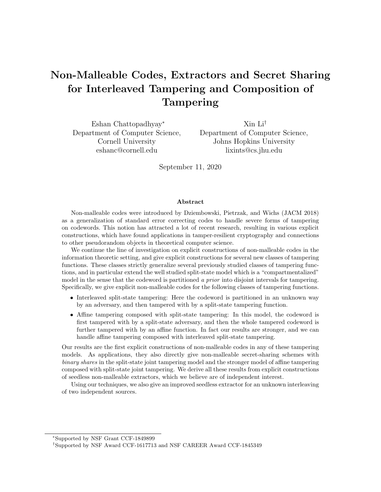# Non-Malleable Codes, Extractors and Secret Sharing for Interleaved Tampering and Composition of Tampering

Eshan Chattopadhyay<sup>∗</sup> Department of Computer Science, Cornell University [eshanc@cornell.edu](mailto:eshanc@cornell.edu)

Xin Li† Department of Computer Science, Johns Hopkins University [lixints@cs.jhu.edu](mailto: lixints@cs.jhu.edu)

September 11, 2020

#### Abstract

Non-malleable codes were introduced by Dziembowski, Pietrzak, and Wichs (JACM 2018) as a generalization of standard error correcting codes to handle severe forms of tampering on codewords. This notion has attracted a lot of recent research, resulting in various explicit constructions, which have found applications in tamper-resilient cryptography and connections to other pseudorandom objects in theoretical computer science.

We continue the line of investigation on explicit constructions of non-malleable codes in the information theoretic setting, and give explicit constructions for several new classes of tampering functions. These classes strictly generalize several previously studied classes of tampering functions, and in particular extend the well studied split-state model which is a "compartmentalized" model in the sense that the codeword is partitioned a prior into disjoint intervals for tampering. Specifically, we give explicit non-malleable codes for the following classes of tampering functions.

- Interleaved split-state tampering: Here the codeword is partitioned in an unknown way by an adversary, and then tampered with by a split-state tampering function.
- Affine tampering composed with split-state tampering: In this model, the codeword is first tampered with by a split-state adversary, and then the whole tampered codeword is further tampered with by an affine function. In fact our results are stronger, and we can handle affine tampering composed with interleaved split-state tampering.

Our results are the first explicit constructions of non-malleable codes in any of these tampering models. As applications, they also directly give non-malleable secret-sharing schemes with binary shares in the split-state joint tampering model and the stronger model of affine tampering composed with split-state joint tampering. We derive all these results from explicit constructions of seedless non-malleable extractors, which we believe are of independent interest.

Using our techniques, we also give an improved seedless extractor for an unknown interleaving of two independent sources.

<sup>∗</sup>Supported by NSF Grant CCF-1849899

<sup>†</sup>Supported by NSF Award CCF-1617713 and NSF CAREER Award CCF-1845349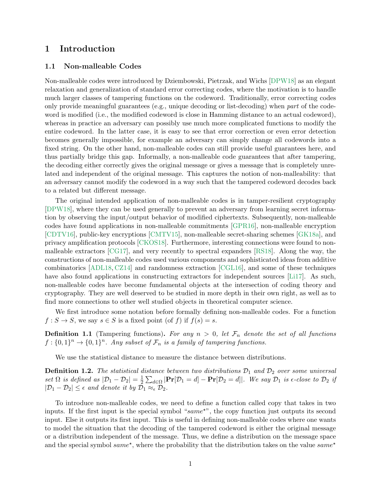### 1 Introduction

#### 1.1 Non-malleable Codes

Non-malleable codes were introduced by Dziembowski, Pietrzak, and Wichs [\[DPW18\]](#page-41-0) as an elegant relaxation and generalization of standard error correcting codes, where the motivation is to handle much larger classes of tampering functions on the codeword. Traditionally, error correcting codes only provide meaningful guarantees (e.g., unique decoding or list-decoding) when part of the codeword is modified (i.e., the modified codeword is close in Hamming distance to an actual codeword), whereas in practice an adversary can possibly use much more complicated functions to modify the entire codeword. In the latter case, it is easy to see that error correction or even error detection becomes generally impossible, for example an adversary can simply change all codewords into a fixed string. On the other hand, non-malleable codes can still provide useful guarantees here, and thus partially bridge this gap. Informally, a non-malleable code guarantees that after tampering, the decoding either correctly gives the original message or gives a message that is completely unrelated and independent of the original message. This captures the notion of non-malleability: that an adversary cannot modify the codeword in a way such that the tampered codeword decodes back to a related but different message.

The original intended application of non-malleable codes is in tamper-resilient cryptography [\[DPW18\]](#page-41-0), where they can be used generally to prevent an adversary from learning secret information by observing the input/output behavior of modified ciphertexts. Subsequently, non-malleable codes have found applications in non-malleable commitments [\[GPR16\]](#page-41-1), non-malleable encryption [\[CDTV16\]](#page-39-0), public-key encryptions [\[CMTV15\]](#page-40-0), non-malleable secret-sharing schemes [\[GK18a\]](#page-41-2), and privacy amplification protocols [\[CKOS18\]](#page-40-1). Furthermore, interesting connections were found to nonmalleable extractors [\[CG17\]](#page-40-2), and very recently to spectral expanders [\[RS18\]](#page-42-0). Along the way, the constructions of non-malleable codes used various components and sophisticated ideas from additive combinatorics [\[ADL18,](#page-39-1) [CZ14\]](#page-40-3) and randomness extraction [\[CGL16\]](#page-40-4), and some of these techniques have also found applications in constructing extractors for independent sources [\[Li17\]](#page-42-1). As such, non-malleable codes have become fundamental objects at the intersection of coding theory and cryptography. They are well deserved to be studied in more depth in their own right, as well as to find more connections to other well studied objects in theoretical computer science.

We first introduce some notation before formally defining non-malleable codes. For a function  $f: S \to S$ , we say  $s \in S$  is a fixed point (of f) if  $f(s) = s$ .

**Definition 1.1** (Tampering functions). For any  $n > 0$ , let  $\mathcal{F}_n$  denote the set of all functions  $f: \{0,1\}^n \to \{0,1\}^n$ . Any subset of  $\mathcal{F}_n$  is a family of tampering functions.

We use the statistical distance to measure the distance between distributions.

**Definition 1.2.** The statistical distance between two distributions  $\mathcal{D}_1$  and  $\mathcal{D}_2$  over some universal set  $\Omega$  is defined as  $|\mathcal{D}_1 - \mathcal{D}_2| = \frac{1}{2}$  $\frac{1}{2}\sum_{d\in\Omega}|\mathbf{Pr}[\mathcal{D}_1=d]-\mathbf{Pr}[\mathcal{D}_2=d]|.$  We say  $\mathcal{D}_1$  is  $\epsilon\text{-close}$  to  $\mathcal{D}_2$  if  $|\mathcal{D}_1 - \mathcal{D}_2| \leq \epsilon$  and denote it by  $\mathcal{D}_1 \approx_{\epsilon} \mathcal{D}_2$ .

To introduce non-malleable codes, we need to define a function called copy that takes in two inputs. If the first input is the special symbol "same?", the copy function just outputs its second input. Else it outputs its first input. This is useful in defining non-malleable codes where one wants to model the situation that the decoding of the tampered codeword is either the original message or a distribution independent of the message. Thus, we define a distribution on the message space and the special symbol  $same^*$ , where the probability that the distribution takes on the value  $same^*$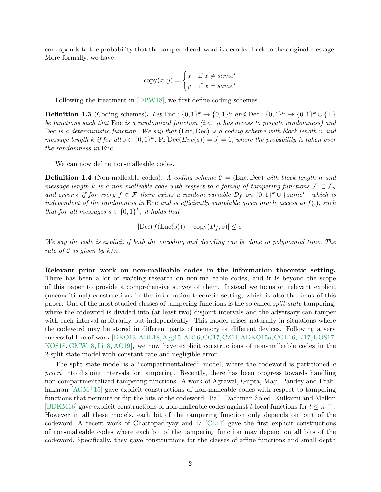corresponds to the probability that the tampered codeword is decoded back to the original message. More formally, we have

$$
copy(x, y) = \begin{cases} x & \text{if } x \neq same^* \\ y & \text{if } x = same^* \end{cases}
$$

Following the treatment in [\[DPW18\]](#page-41-0), we first define coding schemes.

**Definition 1.3** (Coding schemes). Let Enc :  $\{0,1\}^k \to \{0,1\}^n$  and Dec :  $\{0,1\}^n \to \{0,1\}^k \cup \{\perp\}$ be functions such that Enc is a randomized function (i.e., it has access to private randomness) and Dec is a deterministic function. We say that  $(Enc, Dec)$  is a coding scheme with block length n and message length k if for all  $s \in \{0,1\}^k$ ,  $Pr[Dec(Enc(s)) = s] = 1$ , where the probability is taken over the randomness in Enc.

We can now define non-malleable codes.

**Definition 1.4** (Non-malleable codes). A coding scheme  $C = (Enc, Dec)$  with block length n and message length k is a non-malleable code with respect to a family of tampering functions  $\mathcal{F} \subset \mathcal{F}_n$ and error  $\epsilon$  if for every  $f \in \mathcal{F}$  there exists a random variable  $D_f$  on  $\{0,1\}^k \cup \{same^{\star}\}\$  which is independent of the randomness in Enc and is efficiently samplable given oracle access to  $f(.)$ , such that for all messages  $s \in \{0,1\}^k$ , it holds that

$$
|\text{Dec}(f(\text{Enc}(s))) - \text{copy}(D_f, s)| \le \epsilon.
$$

We say the code is explicit if both the encoding and decoding can be done in polynomial time. The rate of C is given by  $k/n$ .

Relevant prior work on non-malleable codes in the information theoretic setting. There has been a lot of exciting research on non-malleable codes, and it is beyond the scope of this paper to provide a comprehensive survey of them. Instead we focus on relevant explicit (unconditional) constructions in the information theoretic setting, which is also the focus of this paper. One of the most studied classes of tampering functions is the so called split-state tampering, where the codeword is divided into (at least two) disjoint intervals and the adversary can tamper with each interval arbitrarily but independently. This model arises naturally in situations where the codeword may be stored in different parts of memory or different devices. Following a very successful line of work [\[DKO13,](#page-40-5)[ADL18,](#page-39-1)[Agg15,](#page-39-2)[AB16,](#page-38-0)[CG17,](#page-40-2)[CZ14,](#page-40-3)[ADKO15a,](#page-38-1)[CGL16,](#page-40-4)[Li17,](#page-42-1)[KOS17,](#page-41-3) [KOS18,](#page-41-4) [GMW18,](#page-41-5) [Li18,](#page-42-2) [AO19\]](#page-39-3), we now have explicit constructions of non-malleable codes in the 2-split state model with constant rate and negligible error.

The split state model is a "compartmentalized" model, where the codeword is partitioned a priori into disjoint intervals for tampering. Recently, there has been progress towards handling non-compartmentalized tampering functions. A work of Agrawal, Gupta, Maji, Pandey and Prab-hakaran [\[AGM](#page-39-4)+15] gave explicit constructions of non-malleable codes with respect to tampering functions that permute or flip the bits of the codeword. Ball, Dachman-Soled, Kulkarni and Malkin [\[BDKM16\]](#page-39-5) gave explicit constructions of non-malleable codes against t-local functions for  $t \leq n^{1-\epsilon}$ . However in all these models, each bit of the tampering function only depends on part of the codeword. A recent work of Chattopadhyay and Li [\[CL17\]](#page-40-6) gave the first explicit constructions of non-malleable codes where each bit of the tampering function may depend on all bits of the codeword. Specifically, they gave constructions for the classes of affine functions and small-depth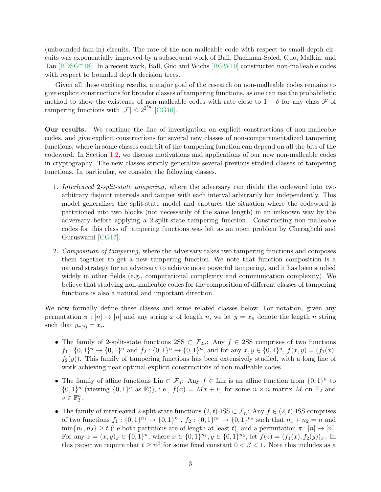(unbounded fain-in) circuits. The rate of the non-malleable code with respect to small-depth circuits was exponentially improved by a subsequent work of Ball, Dachman-Soled, Guo, Malkin, and Tan [\[BDSG](#page-39-6)+18]. In a recent work, Ball, Guo and Wichs [\[BGW19\]](#page-39-7) constructed non-malleable codes with respect to bounded depth decision trees.

Given all these exciting results, a major goal of the research on non-malleable codes remains to give explicit constructions for broader classes of tampering functions, as one can use the probabilistic method to show the existence of non-malleable codes with rate close to  $1 - \delta$  for any class F of tampering functions with  $|\mathcal{F}| \leq 2^{2^{\delta n}}$  [\[CG16\]](#page-40-7).

Our results. We continue the line of investigation on explicit constructions of non-malleable codes, and give explicit constructions for several new classes of non-compartmentalized tampering functions, where in some classes each bit of the tampering function can depend on all the bits of the codeword. In Section 1.[2,](#page-4-0) we discuss motivations and applications of our new non-malleable codes in cryptography. The new classes strictly generalize several previous studied classes of tampering functions. In particular, we consider the following classes.

- 1. Interleaved 2-split-state tampering, where the adversary can divide the codeword into two arbitrary disjoint intervals and tamper with each interval arbitrarily but independently. This model generalizes the split-state model and captures the situation where the codeword is partitioned into two blocks (not necessarily of the same length) in an unknown way by the adversary before applying a 2-split-state tampering function. Constructing non-malleable codes for this class of tampering functions was left as an open problem by Cheraghchi and Guruswami [\[CG17\]](#page-40-2).
- 2. Composition of tampering, where the adversary takes two tampering functions and composes them together to get a new tampering function. We note that function composition is a natural strategy for an adversary to achieve more powerful tampering, and it has been studied widely in other fields (e.g., computational complexity and communication complexity). We believe that studying non-malleable codes for the composition of different classes of tampering functions is also a natural and important direction.

We now formally define these classes and some related classes below. For notation, given any permutation  $\pi : [n] \to [n]$  and any string x of length n, we let  $y = x_{\pi}$  denote the length n string such that  $y_{\pi(i)} = x_i$ .

- The family of 2-split-state functions 2SS  $\subset \mathcal{F}_{2n}$ : Any  $f \in 2SS$  comprises of two functions  $f_1: \{0,1\}^n \to \{0,1\}^n$  and  $f_2: \{0,1\}^n \to \{0,1\}^n$ , and for any  $x, y \in \{0,1\}^n$ ,  $f(x, y) = (f_1(x),$  $f_2(y)$ ). This family of tampering functions has been extensively studied, with a long line of work achieving near optimal explicit constructions of non-malleable codes.
- The family of affine functions Lin  $\subset \mathcal{F}_n$ : Any  $f \in$  Lin is an affine function from  $\{0,1\}^n$  to  $\{0,1\}^n$  (viewing  $\{0,1\}^n$  as  $\mathbb{F}_2^n$ ), i.e.,  $f(x) = Mx + v$ , for some  $n \times n$  matrix M on  $\mathbb{F}_2$  and  $v \in \mathbb{F}_2^n$ .
- The family of interleaved 2-split-state functions  $(2, t)$ -ISS  $\subset \mathcal{F}_n$ : Any  $f \in (2, t)$ -ISS comprises of two functions  $f_1: \{0,1\}^{n_1} \to \{0,1\}^{n_1}$ ,  $f_2: \{0,1\}^{n_2} \to \{0,1\}^{n_2}$  such that  $n_1 + n_2 = n$  and  $\min\{n_1, n_2\} \geq t$  (i.e both partitions are of length at least t), and a permutation  $\pi : [n] \to [n]$ . For any  $z = (x, y)_{\pi} \in \{0, 1\}^n$ , where  $x \in \{0, 1\}^{n_1}, y \in \{0, 1\}^{n_2}$ , let  $f(z) = (f_1(x), f_2(y))_{\pi}$ . In this paper we require that  $t \geq n^{\beta}$  for some fixed constant  $0 < \beta < 1$ . Note this includes as a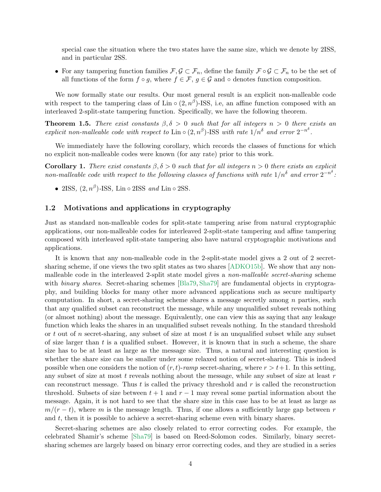special case the situation where the two states have the same size, which we denote by 2ISS, and in particular 2SS.

• For any tampering function families  $\mathcal{F}, \mathcal{G} \subset \mathcal{F}_n$ , define the family  $\mathcal{F} \circ \mathcal{G} \subset \mathcal{F}_n$  to be the set of all functions of the form  $f \circ g$ , where  $f \in \mathcal{F}$ ,  $g \in \mathcal{G}$  and  $\circ$  denotes function composition.

We now formally state our results. Our most general result is an explicit non-malleable code with respect to the tampering class of Lin  $\circ$  (2,  $n^{\beta}$ )-ISS, i.e, an affine function composed with an interleaved 2-split-state tampering function. Specifically, we have the following theorem.

**Theorem 1.5.** There exist constants  $\beta, \delta > 0$  such that for all integers  $n > 0$  there exists an explicit non-malleable code with respect to Lin  $\circ (2, n^{\beta})$ -ISS with rate  $1/n^{\delta}$  and error  $2^{-n^{\delta}}$ .

We immediately have the following corollary, which records the classes of functions for which no explicit non-malleable codes were known (for any rate) prior to this work.

Corollary 1. There exist constants  $\beta$ ,  $\delta > 0$  such that for all integers  $n > 0$  there exists an explicit non-malleable code with respect to the following classes of functions with rate  $1/n^{\delta}$  and error  $2^{-n^{\delta}}$ :

• 2ISS,  $(2, n^{\beta})$ -ISS, Lin  $\circ$  2ISS and Lin  $\circ$  2SS.

#### <span id="page-4-0"></span>1.2 Motivations and applications in cryptography

Just as standard non-malleable codes for split-state tampering arise from natural cryptographic applications, our non-malleable codes for interleaved 2-split-state tampering and affine tampering composed with interleaved split-state tampering also have natural cryptographic motivations and applications.

It is known that any non-malleable code in the 2-split-state model gives a 2 out of 2 secretsharing scheme, if one views the two split states as two shares [\[ADKO15b\]](#page-38-2). We show that any nonmalleable code in the interleaved 2-split state model gives a non-malleable secret-sharing scheme with *binary shares*. Secret-sharing schemes [\[Bla79,](#page-39-8) [Sha79\]](#page-42-3) are fundamental objects in cryptography, and building blocks for many other more advanced applications such as secure multiparty computation. In short, a secret-sharing scheme shares a message secretly among  $n$  parties, such that any qualified subset can reconstruct the message, while any unqualified subset reveals nothing (or almost nothing) about the message. Equivalently, one can view this as saying that any leakage function which leaks the shares in an unqualified subset reveals nothing. In the standard threshold or t out of n secret-sharing, any subset of size at most  $t$  is an unqualified subset while any subset of size larger than t is a qualified subset. However, it is known that in such a scheme, the share size has to be at least as large as the message size. Thus, a natural and interesting question is whether the share size can be smaller under some relaxed notion of secret-sharing. This is indeed possible when one considers the notion of  $(r, t)$ -ramp secret-sharing, where  $r > t+1$ . In this setting, any subset of size at most  $t$  reveals nothing about the message, while any subset of size at least  $r$ can reconstruct message. Thus  $t$  is called the privacy threshold and  $r$  is called the reconstruction threshold. Subsets of size between  $t + 1$  and  $r - 1$  may reveal some partial information about the message. Again, it is not hard to see that the share size in this case has to be at least as large as  $m/(r-t)$ , where m is the message length. Thus, if one allows a sufficiently large gap between r and t, then it is possible to achieve a secret-sharing scheme even with binary shares.

Secret-sharing schemes are also closely related to error correcting codes. For example, the celebrated Shamir's scheme [\[Sha79\]](#page-42-3) is based on Reed-Solomon codes. Similarly, binary secretsharing schemes are largely based on binary error correcting codes, and they are studied in a series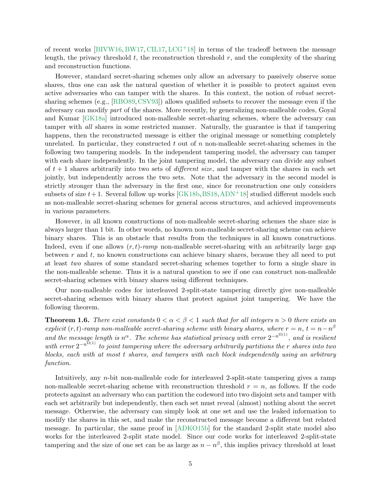of recent works [\[BIVW16,](#page-39-9) [BW17,](#page-39-10) [CIL17,](#page-40-8) [LCG](#page-41-6)<sup>+18]</sup> in terms of the tradeoff between the message length, the privacy threshold  $t$ , the reconstruction threshold  $r$ , and the complexity of the sharing and reconstruction functions.

However, standard secret-sharing schemes only allow an adversary to passively observe some shares, thus one can ask the natural question of whether it is possible to protect against even active adversaries who can tamper with the shares. In this context, the notion of robust secretsharing schemes (e.g., [\[RBO89,](#page-42-4)[CSV93\]](#page-40-9)) allows qualified subsets to recover the message even if the adversary can modify part of the shares. More recently, by generalizing non-malleable codes, Goyal and Kumar [\[GK18a\]](#page-41-2) introduced non-malleable secret-sharing schemes, where the adversary can tamper with all shares in some restricted manner. Naturally, the guarantee is that if tampering happens, then the reconstructed message is either the original message or something completely unrelated. In particular, they constructed t out of  $n$  non-malleable secret-sharing schemes in the following two tampering models. In the independent tampering model, the adversary can tamper with each share independently. In the joint tampering model, the adversary can divide any subset of  $t + 1$  shares arbitrarily into two sets of *different size*, and tamper with the shares in each set jointly, but independently across the two sets. Note that the adversary in the second model is strictly stronger than the adversary in the first one, since for reconstruction one only considers subsets of size  $t + 1$ . Several follow up works [\[GK18b,](#page-41-7) [BS18,](#page-39-11) [ADN](#page-39-12)+18] studied different models such as non-malleable secret-sharing schemes for general access structures, and achieved improvements in various parameters.

However, in all known constructions of non-malleable secret-sharing schemes the share size is always larger than 1 bit. In other words, no known non-malleable secret-sharing scheme can achieve binary shares. This is an obstacle that results from the techniques in all known constructions. Indeed, even if one allows  $(r, t)$ -ramp non-malleable secret-sharing with an arbitrarily large gap between  $r$  and  $t$ , no known constructions can achieve binary shares, because they all need to put at least two shares of some standard secret-sharing schemes together to form a single share in the non-malleable scheme. Thus it is a natural question to see if one can construct non-malleable secret-sharing schemes with binary shares using different techniques.

Our non-malleable codes for interleaved 2-split-state tampering directly give non-malleable secret-sharing schemes with binary shares that protect against joint tampering. We have the following theorem.

<span id="page-5-0"></span>**Theorem 1.6.** There exist constants  $0 < \alpha < \beta < 1$  such that for all integers  $n > 0$  there exists an explicit (r, t)-ramp non-malleable secret-sharing scheme with binary shares, where  $r = n$ ,  $t = n - n<sup>\beta</sup>$ and the message length is  $n^{\alpha}$ . The scheme has statistical privacy with error  $2^{-n^{\Omega(1)}}$ , and is resilient with error  $2^{-n^{\tilde{\Omega}(1)}}$  to joint tampering where the adversary arbitrarily partitions the r shares into two blocks, each with at most t shares, and tampers with each block independently using an arbitrary function.

Intuitively, any n-bit non-malleable code for interleaved 2-split-state tampering gives a ramp non-malleable secret-sharing scheme with reconstruction threshold  $r = n$ , as follows. If the code protects against an adversary who can partition the codeword into two disjoint sets and tamper with each set arbitrarily but independently, then each set must reveal (almost) nothing about the secret message. Otherwise, the adversary can simply look at one set and use the leaked information to modify the shares in this set, and make the reconstructed message become a different but related message. In particular, the same proof in [\[ADKO15b\]](#page-38-2) for the standard 2-split state model also works for the interleaved 2-split state model. Since our code works for interleaved 2-split-state tampering and the size of one set can be as large as  $n - n^{\beta}$ , this implies privacy threshold at least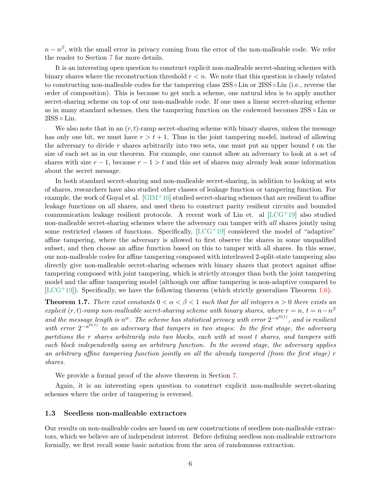$n - n^{\beta}$ , with the small error in privacy coming from the error of the non-malleable code. We refer the reader to Section [7](#page-32-0) for more details.

It is an interesting open question to construct explicit non-malleable secret-sharing schemes with binary shares where the reconstruction threshold  $r < n$ . We note that this question is closely related to constructing non-malleable codes for the tampering class 2SS ◦Lin or 2ISS ◦Lin (i.e., reverse the order of composition). This is because to get such a scheme, one natural idea is to apply another secret-sharing scheme on top of our non-malleable code. If one uses a linear secret-sharing scheme as in many standard schemes, then the tampering function on the codeword becomes 2SS ◦ Lin or  $2ISS \circ Lin.$ 

We also note that in an  $(r, t)$ -ramp secret-sharing scheme with binary shares, unless the message has only one bit, we must have  $r > t + 1$ . Thus in the joint tampering model, instead of allowing the adversary to divide r shares arbitrarily into two sets, one must put an upper bound t on the size of each set as in our theorem. For example, one cannot allow an adversary to look at a set of shares with size  $r - 1$ , because  $r - 1 > t$  and this set of shares may already leak some information about the secret message.

In both standard secret-sharing and non-malleable secret-sharing, in addition to looking at sets of shares, researchers have also studied other classes of leakage function or tampering function. For example, the work of Goyal et al.  $[GIM<sup>+</sup>16]$  studied secret-sharing schemes that are resilient to affine leakage functions on all shares, and used them to construct parity resilient circuits and bounded communication leakage resilient protocols. A recent work of Lin et. al  $[LCG+19]$  also studied non-malleable secret-sharing schemes where the adversary can tamper with all shares jointly using some restricted classes of functions. Specifically,  $[LCG<sup>+19</sup>]$  considered the model of "adaptive" affine tampering, where the adversary is allowed to first observe the shares in some unqualified subset, and then choose an affine function based on this to tamper with all shares. In this sense, our non-malleable codes for affine tampering composed with interleaved 2-split-state tampering also directly give non-malleable secret-sharing schemes with binary shares that protect against affine tampering composed with joint tampering, which is strictly stronger than both the joint tampering model and the affine tampering model (although our affine tampering is non-adaptive compared to  $[LOG^+19]$ . Specifically, we have the following theorem (which strictly generalizes Theorem 1.[6\)](#page-5-0).

<span id="page-6-0"></span>**Theorem 1.7.** There exist constants  $0 < \alpha < \beta < 1$  such that for all integers  $n > 0$  there exists an explicit (r, t)-ramp non-malleable secret-sharing scheme with binary shares, where  $r = n$ ,  $t = n - n<sup>\beta</sup>$ and the message length is  $n^{\alpha}$ . The scheme has statistical privacy with error  $2^{-n^{\Omega(1)}}$ , and is resilient with error  $2^{-n^{\Omega(1)}}$  to an adversary that tampers in two stages: In the first stage, the adversary partitions the r shares arbitrarily into two blocks, each with at most t shares, and tampers with each block independently using an arbitrary function. In the second stage, the adversary applies an arbitrary affine tampering function jointly on all the already tampered (from the first stage) r shares.

We provide a formal proof of the above theorem in Section [7.](#page-32-0)

Again, it is an interesting open question to construct explicit non-malleable secret-sharing schemes where the order of tampering is reversed.

#### 1.3 Seedless non-malleable extractors

Our results on non-malleable codes are based on new constructions of seedless non-malleable extractors, which we believe are of independent interest. Before defining seedless non-malleable extractors formally, we first recall some basic notation from the area of randomness extraction.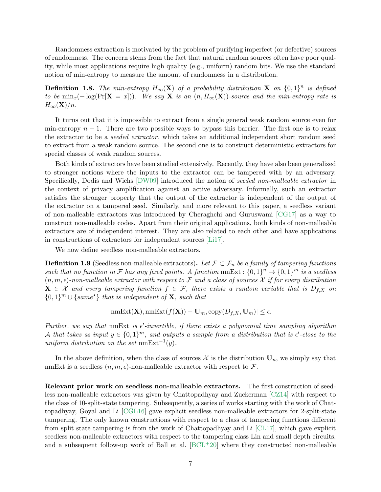Randomness extraction is motivated by the problem of purifying imperfect (or defective) sources of randomness. The concern stems from the fact that natural random sources often have poor quality, while most applications require high quality (e.g., uniform) random bits. We use the standard notion of min-entropy to measure the amount of randomness in a distribution.

**Definition 1.8.** The min-entropy  $H_{\infty}(\mathbf{X})$  of a probability distribution **X** on  $\{0,1\}^n$  is defined to be  $\min_x(-\log(\Pr[\mathbf{X} = x]))$ . We say **X** is an  $(n, H_\infty(\mathbf{X}))$ -source and the min-entropy rate is  $H_{\infty}(\mathbf{X})/n$ .

It turns out that it is impossible to extract from a single general weak random source even for min-entropy  $n-1$ . There are two possible ways to bypass this barrier. The first one is to relax the extractor to be a *seeded extractor*, which takes an additional independent short random seed to extract from a weak random source. The second one is to construct deterministic extractors for special classes of weak random sources.

Both kinds of extractors have been studied extensively. Recently, they have also been generalized to stronger notions where the inputs to the extractor can be tampered with by an adversary. Specifically, Dodis and Wichs [\[DW09\]](#page-41-10) introduced the notion of seeded non-malleable extractor in the context of privacy amplification against an active adversary. Informally, such an extractor satisfies the stronger property that the output of the extractor is independent of the output of the extractor on a tampered seed. Similarly, and more relevant to this paper, a seedless variant of non-malleable extractors was introduced by Cheraghchi and Guruswami [\[CG17\]](#page-40-2) as a way to construct non-malleable codes. Apart from their original applications, both kinds of non-malleable extractors are of independent interest. They are also related to each other and have applications in constructions of extractors for independent sources [\[Li17\]](#page-42-1).

We now define seedless non-malleable extractors.

**Definition 1.9** (Seedless non-malleable extractors). Let  $\mathcal{F} \subset \mathcal{F}_n$  be a family of tampering functions such that no function in F has any fixed points. A function nmExt :  $\{0,1\}^n \to \{0,1\}^m$  is a seedless  $(n, m, \epsilon)$ -non-malleable extractor with respect to F and a class of sources X if for every distribution  $\mathbf{X} \in \mathcal{X}$  and every tampering function  $f \in \mathcal{F}$ , there exists a random variable that is  $D_{f,X}$  on  ${0,1}<sup>m</sup> \cup {same<sup>*</sup>} that is independent of **X**, such that$ 

$$
|\text{nmExt}(\mathbf{X}), \text{nmExt}(f(\mathbf{X})) - \mathbf{U}_m, \text{copy}(D_{f,X}, \mathbf{U}_m)| \le \epsilon.
$$

Further, we say that  $\text{nmExt}$  is  $\epsilon'$ -invertible, if there exists a polynomial time sampling algorithm A that takes as input  $y \in \{0,1\}^m$ , and outputs a sample from a distribution that is  $\epsilon'$ -close to the uniform distribution on the set  $n m Ext^{-1}(y)$ .

In the above definition, when the class of sources  $\mathcal X$  is the distribution  $\mathbf U_n$ , we simply say that nmExt is a seedless  $(n, m, \epsilon)$ -non-malleable extractor with respect to F.

Relevant prior work on seedless non-malleable extractors. The first construction of seedless non-malleable extractors was given by Chattopadhyay and Zuckerman [\[CZ14\]](#page-40-3) with respect to the class of 10-split-state tampering. Subsequently, a series of works starting with the work of Chattopadhyay, Goyal and Li [\[CGL16\]](#page-40-4) gave explicit seedless non-malleable extractors for 2-split-state tampering. The only known constructions with respect to a class of tampering functions different from split state tampering is from the work of Chattopadhyay and Li [\[CL17\]](#page-40-6), which gave explicit seedless non-malleable extractors with respect to the tampering class Lin and small depth circuits, and a subsequent follow-up work of Ball et al.  $[BCL+20]$  where they constructed non-malleable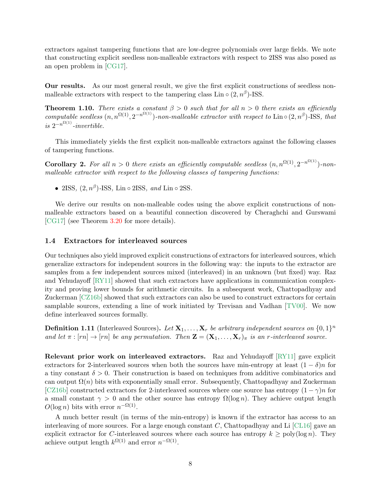extractors against tampering functions that are low-degree polynomials over large fields. We note that constructing explicit seedless non-malleable extractors with respect to 2ISS was also posed as an open problem in [\[CG17\]](#page-40-2).

Our results. As our most general result, we give the first explicit constructions of seedless nonmalleable extractors with respect to the tampering class Lin  $\circ$   $(2, n^{\beta})$ -ISS.

**Theorem 1.10.** There exists a constant  $\beta > 0$  such that for all  $n > 0$  there exists an efficiently computable seedless  $(n, n^{\Omega(1)}, 2^{-n^{\Omega(1)}})$ -non-malleable extractor with respect to Lin  $\circ (2, n^{\beta})$ -ISS, that is  $2^{-n^{\Omega(1)}}$ -invertible.

This immediately yields the first explicit non-malleable extractors against the following classes of tampering functions.

**Corollary 2.** For all  $n > 0$  there exists an efficiently computable seedless  $(n, n^{\Omega(1)}, 2^{-n^{\Omega(1)}})$ -nonmalleable extractor with respect to the following classes of tampering functions:

• 2ISS,  $(2, n^{\beta})$ -ISS, Lin  $\circ$  2ISS, and Lin  $\circ$  2SS.

We derive our results on non-malleable codes using the above explicit constructions of nonmalleable extractors based on a beautiful connection discovered by Cheraghchi and Gurswami [\[CG17\]](#page-40-2) (see Theorem 3.[20](#page-18-0) for more details).

#### <span id="page-8-0"></span>1.4 Extractors for interleaved sources

Our techniques also yield improved explicit constructions of extractors for interleaved sources, which generalize extractors for independent sources in the following way: the inputs to the extractor are samples from a few independent sources mixed (interleaved) in an unknown (but fixed) way. Raz and Yehudayoff [\[RY11\]](#page-42-5) showed that such extractors have applications in communication complexity and proving lower bounds for arithmetic circuits. In a subsequent work, Chattopadhyay and Zuckerman [\[CZ16b\]](#page-40-10) showed that such extractors can also be used to construct extractors for certain samplable sources, extending a line of work initiated by Trevisan and Vadhan [\[TV00\]](#page-42-6). We now define interleaved sources formally.

**Definition 1.11** (Interleaved Sources). Let  $X_1, \ldots, X_r$  be arbitrary independent sources on  $\{0,1\}^n$ and let  $\pi : [rn] \to [rn]$  be any permutation. Then  $\mathbf{Z} = (\mathbf{X}_1, \dots, \mathbf{X}_r)_{\pi}$  is an r-interleaved source.

Relevant prior work on interleaved extractors. Raz and Yehudayoff [\[RY11\]](#page-42-5) gave explicit extractors for 2-interleaved sources when both the sources have min-entropy at least  $(1 - \delta)n$  for a tiny constant  $\delta > 0$ . Their construction is based on techniques from additive combinatorics and can output  $\Omega(n)$  bits with exponentially small error. Subsequently, Chattopadhyay and Zuckerman [\[CZ16b\]](#page-40-10) constructed extractors for 2-interleaved sources where one source has entropy  $(1 - \gamma)n$  for a small constant  $\gamma > 0$  and the other source has entropy  $\Omega(\log n)$ . They achieve output length  $O(\log n)$  bits with error  $n^{-\Omega(1)}$ .

A much better result (in terms of the min-entropy) is known if the extractor has access to an interleaving of more sources. For a large enough constant C, Chattopadhyay and Li  $\left[CL16\right]$  gave an explicit extractor for C-interleaved sources where each source has entropy  $k \geq \text{poly}(\log n)$ . They achieve output length  $k^{\Omega(1)}$  and error  $n^{-\Omega(1)}$ .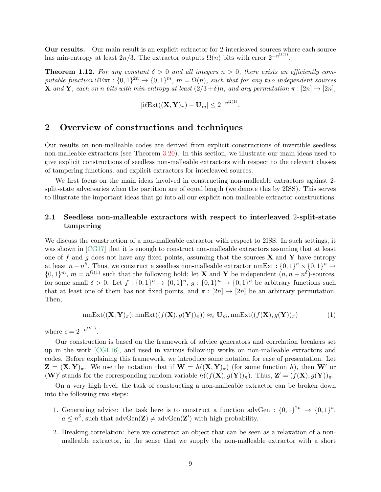Our results. Our main result is an explicit extractor for 2-interleaved sources where each source has min-entropy at least  $2n/3$ . The extractor outputs  $\Omega(n)$  bits with error  $2^{-n^{\Omega(1)}}$ .

<span id="page-9-1"></span>**Theorem 1.12.** For any constant  $\delta > 0$  and all integers  $n > 0$ , there exists an efficiently computable function i $\ell$ Ext :  $\{0,1\}^{2n} \to \{0,1\}^m$ ,  $m = \Omega(n)$ , such that for any two independent sources **X** and **Y**, each on n bits with min-entropy at least  $(2/3+\delta)n$ , and any permutation  $\pi : [2n] \rightarrow [2n]$ ,

$$
|i\ell \operatorname{Ext}((\mathbf{X}, \mathbf{Y})_{\pi}) - \mathbf{U}_{m}| \leq 2^{-n^{\Omega(1)}}.
$$

### <span id="page-9-2"></span>2 Overview of constructions and techniques

Our results on non-malleable codes are derived from explicit constructions of invertible seedless non-malleable extractors (see Theorem 3.[20\)](#page-18-0). In this section, we illustrate our main ideas used to give explicit constructions of seedless non-malleable extractors with respect to the relevant classes of tampering functions, and explicit extractors for interleaved sources.

We first focus on the main ideas involved in constructing non-malleable extractors against 2 split-state adversaries when the partition are of equal length (we denote this by 2ISS). This serves to illustrate the important ideas that go into all our explicit non-malleable extractor constructions.

### 2.1 Seedless non-malleable extractors with respect to interleaved 2-split-state tampering

We discuss the construction of a non-malleable extractor with respect to 2ISS. In such settings, it was shown in [\[CG17\]](#page-40-2) that it is enough to construct non-malleable extractors assuming that at least one of f and g does not have any fixed points, assuming that the sources  $X$  and Y have entropy at least  $n - n^{\delta}$ . Thus, we construct a seedless non-malleable extractor nmExt :  $\{0, 1\}^n \times \{0, 1\}^n \to$  $\{0,1\}^m$ ,  $m = n^{\Omega(1)}$  such that the following hold: let **X** and **Y** be independent  $(n, n - n^{\delta})$ -sources, for some small  $\delta > 0$ . Let  $f: \{0,1\}^n \to \{0,1\}^n$ ,  $g: \{0,1\}^n \to \{0,1\}^n$  be arbitrary functions such that at least one of them has not fixed points, and  $\pi : [2n] \rightarrow [2n]$  be an arbitrary permutation. Then,

<span id="page-9-0"></span>
$$
\text{nmExt}((\mathbf{X}, \mathbf{Y})_{\pi}), \text{nmExt}((f(\mathbf{X}), g(\mathbf{Y}))_{\pi})) \approx_{\epsilon} \mathbf{U}_m, \text{nmExt}((f(\mathbf{X}), g(\mathbf{Y}))_{\pi})
$$
(1)

where  $\epsilon = 2^{-n^{\Omega(1)}}$ .

Our construction is based on the framework of advice generators and correlation breakers set up in the work [\[CGL16\]](#page-40-4), and used in various follow-up works on non-malleable extractors and codes. Before explaining this framework, we introduce some notation for ease of presentation. Let  $\mathbf{Z} = (\mathbf{X}, \mathbf{Y})_{\pi}$ . We use the notation that if  $\mathbf{W} = h((\mathbf{X}, \mathbf{Y})_{\pi})$  (for some function h), then  $\mathbf{W}'$  or (W)' stands for the corresponding random variable  $h((f(X), g(Y))_{\pi})$ . Thus,  $\mathbf{Z}' = (f(X), g(Y))_{\pi}$ .

On a very high level, the task of constructing a non-malleable extractor can be broken down into the following two steps:

- 1. Generating advice: the task here is to construct a function advGen :  $\{0,1\}^{2n} \rightarrow \{0,1\}^a$ ,  $a \leq n^{\delta}$ , such that  $\text{advGen}(\mathbf{Z}) \neq \text{advGen}(\mathbf{Z}')$  with high probability.
- 2. Breaking correlation: here we construct an object that can be seen as a relaxation of a nonmalleable extractor, in the sense that we supply the non-malleable extractor with a short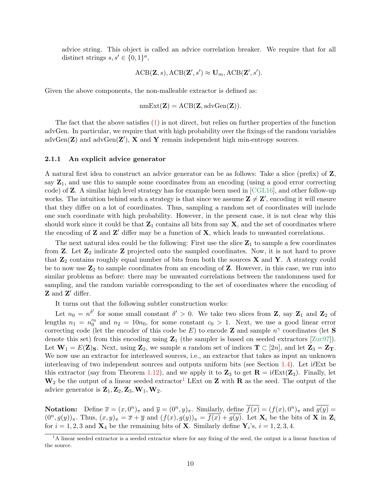advice string. This object is called an advice correlation breaker. We require that for all distinct strings  $s, s' \in \{0, 1\}^a$ ,

$$
\text{ACB}(\mathbf{Z},s), \text{ACB}(\mathbf{Z}',s') \approx \mathbf{U}_m, \text{ACB}(\mathbf{Z}',s').
$$

Given the above components, the non-malleable extractor is defined as:

$$
nmExt(\mathbf{Z}) = ACB(\mathbf{Z}, \mathrm{advGen}(\mathbf{Z})).
$$

The fact that the above satisfies [\(1\)](#page-9-0) is not direct, but relies on further properties of the function advGen. In particular, we require that with high probability over the fixings of the random variables adv $Gen(Z)$  and adv $Gen(Z')$ , X and Y remain independent high min-entropy sources.

#### 2.1.1 An explicit advice generator

A natural first idea to construct an advice generator can be as follows: Take a slice (prefix) of Z, say  $\mathbb{Z}_1$ , and use this to sample some coordinates from an encoding (using a good error correcting code) of Z. A similar high level strategy has for example been used in [\[CGL16\]](#page-40-4), and other follow-up works. The intuition behind such a strategy is that since we assume  $\mathbf{Z} \neq \mathbf{Z}'$ , encoding it will ensure that they differ on a lot of coordinates. Thus, sampling a random set of coordinates will include one such coordinate with high probability. However, in the present case, it is not clear why this should work since it could be that  $\mathbf{Z}_1$  contains all bits from say  $\mathbf{X}$ , and the set of coordinates where the encoding of  $Z$  and  $Z'$  differ may be a function of  $X$ , which leads to unwanted correlations.

The next natural idea could be the following: First use the slice  $\mathbb{Z}_1$  to sample a few coordinates from  $Z$ . Let  $Z_2$  indicate  $Z$  projected onto the sampled coordinates. Now, it is not hard to prove that  $\mathbb{Z}_2$  contains roughly equal number of bits from both the sources  $\mathbf X$  and  $\mathbf Y$ . A strategy could be to now use  $\mathbb{Z}_2$  to sample coordinates from an encoding of  $\mathbb{Z}$ . However, in this case, we run into similar problems as before: there may be unwanted correlations between the randomness used for sampling, and the random variable corresponding to the set of coordinates where the encoding of  $\mathbf Z$  and  $\mathbf Z'$  differ.

It turns out that the following subtler construction works:

Let  $n_0 = n^{\delta'}$  for some small constant  $\delta' > 0$ . We take two slices from **Z**, say **Z**<sub>1</sub> and **Z**<sub>2</sub> of lengths  $n_1 = n_0^{c_0}$  and  $n_2 = 10n_0$ , for some constant  $c_0 > 1$ . Next, we use a good linear error correcting code (let the encoder of this code be E) to encode **Z** and sample  $n^{\gamma}$  coordinates (let **S** denote this set) from this encoding using  $\mathbb{Z}_1$  (the sampler is based on seeded extractors [\[Zuc97\]](#page-42-7)). Let  $W_1 = E(Z)_{S}$ . Next, using  $Z_2$ , we sample a random set of indices  $T \subset [2n]$ , and let  $Z_3 = Z_T$ . We now use an extractor for interleaved sources, i.e., an extractor that takes as input an unknown interleaving of two independent sources and outputs uniform bits (see Section 1.[4\)](#page-8-0). Let  $i\ell$ Ext be this extractor (say from Theorem 1.[12\)](#page-9-1), and we apply it to  $\mathbf{Z}_3$  to get  $\mathbf{R} = \mathrm{i}\ell \mathrm{Ext}(\mathbf{Z}_3)$ . Finally, let  $\mathbf{W}_2$  be the output of a linear seeded extractor<sup>[1](#page-10-0)</sup> LExt on **Z** with **R** as the seed. The output of the advice generator is  $\mathbf{Z}_1, \mathbf{Z}_2, \mathbf{Z}_3, \mathbf{W}_1, \mathbf{W}_2$ .

**Notation:** Define  $\overline{x} = (x, 0^n)_{\pi}$  and  $\overline{y} = (0^n, y)_{\pi}$ . Similarly, define  $\overline{f(x)} = (f(x), 0^n)_{\pi}$  and  $\overline{g(y)} =$  $(0^n, g(y))_\pi$ . Thus,  $(x, y)_\pi = \overline{x} + \overline{y}$  and  $(f(x), g(y))_\pi = \overline{f(x)} + \overline{g(y)}$ . Let  $\mathbf{X}_i$  be the bits of  $\mathbf{X}$  in  $\mathbf{Z}_i$ for  $i = 1, 2, 3$  and  $\mathbf{X}_4$  be the remaining bits of **X**. Similarly define  $\mathbf{Y}_i$ 's,  $i = 1, 2, 3, 4$ .

<span id="page-10-0"></span><sup>&</sup>lt;sup>1</sup>A linear seeded extractor is a seeded extractor where for any fixing of the seed, the output is a linear function of the source.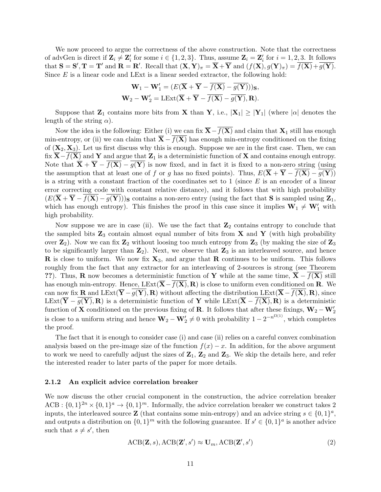We now proceed to argue the correctness of the above construction. Note that the correctness of advGen is direct if  $\mathbf{Z}_i \neq \mathbf{Z}'_i$  for some  $i \in \{1, 2, 3\}$ . Thus, assume  $\mathbf{Z}_i = \mathbf{Z}'_i$  for  $i = 1, 2, 3$ . It follows that  $\mathbf{S} = \mathbf{S}'$ ,  $\mathbf{T} = \mathbf{T}'$  and  $\mathbf{R} = \mathbf{R}'$ . Recall that  $(\mathbf{X}, \mathbf{Y})_{\pi} = \overline{\mathbf{X}} + \overline{\mathbf{Y}}$  and  $(f(\mathbf{X}), g(\mathbf{Y})_{\pi}) = \overline{f(\mathbf{X})} + \overline{g(\mathbf{Y})}$ . Since  $E$  is a linear code and LExt is a linear seeded extractor, the following hold:

$$
\mathbf{W}_1 - \mathbf{W}'_1 = (E(\overline{\mathbf{X}} + \overline{\mathbf{Y}} - \overline{f(\mathbf{X})} - \overline{g(\mathbf{Y})}))\mathbf{s},
$$
  

$$
\mathbf{W}_2 - \mathbf{W}'_2 = \text{LExt}(\overline{\mathbf{X}} + \overline{\mathbf{Y}} - \overline{f(\mathbf{X})} - \overline{g(\mathbf{Y})}, \mathbf{R}).
$$

Suppose that  $\mathbf{Z}_1$  contains more bits from **X** than **Y**, i.e.,  $|\mathbf{X}_1| \geq |\mathbf{Y}_1|$  (where  $|\alpha|$  denotes the length of the string  $\alpha$ ).

Now the idea is the following: Either (i) we can fix  $\overline{\mathbf{X}}-\overline{f(\mathbf{X})}$  and claim that  $\mathbf{X}_1$  still has enough min-entropy, or (ii) we can claim that  $\overline{X} - f(X)$  has enough min-entropy conditioned on the fixing of  $(X_2, X_3)$ . Let us first discuss why this is enough. Suppose we are in the first case. Then, we can fix  $\overline{\mathbf{X}} - f(\mathbf{X})$  and  $\mathbf{Y}$  and argue that  $\mathbf{Z}_1$  is a deterministic function of  $\mathbf{X}$  and contains enough entropy. Note that  $\overline{X} + \overline{Y} - \overline{f(X)} - \overline{g(Y)}$  is now fixed, and in fact it is fixed to a non-zero string (using the assumption that at least one of f or g has no fixed points). Thus,  $E(\overline{X} + \overline{Y} - \overline{f(X)} - \overline{g(Y)})$ is a string with a constant fraction of the coordinates set to  $1$  (since  $E$  is an encoder of a linear error correcting code with constant relative distance), and it follows that with high probability  $(E(\overline{\mathbf{X}} + \overline{\mathbf{Y}} - f(\mathbf{X}) - g(\mathbf{Y})))$  contains a non-zero entry (using the fact that S is sampled using  $\mathbf{Z}_1$ , which has enough entropy). This finishes the proof in this case since it implies  $W_1 \neq W'_1$  with high probability.

Now suppose we are in case (ii). We use the fact that  $\mathbb{Z}_2$  contains entropy to conclude that the sampled bits  $\mathbb{Z}_3$  contain almost equal number of bits from  $X$  and  $Y$  (with high probability over  $\mathbb{Z}_2$ ). Now we can fix  $\mathbb{Z}_2$  without loosing too much entropy from  $\mathbb{Z}_3$  (by making the size of  $\mathbb{Z}_3$ ) to be significantly larger than  $\mathbb{Z}_2$ ). Next, we observe that  $\mathbb{Z}_3$  is an interleaved source, and hence **R** is close to uniform. We now fix  $X_3$ , and argue that **R** continues to be uniform. This follows roughly from the fact that any extractor for an interleaving of 2-sources is strong (see Theorem ??). Thus, R now becomes a deterministic function of Y while at the same time,  $X - f(X)$  still has enough min-entropy. Hence,  $\text{Lex}(\overline{\mathbf{X}}-\overline{f(\mathbf{X})}, \mathbf{R})$  is close to uniform even conditioned on **R**. We can now fix **R** and LExt( $\overline{Y} - \overline{g(Y)}$ , **R**) without affecting the distribution LExt( $\overline{X} - \overline{f(X)}$ , **R**), since LExt( $\overline{Y} - \overline{g(Y)}$ , R) is a deterministic function of Y while LExt( $\overline{X} - \overline{f(X)}$ , R) is a deterministic function of X conditioned on the previous fixing of R. It follows that after these fixings,  $\mathbf{W}_2 - \mathbf{W}_2'$ is close to a uniform string and hence  $\mathbf{W}_2 - \mathbf{W}'_2 \neq 0$  with probability  $1 - 2^{-n^{\Omega(1)}}$ , which completes the proof.

The fact that it is enough to consider case (i) and case (ii) relies on a careful convex combination analysis based on the pre-image size of the function  $f(x) - x$ . In addition, for the above argument to work we need to carefully adjust the sizes of  $\mathbb{Z}_1$ ,  $\mathbb{Z}_2$  and  $\mathbb{Z}_3$ . We skip the details here, and refer the interested reader to later parts of the paper for more details.

#### 2.1.2 An explicit advice correlation breaker

We now discuss the other crucial component in the construction, the advice correlation breaker ACB :  $\{0,1\}^{2n} \times \{0,1\}^n \to \{0,1\}^m$ . Informally, the advice correlation breaker we construct takes 2 inputs, the interleaved source **Z** (that contains some min-entropy) and an advice string  $s \in \{0,1\}^a$ , and outputs a distribution on  $\{0,1\}^m$  with the following guarantee. If  $s' \in \{0,1\}^a$  is another advice such that  $s \neq s'$ , then

<span id="page-11-0"></span>
$$
\text{ACB}(\mathbf{Z}, s), \text{ACB}(\mathbf{Z}', s') \approx \mathbf{U}_m, \text{ACB}(\mathbf{Z}', s')
$$
\n(2)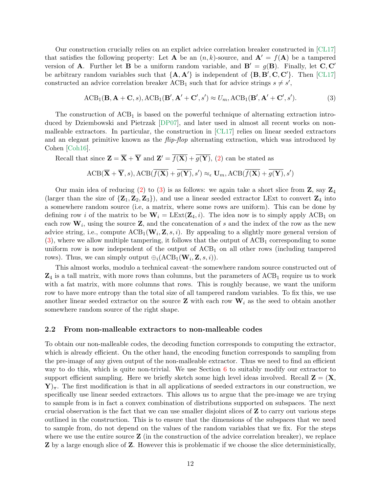Our construction crucially relies on an explict advice correlation breaker constructed in [\[CL17\]](#page-40-6) that satisfies the following property: Let **A** be an  $(n, k)$ -source, and  $A' = f(A)$  be a tampered version of **A**. Further let **B** be a uniform random variable, and  $B' = g(B)$ . Finally, let **C**, **C**' be arbitrary random variables such that  $\{A, A'\}$  is independent of  $\{B, B', C, C'\}$ . Then [\[CL17\]](#page-40-6) constructed an advice correlation breaker ACB<sub>1</sub> such that for advice strings  $s \neq s'$ ,

<span id="page-12-0"></span>
$$
ACB_1(\mathbf{B}, \mathbf{A} + \mathbf{C}, s), ACB_1(\mathbf{B}', \mathbf{A}' + \mathbf{C}', s') \approx U_m, ACB_1(\mathbf{B}', \mathbf{A}' + \mathbf{C}', s').
$$
\n(3)

The construction of  $ACB<sub>1</sub>$  is based on the powerful technique of alternating extraction introduced by Dziembowski and Pietrzak [\[DP07\]](#page-40-12), and later used in almost all recent works on nonmalleable extractors. In particular, the construction in [\[CL17\]](#page-40-6) relies on linear seeded extractors and an elegant primitive known as the *flip-flop* alternating extraction, which was introduced by Cohen [\[Coh16\]](#page-40-13).

Recall that since  $\mathbf{Z} = \overline{\mathbf{X}} + \overline{\mathbf{Y}}$  and  $\mathbf{Z}' = \overline{f(\mathbf{X})} + \overline{g(\mathbf{Y})}$ , [\(2\)](#page-11-0) can be stated as

$$
\mathrm{ACB}(\overline{\mathbf{X}} + \overline{\mathbf{Y}}, s), \mathrm{ACB}(\overline{f(\mathbf{X})} + \overline{g(\mathbf{Y})}, s') \approx_{\epsilon} \mathbf{U}_m, \mathrm{ACB}(\overline{f(\mathbf{X})} + \overline{g(\mathbf{Y})}, s')
$$

Our main idea of reducing [\(2\)](#page-11-0) to [\(3\)](#page-12-0) is as follows: we again take a short slice from  $\mathbb{Z}$ , say  $\mathbb{Z}_4$ (larger than the size of  $\{Z_1, Z_2, Z_3\}$ ), and use a linear seeded extractor LExt to convert  $Z_4$  into a somewhere random source (i.e, a matrix, where some rows are uniform). This can be done by defining row i of the matrix to be  $\mathbf{W}_i = \text{LEX}(\mathbf{Z}_4, i)$ . The idea now is to simply apply ACB<sub>1</sub> on each row  $\mathbf{W}_i$ , using the source  $\mathbf{Z}$ , and the concatenation of s and the index of the row as the new advice string, i.e., compute  $ACB_1(W_i, Z, s, i)$ . By appealing to a slightly more general version of  $(3)$ , where we allow multiple tampering, it follows that the output of  $\text{ACB}_1$  corresponding to some uniform row is now independent of the output of  $ACB<sub>1</sub>$  on all other rows (including tampered rows). Thus, we can simply output  $\bigoplus_i (\text{ACB}_1(\mathbf{W}_i, \mathbf{Z}, s, i)).$ 

This almost works, modulo a technical caveat–the somewhere random source constructed out of  $\mathbb{Z}_4$  is a tall matrix, with more rows than columns, but the parameters of  $\text{ACB}_1$  require us to work with a fat matrix, with more columns that rows. This is roughly because, we want the uniform row to have more entropy than the total size of all tampered random variables. To fix this, we use another linear seeded extractor on the source **Z** with each row  $W_i$  as the seed to obtain another somewhere random source of the right shape.

#### 2.2 From non-malleable extractors to non-malleable codes

To obtain our non-malleable codes, the decoding function corresponds to computing the extractor, which is already efficient. On the other hand, the encoding function corresponds to sampling from the pre-image of any given output of the non-malleable extractor. Thus we need to find an efficient way to do this, which is quite non-trivial. We use Section  $6$  to suitably modify our extractor to support efficient sampling. Here we briefly sketch some high level ideas involved. Recall  $\mathbf{Z} = (\mathbf{X}, \mathbf{Z})$  $\mathbf{Y}_{\pi}$ . The first modification is that in all applications of seeded extractors in our construction, we specifically use linear seeded extractors. This allows us to argue that the pre-image we are trying to sample from is in fact a convex combination of distributions supported on subspaces. The next crucial observation is the fact that we can use smaller disjoint slices of Z to carry out various steps outlined in the construction. This is to ensure that the dimensions of the subspaces that we need to sample from, do not depend on the values of the random variables that we fix. For the steps where we use the entire source  $\mathbf{Z}$  (in the construction of the advice correlation breaker), we replace **Z** by a large enough slice of **Z**. However this is problematic if we choose the slice deterministically,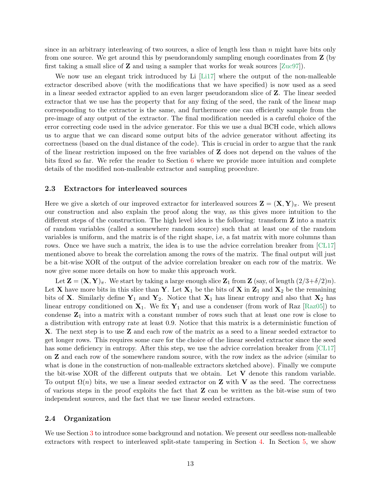since in an arbitrary interleaving of two sources, a slice of length less than  $n$  might have bits only from one source. We get around this by pseudorandomly sampling enough coordinates from Z (by first taking a small slice of **Z** and using a sampler that works for weak sources  $\left[ Zuc97 \right]$ .

We now use an elegant trick introduced by Li [\[Li17\]](#page-42-1) where the output of the non-malleable extractor described above (with the modifications that we have specified) is now used as a seed in a linear seeded extractor applied to an even larger pseudorandom slice of Z. The linear seeded extractor that we use has the property that for any fixing of the seed, the rank of the linear map corresponding to the extractor is the same, and furthermore one can efficiently sample from the pre-image of any output of the extractor. The final modification needed is a careful choice of the error correcting code used in the advice generator. For this we use a dual BCH code, which allows us to argue that we can discard some output bits of the advice generator without affecting its correctness (based on the dual distance of the code). This is crucial in order to argue that the rank of the linear restriction imposed on the free variables of Z does not depend on the values of the bits fixed so far. We refer the reader to Section  $6$  where we provide more intuition and complete details of the modified non-malleable extractor and sampling procedure.

#### 2.3 Extractors for interleaved sources

Here we give a sketch of our improved extractor for interleaved sources  $\mathbf{Z} = (\mathbf{X}, \mathbf{Y})_{\pi}$ . We present our construction and also explain the proof along the way, as this gives more intuition to the different steps of the construction. The high level idea is the following: transform Z into a matrix of random variables (called a somewhere random source) such that at least one of the random variables is uniform, and the matrix is of the right shape, i.e, a fat matrix with more columns than rows. Once we have such a matrix, the idea is to use the advice correlation breaker from [\[CL17\]](#page-40-6) mentioned above to break the correlation among the rows of the matrix. The final output will just be a bit-wise XOR of the output of the advice correlation breaker on each row of the matrix. We now give some more details on how to make this approach work.

Let  $\mathbf{Z} = (\mathbf{X}, \mathbf{Y})_{\pi}$ . We start by taking a large enough slice  $\mathbf{Z}_1$  from  $\mathbf{Z}$  (say, of length  $(2/3+\delta/2)n$ ). Let **X** have more bits in this slice than **Y**. Let **X**<sub>1</sub> be the bits of **X** in **Z**<sub>1</sub> and **X**<sub>2</sub> be the remaining bits of **X**. Similarly define  $Y_1$  and  $Y_2$ . Notice that  $X_1$  has linear entropy and also that  $X_2$  has linear entropy conditioned on  $X_1$ . We fix  $Y_1$  and use a condenser (from work of Raz [\[Raz05\]](#page-42-8)) to condense  $\mathbb{Z}_1$  into a matrix with a constant number of rows such that at least one row is close to a distribution with entropy rate at least 0.9. Notice that this matrix is a deterministic function of **X**. The next step is to use **Z** and each row of the matrix as a seed to a linear seeded extractor to get longer rows. This requires some care for the choice of the linear seeded extractor since the seed has some deficiency in entropy. After this step, we use the advice correlation breaker from [\[CL17\]](#page-40-6) on Z and each row of the somewhere random source, with the row index as the advice (similar to what is done in the construction of non-malleable extractors sketched above). Finally we compute the bit-wise XOR of the different outputs that we obtain. Let  $V$  denote this random variable. To output  $\Omega(n)$  bits, we use a linear seeded extractor on **Z** with **V** as the seed. The correctness of various steps in the proof exploits the fact that Z can be written as the bit-wise sum of two independent sources, and the fact that we use linear seeded extractors.

#### 2.4 Organization

We use Section [3](#page-14-0) to introduce some background and notation. We present our seedless non-malleable extractors with respect to interleaved split-state tampering in Section [4.](#page-18-1) In Section [5,](#page-26-0) we show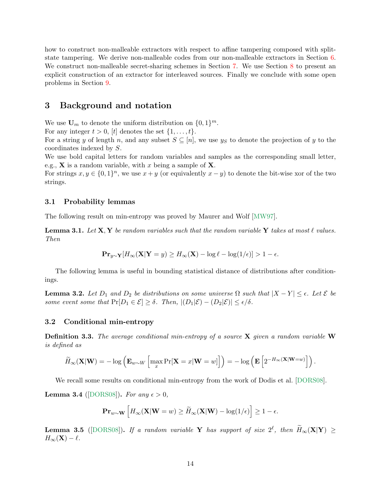how to construct non-malleable extractors with respect to affine tampering composed with splitstate tampering. We derive non-malleable codes from our non-malleable extractors in Section [6.](#page-28-0) We construct non-malleable secret-sharing schemes in Section [7.](#page-32-0) We use Section [8](#page-35-0) to present an explicit construction of an extractor for interleaved sources. Finally we conclude with some open problems in Section [9.](#page-38-3)

### <span id="page-14-0"></span>3 Background and notation

We use  $\mathbf{U}_m$  to denote the uniform distribution on  $\{0,1\}^m$ .

For any integer  $t > 0$ , [t] denotes the set  $\{1, \ldots, t\}$ .

For a string y of length n, and any subset  $S \subseteq [n]$ , we use ys to denote the projection of y to the coordinates indexed by S.

We use bold capital letters for random variables and samples as the corresponding small letter, e.g.,  $X$  is a random variable, with x being a sample of  $X$ .

For strings  $x, y \in \{0, 1\}^n$ , we use  $x + y$  (or equivalently  $x - y$ ) to denote the bit-wise xor of the two strings.

#### 3.1 Probability lemmas

The following result on min-entropy was proved by Maurer and Wolf [\[MW97\]](#page-42-9).

**Lemma 3.1.** Let  $X, Y$  be random variables such that the random variable Y takes at most  $\ell$  values. Then

$$
\mathbf{Pr}_{y \sim \mathbf{Y}}[H_{\infty}(\mathbf{X}|\mathbf{Y}=y) \ge H_{\infty}(\mathbf{X}) - \log \ell - \log(1/\epsilon)] > 1 - \epsilon.
$$

The following lemma is useful in bounding statistical distance of distributions after conditionings.

<span id="page-14-1"></span>**Lemma 3.2.** Let  $D_1$  and  $D_2$  be distributions on some universe  $\Omega$  such that  $|X - Y| \leq \epsilon$ . Let  $\mathcal{E}$  be some event some that  $Pr[D_1 \in \mathcal{E}] \geq \delta$ . Then,  $|(D_1|\mathcal{E}) - (D_2|\mathcal{E})| \leq \epsilon/\delta$ .

#### 3.2 Conditional min-entropy

**Definition 3.3.** The average conditional min-entropy of a source  $X$  given a random variable  $W$ is defined as

$$
\widetilde{H}_{\infty}(\mathbf{X}|\mathbf{W}) = -\log\left(\mathbf{E}_{w \sim W}\left[\max_{x} \Pr[\mathbf{X} = x | \mathbf{W} = w]\right]\right) = -\log\left(\mathbf{E}\left[2^{-H_{\infty}(\mathbf{X}|\mathbf{W}=w)}\right]\right).
$$

We recall some results on conditional min-entropy from the work of Dodis et al. [\[DORS08\]](#page-40-14).

**Lemma 3.4** ([\[DORS08\]](#page-40-14)). For any  $\epsilon > 0$ ,

$$
\mathbf{Pr}_{w \sim \mathbf{W}} \left[ H_{\infty}(\mathbf{X}|\mathbf{W}=w) \ge \widetilde{H}_{\infty}(\mathbf{X}|\mathbf{W}) - \log(1/\epsilon) \right] \ge 1 - \epsilon.
$$

**Lemma 3.5** ([\[DORS08\]](#page-40-14)). If a random variable Y has support of size  $2^{\ell}$ , then  $\widetilde{H}_{\infty}(\mathbf{X}|\mathbf{Y}) \geq$  $H_{\infty}(\mathbf{X}) - \ell$ .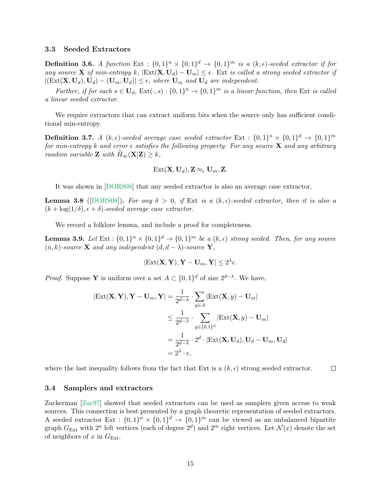#### 3.3 Seeded Extractors

**Definition 3.6.** A function  $Ext : \{0,1\}^n \times \{0,1\}^d \rightarrow \{0,1\}^m$  is a  $(k, \epsilon)$ -seeded extractor if for any source **X** of min-entropy k,  $|\text{Ext}(\mathbf{X}, \mathbf{U}_d) - \mathbf{U}_m| \leq \epsilon$ . Ext is called a strong seeded extractor if  $|(\text{Ext}(\mathbf{X}, \mathbf{U}_d), \mathbf{U}_d) - (\mathbf{U}_m, \mathbf{U}_d)| \leq \epsilon$ , where  $\mathbf{U}_m$  and  $\mathbf{U}_d$  are independent.

Further, if for each  $s \in \mathbf{U}_d$ ,  $\text{Ext}(\cdot, s) : \{0,1\}^n \to \{0,1\}^m$  is a linear function, then Ext is called a linear seeded extractor.

We require extractors that can extract uniform bits when the source only has sufficient conditional min-entropy.

**Definition 3.7.** A  $(k, \epsilon)$ -seeded average case seeded extractor Ext :  $\{0, 1\}^n \times \{0, 1\}^d \rightarrow \{0, 1\}^m$ for min-entropy k and error  $\epsilon$  satisfies the following property: For any source **X** and any arbitrary random variable **Z** with  $H_{\infty}(\mathbf{X}|\mathbf{Z}) \geq k$ ,

$$
Ext(\mathbf{X},\mathbf{U}_d),\mathbf{Z}\approx_{\epsilon}\mathbf{U}_m,\mathbf{Z}.
$$

It was shown in [\[DORS08\]](#page-40-14) that any seeded extractor is also an average case extractor.

**Lemma 3.8** ([\[DORS08\]](#page-40-14)). For any  $\delta > 0$ , if Ext is a  $(k, \epsilon)$ -seeded extractor, then it is also a  $(k + \log(1/\delta), \epsilon + \delta)$ -seeded average case extractor.

We record a folklore lemma, and include a proof for completeness.

<span id="page-15-1"></span>**Lemma 3.9.** Let Ext :  $\{0,1\}^n \times \{0,1\}^d \rightarrow \{0,1\}^m$  be a  $(k,\epsilon)$  strong seeded. Then, for any source  $(n, k)$ -source **X** and any independent  $(d, d - \lambda)$ -source **Y**,

$$
|\text{Ext}(\mathbf{X}, \mathbf{Y}), \mathbf{Y} - \mathbf{U}_m, \mathbf{Y}| \leq 2^{\lambda} \epsilon.
$$

*Proof.* Suppose Y is uniform over a set  $A \subset \{0,1\}^d$  of size  $2^{d-\lambda}$ . We have,

$$
|\text{Ext}(\mathbf{X}, \mathbf{Y}), \mathbf{Y} - \mathbf{U}_m, \mathbf{Y}| = \frac{1}{2^{d-\lambda}} \cdot \sum_{y \in A} |\text{Ext}(\mathbf{X}, y) - \mathbf{U}_m|
$$
  
\n
$$
\leq \frac{1}{2^{d-\lambda}} \cdot \sum_{y \in \{0,1\}^d} |\text{Ext}(\mathbf{X}, y) - \mathbf{U}_m|
$$
  
\n
$$
= \frac{1}{2^{d-\lambda}} \cdot 2^d \cdot |\text{Ext}(\mathbf{X}, \mathbf{U}_d), \mathbf{U}_d - \mathbf{U}_m, \mathbf{U}_d|
$$
  
\n
$$
= 2^{\lambda} \cdot \epsilon,
$$

where the last inequality follows from the fact that Ext is a  $(k, \epsilon)$  strong seeded extractor.  $\Box$ 

#### <span id="page-15-0"></span>3.4 Samplers and extractors

Zuckerman [\[Zuc97\]](#page-42-7) showed that seeded extractors can be used as samplers given access to weak sources. This connection is best presented by a graph theoretic representation of seeded extractors. A seeded extractor Ext :  $\{0,1\}^n \times \{0,1\}^d \rightarrow \{0,1\}^m$  can be viewed as an unbalanced bipartite graph  $G_{\text{Ext}}$  with  $2^n$  left vertices (each of degree  $2^d$ ) and  $2^m$  right vertices. Let  $\mathcal{N}(x)$  denote the set of neighbors of x in  $G_{\text{Ext}}$ .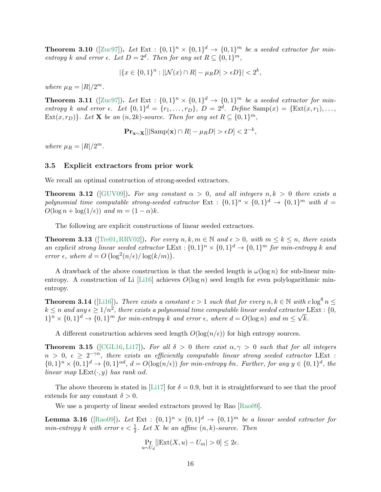**Theorem 3.10** ([\[Zuc97\]](#page-42-7)). Let  $Ext : \{0,1\}^n \times \{0,1\}^d \rightarrow \{0,1\}^m$  be a seeded extractor for minentropy k and error  $\epsilon$ . Let  $D = 2^d$ . Then for any set  $R \subseteq \{0,1\}^m$ ,

$$
|\{x \in \{0,1\}^n : |\mathcal{N}(x) \cap R| - \mu_R D| > \epsilon D\}| < 2^k,
$$

where  $\mu_R = |R|/2^m$ .

<span id="page-16-1"></span>**Theorem 3.11** ([\[Zuc97\]](#page-42-7)). Let  $Ext : \{0,1\}^n \times \{0,1\}^d \rightarrow \{0,1\}^m$  be a seeded extractor for minentropy k and error  $\epsilon$ . Let  $\{0,1\}^d = \{r_1,\ldots,r_D\}$ ,  $D = 2^d$ . Define Samp $(x) = \{\text{Ext}(x,r_1),\ldots,$ Ext $(x, r_D)$ . Let **X** be an  $(n, 2k)$ -source. Then for any set  $R \subseteq \{0, 1\}^m$ ,

$$
\mathbf{Pr}_{\mathbf{x}\sim\mathbf{X}}[||\text{Samp}(\mathbf{x})\cap R| - \mu_R D| > \epsilon D] < 2^{-k},
$$

where  $\mu_R = |R|/2^m$ .

#### 3.5 Explicit extractors from prior work

We recall an optimal construction of strong-seeded extractors.

<span id="page-16-0"></span>**Theorem 3.12** ([\[GUV09\]](#page-41-11)). For any constant  $\alpha > 0$ , and all integers  $n, k > 0$  there exists a polynomial time computable strong-seeded extractor  $Ext : \{0,1\}^n \times \{0,1\}^d \rightarrow \{0,1\}^m$  with  $d =$  $O(\log n + \log(1/\epsilon))$  and  $m = (1 - \alpha)k$ .

The following are explicit constructions of linear seeded extractors.

<span id="page-16-2"></span>**Theorem 3.13** ([\[Tre01,](#page-42-10) [RRV02\]](#page-42-11)). For every  $n, k, m \in \mathbb{N}$  and  $\epsilon > 0$ , with  $m \leq k \leq n$ , there exists an explicit strong linear seeded extractor LExt :  $\{0,1\}^n \times \{0,1\}^d \rightarrow \{0,1\}^m$  for min-entropy k and error  $\epsilon$ , where  $d = O\left(\log^2(n/\epsilon)/\log(k/m)\right)$ .

A drawback of the above construction is that the seeded length is  $\omega(\log n)$  for sub-linear min-entropy. A construction of Li [\[Li16\]](#page-41-12) achieves  $O(\log n)$  seed length for even polylogarithmic minentropy.

**Theorem 3.14** ([\[Li16\]](#page-41-12)). There exists a constant  $c > 1$  such that for every  $n, k \in \mathbb{N}$  with  $c \log^8 n \leq$  $k \leq n$  and any  $\epsilon \geq 1/n^2$ , there exists a polynomial time computable linear seeded extractor LExt : {0,}  $1\}^n \times \{0,1\}^d \to \{0,1\}^m$  for min-entropy k and error  $\epsilon$ , where  $d = O(\log n)$  and  $m \leq \sqrt{k}$ .

A different construction achieves seed length  $O(\log(n/\epsilon))$  for high entropy sources.

<span id="page-16-3"></span>**Theorem 3.15** ([\[CGL16,](#page-40-4) [Li17\]](#page-42-1)). For all  $\delta > 0$  there exist  $\alpha, \gamma > 0$  such that for all integers  $n > 0, \epsilon \geq 2^{-\gamma n}$ , there exists an efficiently computable linear strong seeded extractor LExt :  $\{0,1\}^n \times \{0,1\}^d \to \{0,1\}^{\alpha d}, d = O(\log(n/\epsilon))$  for min-entropy on. Further, for any  $y \in \{0,1\}^d$ , the linear map  $\text{LEX}(.,y)$  has rank  $\alpha d$ .

The above theorem is stated in [\[Li17\]](#page-42-1) for  $\delta = 0.9$ , but it is straightforward to see that the proof extends for any constant  $\delta > 0$ .

We use a property of linear seeded extractors proved by Rao [\[Rao09\]](#page-42-12).

<span id="page-16-4"></span>**Lemma 3.16** ([\[Rao09\]](#page-42-12)). Let Ext :  $\{0,1\}^n \times \{0,1\}^d \rightarrow \{0,1\}^m$  be a linear seeded extractor for min-entropy k with error  $\epsilon < \frac{1}{2}$ . Let X be an affine  $(n, k)$ -source. Then

$$
\Pr_{u \sim U_d} [|\text{Ext}(X, u) - U_m| > 0] \le 2\epsilon.
$$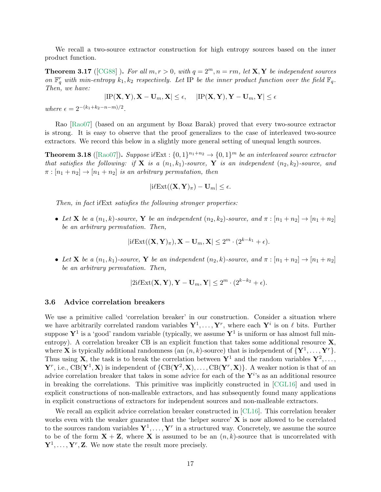We recall a two-source extractor construction for high entropy sources based on the inner product function.

<span id="page-17-0"></span>**Theorem 3.17** ([\[CG88\]](#page-39-14)). For all  $m, r > 0$ , with  $q = 2^m, n = rm$ , let **X**, **Y** be independent sources on  $\mathbb{F}_q^r$  with min-entropy  $k_1, k_2$  respectively. Let IP be the inner product function over the field  $\mathbb{F}_q$ . Then, we have:

$$
|\text{IP}(\mathbf{X}, \mathbf{Y}), \mathbf{X} - \mathbf{U}_m, \mathbf{X}| \le \epsilon, \quad |\text{IP}(\mathbf{X}, \mathbf{Y}), \mathbf{Y} - \mathbf{U}_m, \mathbf{Y}| \le \epsilon
$$

where  $\epsilon = 2^{-(k_1+k_2-n-m)/2}$ .

Rao [\[Rao07\]](#page-42-13) (based on an argument by Boaz Barak) proved that every two-source extractor is strong. It is easy to observe that the proof generalizes to the case of interleaved two-source extractors. We record this below in a slightly more general setting of unequal length sources.

<span id="page-17-1"></span>**Theorem 3.18** ([\[Rao07\]](#page-42-13)). Suppose i $\ell$ Ext :  $\{0,1\}^{n_1+n_2} \to \{0,1\}^m$  be an interleaved source extractor that satisfies the following: if **X** is a  $(n_1, k_1)$ -source, **Y** is an independent  $(n_2, k_2)$ -source, and  $\pi : [n_1 + n_2] \rightarrow [n_1 + n_2]$  is an arbitrary permutation, then

$$
|i\ell \text{Ext}((\mathbf{X}, \mathbf{Y})_{\pi}) - \mathbf{U}_{m}| \leq \epsilon.
$$

Then, in fact i $\ell$ Ext satisfies the following stronger properties:

• Let **X** be a  $(n_1, k)$ -source, **Y** be an independent  $(n_2, k_2)$ -source, and  $\pi : [n_1 + n_2] \rightarrow [n_1 + n_2]$ be an arbitrary permutation. Then,

$$
|i\ell \operatorname{Ext}((\mathbf{X}, \mathbf{Y})_{\pi}), \mathbf{X} - \mathbf{U}_{m}, \mathbf{X}| \leq 2^{m} \cdot (2^{k-k_1} + \epsilon).
$$

• Let **X** be a  $(n_1, k_1)$ -source, **Y** be an independent  $(n_2, k)$ -source, and  $\pi : [n_1 + n_2] \rightarrow [n_1 + n_2]$ be an arbitrary permutation. Then,

$$
|2i\ell \text{Ext}(\mathbf{X}, \mathbf{Y}), \mathbf{Y} - \mathbf{U}_m, \mathbf{Y}| \le 2^m \cdot (2^{k-k_2} + \epsilon).
$$

#### 3.6 Advice correlation breakers

We use a primitive called 'correlation breaker' in our construction. Consider a situation where we have arbitrarily correlated random variables  $\mathbf{Y}^1, \ldots, \mathbf{Y}^r$ , where each  $\mathbf{Y}^i$  is on  $\ell$  bits. Further suppose  $Y^1$  is a 'good' random variable (typically, we assume  $Y^1$  is uniform or has almost full minentropy). A correlation breaker CB is an explicit function that takes some additional resource  $X$ , where **X** is typically additional randomness (an  $(n, k)$ -source) that is independent of  $\{Y^1, \ldots, Y^r\}$ . Thus using **X**, the task is to break the correlation between  $Y^1$  and the random variables  $Y^2, \ldots$ ,  $\mathbf{Y}^r$ , i.e.,  $CB(\mathbf{Y}^1, \mathbf{X})$  is independent of  $\{CB(\mathbf{Y}^2, \mathbf{X}), \ldots, CB(\mathbf{Y}^r, \mathbf{X})\}$ . A weaker notion is that of an advice correlation breaker that takes in some advice for each of the  $Y^{i}$ 's as an additional resource in breaking the correlations. This primitive was implicitly constructed in [\[CGL16\]](#page-40-4) and used in explicit constructions of non-malleable extractors, and has subsequently found many applications in explicit constructions of extractors for independent sources and non-malleable extractors.

We recall an explicit advice correlation breaker constructed in [\[CL16\]](#page-40-11). This correlation breaker works even with the weaker guarantee that the 'helper source' **X** is now allowed to be correlated to the sources random variables  $Y^1, \ldots, Y^r$  in a structured way. Concretely, we assume the source to be of the form  $X + Z$ , where X is assumed to be an  $(n, k)$ -source that is uncorrelated with  ${\bf Y}^1, \ldots, {\bf Y}^r, {\bf Z}$ . We now state the result more precisely.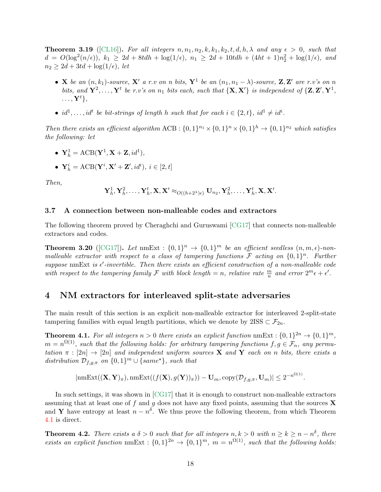<span id="page-18-4"></span>**Theorem 3.19** ([\[CL16\]](#page-40-11)). For all integers  $n, n_1, n_2, k, k_1, k_2, t, d, h, \lambda$  and any  $\epsilon > 0$ , such that  $d = O(\log^2(n/\epsilon)), k_1 \geq 2d + 8tdh + \log(1/\epsilon), n_1 \geq 2d + 10tdh + (4ht + 1)n_2^2 + \log(1/\epsilon),$  and  $n_2 \geq 2d + 3td + \log(1/\epsilon)$ , let

- X be an  $(n, k_1)$ -source, X' a r.v on n bits,  $Y^1$  be an  $(n_1, n_1 \lambda)$ -source, Z, Z' are r.v's on n bits, and  $Y^2, \ldots, Y^t$  be r.v's on  $n_1$  bits each, such that  $\{X, X'\}$  is independent of  $\{Z, Z', Y'\}$ ,  $\ldots, \mathbf{Y}^t\},\$
- id<sup>1</sup>,..., id<sup>t</sup> be bit-strings of length h such that for each  $i \in \{2, t\}$ , id<sup>1</sup>  $\neq id^i$ .

Then there exists an efficient algorithm ACB :  $\{0,1\}^{n_1} \times \{0,1\}^n \times \{0,1\}^h \to \{0,1\}^{n_2}$  which satisfies the following: let

•  $\mathbf{Y}_h^1 = \mathrm{ACB}(\mathbf{Y}^1, \mathbf{X} + \mathbf{Z}, id^1),$ 

• 
$$
\mathbf{Y}_h^i = \text{ACB}(\mathbf{Y}^i, \mathbf{X}' + \mathbf{Z}', id^i), i \in [2, t]
$$

Then,

$$
\mathbf{Y}_h^1, \mathbf{Y}_h^2, \ldots, \mathbf{Y}_h^t, \mathbf{X}, \mathbf{X}' \approx_{O((h+2\lambda)\epsilon)} \mathbf{U}_{n_2}, \mathbf{Y}_h^2, \ldots, \mathbf{Y}_h^t, \mathbf{X}, \mathbf{X}'.
$$

#### 3.7 A connection between non-malleable codes and extractors

The following theorem proved by Cheraghchi and Guruswami [\[CG17\]](#page-40-2) that connects non-malleable extractors and codes.

<span id="page-18-0"></span>**Theorem 3.20** ([\[CG17\]](#page-40-2)). Let  $\text{nmExt} : \{0,1\}^n \to \{0,1\}^m$  be an efficient seedless  $(n, m, \epsilon)$ -nonmalleable extractor with respect to a class of tampering functions  $\mathcal F$  acting on  $\{0,1\}^n$ . Further suppose nmExt is  $\epsilon'$ -invertible. Then there exists an efficient construction of a non-malleable code with respect to the tampering family F with block length = n, relative rate  $\frac{m}{n}$  and error  $2^m \epsilon + \epsilon'$ .

### <span id="page-18-1"></span>4 NM extractors for interleaved split-state adversaries

The main result of this section is an explicit non-malleable extractor for interleaved 2-split-state tampering families with equal length partitions, which we denote by  $2ISS \subset \mathcal{F}_{2n}$ .

<span id="page-18-2"></span>**Theorem 4.1.** For all integers  $n > 0$  there exists an explicit function nmExt :  $\{0, 1\}^{2n} \rightarrow \{0, 1\}^m$ ,  $m = n^{\Omega(1)}$ , such that the following holds: for arbitrary tampering functions  $f, g \in \mathcal{F}_n$ , any permutation  $\pi : [2n] \to [2n]$  and independent uniform sources **X** and **Y** each on n bits, there exists a distribution  $\mathcal{D}_{f,g,\pi}$  on  $\{0,1\}^m \cup \{same^{\star}\}\$ , such that

$$
|\text{nmExt}((\mathbf{X}, \mathbf{Y})_{\pi}), \text{nmExt}((f(\mathbf{X}), g(\mathbf{Y}))_{\pi})) - \mathbf{U}_{m}, \text{copy}(\mathcal{D}_{f,g,\pi}, \mathbf{U}_{m})| \leq 2^{-n^{\Omega(1)}}.
$$

In such settings, it was shown in [\[CG17\]](#page-40-2) that it is enough to construct non-malleable extractors assuming that at least one of f and g does not have any fixed points, assuming that the sources  $X$ and Y have entropy at least  $n - n^{\delta}$ . We thus prove the following theorem, from which Theorem [4](#page-18-2).1 is direct.

<span id="page-18-3"></span>**Theorem 4.2.** There exists a  $\delta > 0$  such that for all integers  $n, k > 0$  with  $n \geq k \geq n - n^{\delta}$ , there exists an explicit function nmExt :  $\{0,1\}^{2n} \to \{0,1\}^m$ ,  $m = n^{\Omega(1)}$ , such that the following holds: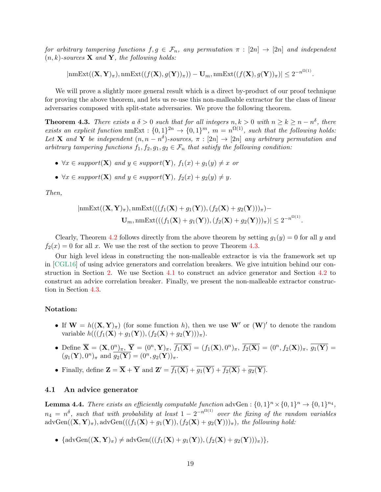for arbitrary tampering functions  $f, g \in \mathcal{F}_n$ , any permutation  $\pi : [2n] \to [2n]$  and independent  $(n, k)$ -sources **X** and **Y**, the following holds:

 $|\text{nmExt}((\mathbf{X}, \mathbf{Y})_{\pi}), \text{nmExt}((f(\mathbf{X}), g(\mathbf{Y}))_{\pi})) - \mathbf{U}_m, \text{nmExt}((f(\mathbf{X}), g(\mathbf{Y}))_{\pi})| \leq 2^{-n^{\Omega(1)}}.$ 

We will prove a slightly more general result which is a direct by-product of our proof technique for proving the above theorem, and lets us re-use this non-malleable extractor for the class of linear adversaries composed with split-state adversaries. We prove the following theorem.

<span id="page-19-0"></span>**Theorem 4.3.** There exists a  $\delta > 0$  such that for all integers  $n, k > 0$  with  $n \geq k \geq n - n^{\delta}$ , there exists an explicit function nmExt :  $\{0,1\}^{2n} \to \{0,1\}^m$ ,  $m = n^{\Omega(1)}$ , such that the following holds: Let **X** and **Y** be independent  $(n, n - n^{\delta})$ -sources,  $\pi : [2n] \rightarrow [2n]$  any arbitrary permutation and arbitrary tampering functions  $f_1, f_2, g_1, g_2 \in \mathcal{F}_n$  that satisfy the following condition:

- $\forall x \in support(\mathbf{X})$  and  $y \in support(\mathbf{Y}), f_1(x) + g_1(y) \neq x$  or
- $\forall x \in support(\mathbf{X})$  and  $y \in support(\mathbf{Y}), f_2(x) + g_2(y) \neq y$ .

Then,

$$
|\text{nmExt}((\mathbf{X}, \mathbf{Y})_{\pi}), \text{nmExt}(((f_1(\mathbf{X}) + g_1(\mathbf{Y})), (f_2(\mathbf{X}) + g_2(\mathbf{Y})))_{\pi}) -
$$
  

$$
\mathbf{U}_m, \text{nmExt}(((f_1(\mathbf{X}) + g_1(\mathbf{Y})), (f_2(\mathbf{X}) + g_2(\mathbf{Y})))_{\pi})| \leq 2^{-n^{\Omega(1)}}.
$$

Clearly, Theorem [4](#page-18-3).2 follows directly from the above theorem by setting  $q_1(y) = 0$  for all y and  $f_2(x) = 0$  for all x. We use the rest of the section to prove Theorem 4.[3.](#page-19-0)

Our high level ideas in constructing the non-malleable extractor is via the framework set up in [\[CGL16\]](#page-40-4) of using advice generators and correlation breakers. We give intuition behind our construction in Section [2.](#page-9-2) We use Section [4](#page-19-1).1 to construct an advice generator and Section [4](#page-23-0).2 to construct an advice correlation breaker. Finally, we present the non-malleable extractor construction in Section 4.[3.](#page-25-0)

#### Notation:

- If  $W = h((X, Y)<sub>\pi</sub>)$  (for some function h), then we use W' or  $(W)'$  to denote the random variable  $h(((f_1(\mathbf{X}) + g_1(\mathbf{Y})),(f_2(\mathbf{X}) + g_2(\mathbf{Y})))_{\pi}).$
- Define  $\overline{X} = (X, 0^n)_\pi, \overline{Y} = (0^n, Y)_\pi, \overline{f_1(X)} = (f_1(X), 0^n)_\pi, \overline{f_2(X)} = (0^n, f_2(X))_\pi, \overline{g_1(Y)} =$  $(g_1(\mathbf{Y}), 0^n)_{\pi}$  and  $\overline{g_2(\mathbf{Y})} = (0^n, g_2(\mathbf{Y}))_{\pi}$ .
- Finally, define  $\mathbf{Z} = \overline{\mathbf{X}} + \overline{\mathbf{Y}}$  and  $\mathbf{Z}' = \overline{f_1(\mathbf{X})} + \overline{g_1(\mathbf{Y})} + \overline{f_2(\mathbf{X})} + \overline{g_2(\mathbf{Y})}$ .

#### <span id="page-19-1"></span>4.1 An advice generator

<span id="page-19-2"></span>**Lemma 4.4.** There exists an efficiently computable function advGen:  $\{0,1\}^n \times \{0,1\}^n \rightarrow \{0,1\}^{n_4}$ ,  $n_4 = n<sup>δ</sup>$ , such that with probability at least  $1 - 2<sup>-n<sup>Ω(1)</sup></sup>$  over the fixing of the random variables  $\text{advGen}((\mathbf{X}, \mathbf{Y})_{\pi})$ , adv $\text{Gen}(((f_1(\mathbf{X}) + g_1(\mathbf{Y})), (f_2(\mathbf{X}) + g_2(\mathbf{Y})))_{\pi})$ , the following hold:

• { $advGen((\mathbf{X}, \mathbf{Y})_{\pi}) \neq advGen(((f_1(\mathbf{X}) + g_1(\mathbf{Y})), (f_2(\mathbf{X}) + g_2(\mathbf{Y})))_{\pi})$ },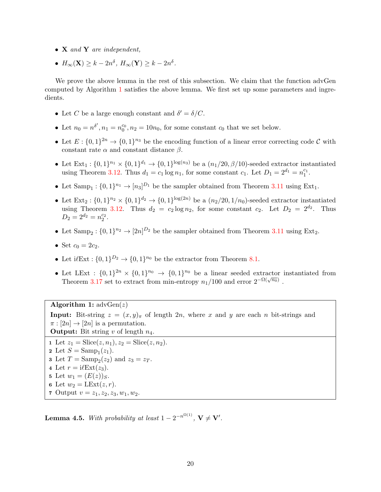- X and Y are independent,
- $H_{\infty}(\mathbf{X}) \geq k 2n^{\delta}, H_{\infty}(\mathbf{Y}) \geq k 2n^{\delta}.$

We prove the above lemma in the rest of this subsection. We claim that the function advGen computed by Algorithm [1](#page-20-0) satisfies the above lemma. We first set up some parameters and ingredients.

- Let C be a large enough constant and  $\delta' = \delta/C$ .
- Let  $n_0 = n^{\delta'}$ ,  $n_1 = n_0^{c_0}$ ,  $n_2 = 10n_0$ , for some constant  $c_0$  that we set below.
- Let  $E: \{0,1\}^{2n} \to \{0,1\}^{n_3}$  be the encoding function of a linear error correcting code C with constant rate  $\alpha$  and constant distance  $\beta$ .
- Let  $Ext_1: \{0,1\}^{n_1} \times \{0,1\}^{d_1} \rightarrow \{0,1\}^{\log(n_3)}$  be a  $(n_1/20,\beta/10)$ -seeded extractor instantiated using Theorem 3.[12.](#page-16-0) Thus  $d_1 = c_1 \log n_1$ , for some constant  $c_1$ . Let  $D_1 = 2^{d_1} = n_1^{c_1}$ .
- Let Samp<sub>1</sub>:  $\{0,1\}^{n_1} \rightarrow [n_3]^{D_1}$  be the sampler obtained from Theorem 3.[11](#page-16-1) using Ext<sub>1</sub>.
- Let  $\text{Ext}_2: \{0,1\}^{n_2} \times \{0,1\}^{d_2} \to \{0,1\}^{\log(2n)}$  be a  $(n_2/20,1/n_0)$ -seeded extractor instantiated using Theorem 3.[12.](#page-16-0) Thus  $d_2 = c_2 \log n_2$ , for some constant  $c_2$ . Let  $D_2 = 2^{d_2}$ . Thus  $D_2 = 2^{d_2} = n_2^{c_2}.$
- Let Samp<sub>2</sub>:  $\{0,1\}^{n_2} \rightarrow [2n]^{D_2}$  be the sampler obtained from Theorem 3.[11](#page-16-1) using Ext<sub>2</sub>.
- Set  $c_0 = 2c_2$ .
- Let  $i\ell$ Ext :  $\{0, 1\}^{D_2} \rightarrow \{0, 1\}^{n_0}$  be the extractor from Theorem 8.[1.](#page-35-1)
- Let LExt :  $\{0,1\}^{2n} \times \{0,1\}^{n_0} \rightarrow \{0,1\}^{n_0}$  be a linear seeded extractor instantiated from Theorem 3.[17](#page-17-0) set to extract from min-entropy  $n_1/100$  and error  $2^{-\Omega(\sqrt{n_0})}$ .

<span id="page-20-0"></span>Algorithm 1:  $\text{advGen}(z)$ **Input:** Bit-string  $z = (x, y)_{\pi}$  of length 2n, where x and y are each n bit-strings and  $\pi : [2n] \rightarrow [2n]$  is a permutation. **Output:** Bit string v of length  $n_4$ .

1 Let  $z_1 = \text{Slice}(z, n_1), z_2 = \text{Slice}(z, n_2).$ **2** Let  $S = \text{Samp}_1(z_1)$ . **3** Let  $T = \text{Samp}_2(z_2)$  and  $z_3 = z_T$ . 4 Let  $r = i \ell \text{Ext}(z_3)$ . 5 Let  $w_1 = (E(z))_S$ . 6 Let  $w_2 = \text{LEX}(z, r)$ . 7 Output  $v = z_1, z_2, z_3, w_1, w_2$ .

<span id="page-20-1"></span>**Lemma 4.5.** With probability at least  $1 - 2^{-n^{\Omega(1)}}$ ,  $V \neq V'$ .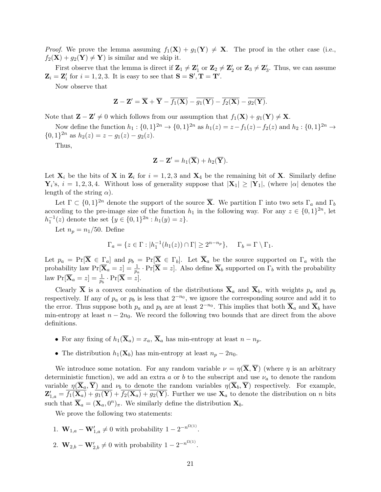*Proof.* We prove the lemma assuming  $f_1(\mathbf{X}) + g_1(\mathbf{Y}) \neq \mathbf{X}$ . The proof in the other case (i.e.,  $f_2(\mathbf{X}) + g_2(\mathbf{Y}) \neq \mathbf{Y}$  is similar and we skip it.

First observe that the lemma is direct if  $\mathbf{Z}_1 \neq \mathbf{Z}'_1$  or  $\mathbf{Z}_2 \neq \mathbf{Z}'_2$  or  $\mathbf{Z}_3 \neq \mathbf{Z}'_3$ . Thus, we can assume  $\mathbf{Z}_i = \mathbf{Z}'_i$  for  $i = 1, 2, 3$ . It is easy to see that  $\mathbf{S} = \mathbf{S}', \mathbf{T} = \mathbf{T}'$ .

Now observe that

$$
\mathbf{Z} - \mathbf{Z}' = \overline{\mathbf{X}} + \overline{\mathbf{Y}} - \overline{f_1(\mathbf{X})} - \overline{g_1(\mathbf{Y})} - \overline{f_2(\mathbf{X})} - \overline{g_2(\mathbf{Y})}.
$$

Note that  $\mathbf{Z} - \mathbf{Z}' \neq 0$  which follows from our assumption that  $f_1(\mathbf{X}) + g_1(\mathbf{Y}) \neq \mathbf{X}$ .

Now define the function  $h_1: \{0,1\}^{2n} \to \{0,1\}^{2n}$  as  $h_1(z) = z - f_1(z) - f_2(z)$  and  $h_2: \{0,1\}^{2n} \to$  ${0,1}^{2n}$  as  $h_2(z) = z - g_1(z) - g_2(z)$ .

Thus,

$$
\mathbf{Z} - \mathbf{Z}' = h_1(\overline{\mathbf{X}}) + h_2(\overline{\mathbf{Y}}).
$$

Let  $X_i$  be the bits of X in  $Z_i$  for  $i = 1, 2, 3$  and  $X_4$  be the remaining bit of X. Similarly define  $\mathbf{Y}_i$ 's,  $i = 1, 2, 3, 4$ . Without loss of generality suppose that  $|\mathbf{X}_1| \geq |\mathbf{Y}_1|$ , (where  $|\alpha|$  denotes the length of the string  $\alpha$ ).

Let  $\Gamma \subset \{0,1\}^{2n}$  denote the support of the source  $\overline{X}$ . We partition  $\Gamma$  into two sets  $\Gamma_a$  and  $\Gamma_b$ according to the pre-image size of the function  $h_1$  in the following way. For any  $z \in \{0,1\}^{2n}$ , let  $h_1^{-1}(z)$  denote the set  $\{y \in \{0,1\}^{2n} : h_1(y) = z\}.$ 

Let  $n_p = n_1/50$ . Define

$$
\Gamma_a = \{ z \in \Gamma : |h_1^{-1}(h_1(z)) \cap \Gamma| \ge 2^{n-n_p} \}, \quad \Gamma_b = \Gamma \setminus \Gamma_1.
$$

Let  $p_a = Pr[\mathbf{X} \in \Gamma_a]$  and  $p_b = Pr[\mathbf{X} \in \Gamma_b]$ . Let  $\mathbf{X}_a$  be the source supported on  $\Gamma_a$  with the probability law  $Pr[\overline{X}_a = z] = \frac{1}{p_a} \cdot Pr[\overline{X} = z]$ . Also define  $\overline{X}_b$  supported on  $\Gamma_b$  with the probability law  $Pr[\overline{\mathbf{X}}_a = z] = \frac{1}{p_b} \cdot Pr[\overline{\mathbf{X}} = z].$ 

Clearly  $\overline{X}$  is a convex combination of the distributions  $\overline{X}_a$  and  $\overline{X}_b$ , with weights  $p_a$  and  $p_b$ respectively. If any of  $p_a$  or  $p_b$  is less that  $2^{-n_0}$ , we ignore the corresponding source and add it to the error. Thus suppose both  $p_a$  and  $p_b$  are at least  $2^{-n_0}$ . This implies that both  $\overline{X}_a$  and  $\overline{X}_b$  have min-entropy at least  $n - 2n_0$ . We record the following two bounds that are direct from the above definitions.

- For any fixing of  $h_1(\overline{\mathbf{X}}_a) = x_a$ ,  $\overline{\mathbf{X}}_a$  has min-entropy at least  $n n_p$ .
- The distribution  $h_1(\mathbf{X}_b)$  has min-entropy at least  $n_p 2n_0$ .

We introduce some notation. For any random variable  $\nu = \eta(\mathbf{\overline{X}}, \mathbf{\overline{Y}})$  (where  $\eta$  is an arbitrary deterministic function), we add an extra a or b to the subscript and use  $\nu_a$  to denote the random variable  $\eta(\overline{\mathbf{X}}_a, \overline{\mathbf{Y}})$  and  $\nu_b$  to denote the random variables  $\eta(\overline{\mathbf{X}}_b, \overline{\mathbf{Y}})$  respectively. For example,  $\mathbf{Z}_{1,a}' = \overline{f_1(\mathbf{X}_a)} + \overline{g_1(\mathbf{Y})} + \overline{f_2(\mathbf{X}_a)} + \overline{g_2(\mathbf{Y})}$ . Further we use  $\mathbf{X}_a$  to denote the distribution on n bits such that  $\overline{\mathbf{X}}_a = (\mathbf{X}_a, 0^n)_{\pi}$ . We similarly define the distribution  $\mathbf{X}_b$ .

We prove the following two statements:

- 1.  $\mathbf{W}_{1,a} \mathbf{W}'_{1,a} \neq 0$  with probability  $1 2^{-n^{\Omega(1)}}$ .
- 2.  $\mathbf{W}_{2,b} \mathbf{W}'_{2,b} \neq 0$  with probability  $1 2^{-n^{\Omega(1)}}$ .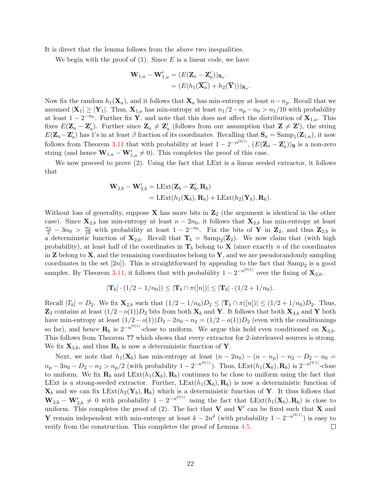It is direct that the lemma follows from the above two inequalities.

We begin with the proof of  $(1)$ . Since E is a linear code, we have

$$
\mathbf{W}_{1,a} - \mathbf{W}'_{1,a} = (E(\mathbf{Z}_a - \mathbf{Z}'_a))_{\mathbf{S}_a}.
$$
  
= 
$$
(E(h_1(\overline{\mathbf{X}_a}) + h_2(\overline{\mathbf{Y}})))_{\mathbf{S}_a}.
$$

Now fix the random  $h_1(\mathbf{X}_a)$ , and it follows that  $\mathbf{X}_a$  has min-entropy at least  $n-n_p$ . Recall that we assumed  $|\mathbf{X}_1| \geq |\mathbf{Y}_1|$ . Thus,  $\mathbf{X}_{1,a}$  has min-entropy at least  $n_1/2-n_p-n_0 > n_1/10$  with probability at least  $1 - 2^{-n_0}$ . Further fix Y, and note that this does not affect the distribution of  $\mathbf{X}_{1,a}$ . This fixes  $E(\mathbf{Z}_a - \mathbf{Z}'_a)$ . Further since  $\mathbf{Z}_a \neq \mathbf{Z}'_a$  (follows from our assumption that  $\mathbf{Z} \neq \mathbf{Z}'$ ), the string  $E(\mathbf{Z}_a - \mathbf{Z}_a')$  has 1's in at least  $\beta$  fraction of its coordinates. Recalling that  $\mathbf{S}_a = \text{Samp}_1(\mathbf{Z}_{1,a})$ , it now follows from Theorem 3.[11](#page-16-1) that with probability at least  $1 - 2^{-n^{\Omega(1)}}$ ,  $(E(\mathbf{Z}_a - \mathbf{Z}'_a))_{\mathbf{S}}$  is a non-zero string (and hence  $\mathbf{W}_{1,a} - \mathbf{W}'_{1,a} \neq 0$ ). This completes the proof of this case.

We now proceed to prove (2). Using the fact that LExt is a linear seeded extractor, it follows that

$$
\mathbf{W}_{2,b} - \mathbf{W}'_{2,b} = \text{LEXt}(\mathbf{Z}_b - \mathbf{Z}'_b, \mathbf{R}_b)
$$
  
= 
$$
\text{LEXt}(h_1(\mathbf{X}_b), \mathbf{R}_b) + \text{LEXt}(h_2(\mathbf{Y}_b), \mathbf{R}_b).
$$

Without loss of generality, suppose  $X$  has more bits in  $Z_2$  (the argument is identical in the other case). Since  $\mathbf{X}_{2,b}$  has min-entropy at least  $n - 2n_0$ , it follows that  $\mathbf{X}_{2,b}$  has min-entropy at least  $\frac{n_2}{2} - 3n_0 > \frac{n_2}{10}$  with probability at least  $1 - 2^{-n_0}$ . Fix the bits of Y in Z<sub>2</sub>, and thus Z<sub>2,b</sub> is a deterministic function of  $\mathbf{X}_{2,b}$ . Recall that  $\mathbf{T}_b = \text{Samp}_2(\mathbf{Z}_2)$ . We now claim that (with high probability), at least half of the coordinates in  $\mathbf{T}_b$  belong to  $\mathbf X$  (since exactly n of the coordinates in  $Z$  belong to  $X$ , and the remaining coordinates belong to  $Y$ , and we are pseudorandomly sampling coordinates in the set  $[2n]$ ). This is straightforward by appealing to the fact that  $\text{Samp}_2$  is a good sampler. By Theorem 3.[11,](#page-16-1) it follows that with probability  $1 - 2^{-n^{\Omega(1)}}$  over the fixing of  $\mathbf{X}_{2,b}$ ,

$$
|\mathbf{T}_b| \cdot (1/2 - 1/n_0) \leq |\mathbf{T}_b \cap \pi([n])| \leq |\mathbf{T}_b| \cdot (1/2 + 1/n_0).
$$

Recall  $|T_b| = D_2$ . We fix  $\mathbf{X}_{2,b}$  such that  $(1/2 - 1/n_0)D_2 \leq |\mathbf{T}_b \cap \pi([n])| \leq (1/2 + 1/n_0)D_2$ . Thus,  $\mathbf{Z}_3$  contains at least  $(1/2-o(1))D_2$  bits from both  $\mathbf{X}_b$  and Y. It follows that both  $\mathbf{X}_{3,b}$  and Y both have min-entropy at least  $(1/2 - o(1))D_2 - 2n_0 - n_2 = (1/2 - o(1))D_2$  (even with the conditionings so far), and hence  $\mathbf{R}_b$  is  $2^{-n^{\Omega(1)}}$ -close to uniform. We argue this hold even conditioned on  $\mathbf{X}_{3,b}$ . This follows from Theorem ?? which shows that every extractor for 2-interleaved sources is strong. We fix  $\mathbf{X}_{3,b}$ , and thus  $\mathbf{R}_b$  is now a deterministic function of Y.

Next, we note that  $h_1(\mathbf{X}_b)$  has min-entropy at least  $(n - 2n_0) - (n - n_p) - n_2 - D_2 - n_0 =$  $n_p - 3n_0 - D_2 - n_2 > n_p/2$  (with probability  $1 - 2^{-n^{\Omega(1)}}$ ). Thus, LExt $(h_1(\mathbf{X}_b), \mathbf{R}_b)$  is  $2^{-n^{\Omega(1)}}$ -close to uniform. We fix  $\mathbf{R}_b$  and  $\text{LEX}(h_1(\mathbf{X}_b), \mathbf{R}_b)$  continues to be close to uniform using the fact that LExt is a strong-seeded extractor. Further,  $\text{LExt}(h_1(\mathbf{X}_b), \mathbf{R}_b)$  is now a deterministic function of  $\mathbf{X}_b$  and we can fix  $\text{LExt}(h_2(\mathbf{Y}_b), \mathbf{R}_b)$  which is a deterministic function of Y. It thus follows that  $\mathbf{W}_{2,b} - \mathbf{W}'_{2,b} \neq 0$  with probability  $1 - 2^{-n^{\Omega(1)}}$  using the fact that  $\text{LEX}(h_1(\mathbf{X}_b), \mathbf{R}_b)$  is close to uniform. This completes the proof of (2). The fact that  $V$  and  $V'$  can be fixed such that  $X$  and Y remain independent with min-entropy at least  $k - 2n^{\delta}$  (with probability  $1 - 2^{-n^{\Omega(1)}}$ ) is easy to verify from the construction. This completes the proof of Lemma 4.[5.](#page-20-1)  $\Box$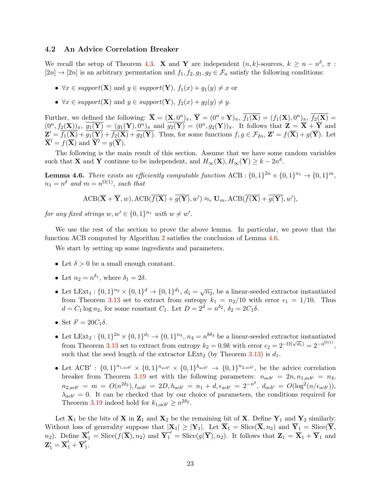#### <span id="page-23-0"></span>4.2 An Advice Correlation Breaker

We recall the setup of Theorem 4.[3.](#page-19-0) X and Y are independent  $(n, k)$ -sources,  $k \geq n - n^{\delta}$ ,  $\pi$ :  $[2n] \rightarrow [2n]$  is an arbitrary permutation and  $f_1, f_2, g_1, g_2 \in \mathcal{F}_n$  satisfy the following conditions:

- $\forall x \in support(\mathbf{X}) \text{ and } y \in support(\mathbf{Y}), f_1(x) + g_1(y) \neq x \text{ or }$
- $\forall x \in support(\mathbf{X}) \text{ and } y \in support(\mathbf{Y}), f_2(x) + g_2(y) \neq y.$

Further, we defined the following:  $\overline{\mathbf{X}} = (\mathbf{X}, 0^n)_{\pi}$ ,  $\overline{\mathbf{Y}} = (0^n \circ \mathbf{Y})_{\pi}$ ,  $\overline{f_1(\mathbf{X})} = (f_1(\mathbf{X}), 0^n)_{\pi}$ ,  $\overline{f_2(\mathbf{X})} =$  $(0^n, f_2(\mathbf{X}))_\pi$ ,  $\overline{g_1(\mathbf{Y})} = (g_1(\mathbf{Y}), 0^n)_\pi$  and  $\overline{g_2(\mathbf{Y})} = (0^n, g_2(\mathbf{Y}))_\pi$ . It follows that  $\mathbf{Z} = \overline{\mathbf{X}} + \overline{\mathbf{Y}}$  and  $\mathbf{Z}' = \overline{f_1(\mathbf{X})} + \overline{g_1(\mathbf{Y})} + \overline{f_2(\mathbf{X})} + \overline{g_2(\mathbf{Y})}$ . Thus, for some functions  $f, g \in \mathcal{F}_{2n}, \mathbf{Z}' = f(\overline{\mathbf{X}}) + g(\overline{\mathbf{Y}})$ . Let  $\overline{\mathbf{X}'} = f(\overline{\mathbf{X}})$  and  $\overline{\mathbf{Y}'} = g(\overline{\mathbf{Y}})$ .

The following is the main result of this section. Assume that we have some random variables such that **X** and **Y** continue to be independent, and  $H_{\infty}(\mathbf{X}), H_{\infty}(\mathbf{Y}) \geq k - 2n^{\delta}$ .

<span id="page-23-2"></span>**Lemma 4.6.** There exists an efficiently computable function  $ACB: \{0,1\}^{2n} \times \{0,1\}^{n_1} \rightarrow \{0,1\}^m$ ,  $n_1 = n^{\delta}$  and  $m = n^{\Omega(1)}$ , such that

$$
\text{ACB}(\overline{\mathbf{X}} + \overline{\mathbf{Y}}, w), \text{ACB}(\overline{f(\mathbf{X})} + \overline{g(\mathbf{Y})}, w') \approx_{\epsilon} \mathbf{U}_m, \text{ACB}(\overline{f(\mathbf{X})} + \overline{g(\mathbf{Y})}, w'),
$$

for any fixed strings  $w, w' \in \{0, 1\}^{n_1}$  with  $w \neq w'$ .

We use the rest of the section to prove the above lemma. In particular, we prove that the function ACB computed by Algorithm [2](#page-23-1) satisfies the conclusion of Lemma 4.[6.](#page-23-2)

We start by setting up some ingredients and parameters.

- Let  $\delta > 0$  be a small enough constant.
- Let  $n_2 = n^{\delta_1}$ , where  $\delta_1 = 2\delta$ .
- Let  $\text{LEX}_1: \{0,1\}^{n_2} \times \{0,1\}^d \to \{0,1\}^{d_1}, d_1 = \sqrt{n_2}$ , be a linear-seeded extractor instantiated from Theorem 3.[13](#page-16-2) set to extract from entropy  $k_1 = n_2/10$  with error  $\epsilon_1 = 1/10$ . Thus  $d = C_1 \log n_2$ , for some constant  $C_1$ . Let  $D = 2^d = n^{\delta_2}$ ,  $\delta_2 = 2C_1 \delta$ .
- Set  $\delta' = 20C_1\delta$ .
- Let  $\text{LEX}_2: \{0,1\}^{2n} \times \{0,1\}^{d_1} \to \{0,1\}^{n_4}$ ,  $n_4 = n^{8\delta_3}$  be a linear-seeded extractor instantiated from Theorem 3.[13](#page-16-2) set to extract from entropy  $k_2 = 0.9k$  with error  $\epsilon_2 = 2^{-\Omega(\sqrt{d_1})} = 2^{-n^{\Omega(1)}}$ , such that the seed length of the extractor  $\text{LEX}{}_{2}$  (by Theorem 3.[13\)](#page-16-2) is  $d_1$ .
- Let ACB':  $\{0,1\}^{n_{1,acb'}} \times \{0,1\}^{n_{acb'}} \times \{0,1\}^{h_{acb'}} \rightarrow \{0,1\}^{n_{2,acb'}}$ , be the advice correlation breaker from Theorem 3.[19](#page-18-4) set with the following parameters:  $n_{acb'} = 2n, n_{1,acb'} = n_4$ ,  $n_{2,acb'} = m = O(n^{2\delta_2}), t_{acb'} = 2D, h_{acb'} = n_1 + d, \epsilon_{acb'} = 2^{-n^{\delta}}, d_{acb'} = O(\log^2(n/\epsilon_{acb'})),$  $\lambda_{acb'} = 0$ . It can be checked that by our choice of parameters, the conditions required for Theorem 3.[19](#page-18-4) indeed hold for  $k_{1,acb'} \geq n^{2\delta_2}$ .

<span id="page-23-1"></span>Let  $X_1$  be the bits of X in  $Z_1$  and  $X_2$  be the remaining bit of X. Define  $Y_1$  and  $Y_2$  similarly. Without loss of generality suppose that  $|\mathbf{X}_1| \geq |\mathbf{Y}_1|$ . Let  $\overline{\mathbf{X}}_1 = \text{Slice}(\overline{\mathbf{X}}, n_2)$  and  $\overline{\mathbf{Y}}_1 = \text{Slice}(\overline{\mathbf{Y}}, n_1)$  $n_2$ ). Define  $\overline{X}'_1 = \text{Slice}(f(\overline{X}), n_2)$  and  $\overline{Y}'_1 = \text{Slice}(g(\overline{Y}), n_2)$ . It follows that  $Z_1 = \overline{X}_1 + \overline{Y}_1$  and  $\overline{{\bf Z}_1'} = \overline{{\bf X}}_1' + \overline{{\bf Y}}_1'$  $\frac{1}{1}$ .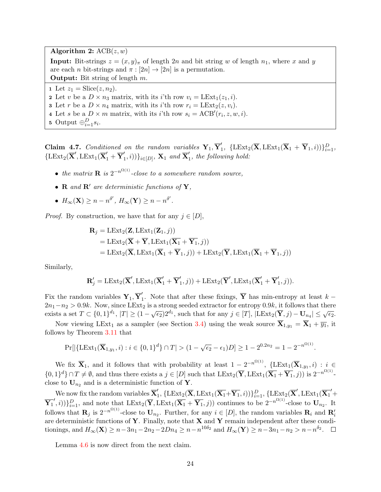Algorithm 2:  $ACB(z, w)$ **Input:** Bit-strings  $z = (x, y)_{\pi}$  of length 2n and bit string w of length  $n_1$ , where x and y are each *n* bit-strings and  $\pi : [2n] \rightarrow [2n]$  is a permutation. **Output:** Bit string of length  $m$ . 1 Let  $z_1 = \text{Slice}(z, n_2)$ . 2 Let v be a  $D \times n_3$  matrix, with its i'th row  $v_i = \text{LEX}_1(z_1, i)$ . **3** Let r be a  $D \times n_4$  matrix, with its i'th row  $r_i = \text{LEX}_2(z, v_i)$ . 4 Let s be a  $D \times m$  matrix, with its i'th row  $s_i = ACB'(r_i, z, w, i)$ . 5 Output  $\bigoplus_{i=1}^D s_i$ .

<span id="page-24-0"></span>**Claim 4.7.** Conditioned on the random variables  $Y_1, \overline{Y}'_1$  $\{ \text{LEX}_2(\overline{\mathbf{X}}, \text{LEX}_1(\overline{\mathbf{X}}_1 + \overline{\mathbf{Y}}_1, i)) \}_{i=1}^D$  $\{{\rm LExt}_2(\overline{{\bf X}}', {\rm LExt}_1(\overline{{\bf X}}'_1 + \overline{{\bf Y}}'_1)$  $\{(\mathbf{x}_1, i))\}_{i \in [D]}, \mathbf{X}_1$  and  $\overline{\mathbf{X}}_1'$  $\int_1$ , the following hold:

- the matrix **R** is  $2^{-n^{\Omega(1)}}$ -close to a somewhere random source,
- R and  $\mathbf{R}'$  are deterministic functions of Y,
- $H_{\infty}(\mathbf{X}) \geq n n^{\delta'}$ ,  $H_{\infty}(\mathbf{Y}) \geq n n^{\delta'}$ .

*Proof.* By construction, we have that for any  $j \in [D]$ ,

$$
\mathbf{R}_{j} = \text{LEX}_{2}(\mathbf{Z}, \text{LEX}_{1}(\mathbf{Z}_{1}, j))
$$
  
=  $\text{LEX}_{2}(\overline{\mathbf{X}} + \overline{\mathbf{Y}}, \text{LEX}_{1}(\overline{\mathbf{X}}_{1} + \overline{\mathbf{Y}}_{1}, j))$   
=  $\text{LEX}_{2}(\overline{\mathbf{X}}, \text{LEX}_{1}(\overline{\mathbf{X}}_{1} + \overline{\mathbf{Y}}_{1}, j)) + \text{LEX}_{2}(\overline{\mathbf{Y}}, \text{LEX}_{1}(\overline{\mathbf{X}}_{1} + \overline{\mathbf{Y}}_{1}, j))$ 

Similarly,

$$
\mathbf{R}'_j = \text{LEX}_2(\overline{\mathbf{X}}', \text{LEX}_1(\overline{\mathbf{X}}'_1 + \overline{\mathbf{Y}}'_1, j)) + \text{LEX}_2(\overline{\mathbf{Y}}', \text{LEX}_1(\overline{\mathbf{X}}'_1 + \overline{\mathbf{Y}}'_1, j)).
$$

Fix the random variables  $\mathbf{Y}_1, \overline{\mathbf{Y}}'_1$ 1. Note that after these fixings,  $\overline{Y}$  has min-entropy at least  $k 2n_1-n_2 > 0.9k$ . Now, since LExt<sub>2</sub> is a strong seeded extractor for entropy 0.9k, it follows that there exists a set  $T \subset \{0,1\}^{d_1}$ ,  $|T| \geq (1-\sqrt{\epsilon_2})2^{d_1}$ , such that for any  $j \in [T]$ ,  $|\text{LExt}_2(\overline{Y},j) - U_{n_4}| \leq \sqrt{\epsilon_2}$ .

Now viewing LExt<sub>1</sub> as a sampler (see Section 3.[4\)](#page-15-0) using the weak source  $\overline{\mathbf{X}}_{1,y_1} = \overline{\mathbf{X}}_1 + \overline{y_1}$ , it follows by Theorem 3.[11](#page-16-1) that

$$
\Pr[|\{\text{LEX}_1(\overline{\mathbf{X}}_{1,y_1},i):i\in\{0,1\}^d\}\cap T|>(1-\sqrt{\epsilon_2}-\epsilon_1)D]\geq 1-2^{0.2n_2}=1-2^{-n^{\Omega(1)}}.
$$

We fix  $\overline{\mathbf{X}}_1$ , and it follows that with probability at least  $1 - 2^{-n^{\Omega(1)}}$ ,  $\{\text{LEX}_1(\overline{\mathbf{X}}_{1,y_1},i): i \in$  $\{0,1\}^d\}\cap T \neq \emptyset$ , and thus there exists a  $j \in [D]$  such that  $\text{LEX}_2(\overline{Y}, \text{LEX}_1(\overline{X}_1 + \overline{Y}_1, j))$  is  $2^{-n^{\Omega(1)}}$ close to  $\mathbf{U}_{n_2}$  and is a deterministic function of **Y**.

We now fix the random variables  $\overline{\mathbf{X}}_1'$  $\{ \text{LEX}_2(\overline{\mathbf{X}}, \text{LEX}_1(\overline{\mathbf{X}_1} + \overline{\mathbf{Y}_1}, i)) \}_{i=1}^D, \{ \text{LEX}_2(\overline{\mathbf{X}}', \text{LEX}_1(\overline{\mathbf{X}_1}' +$  $\overline{Y_1}'$ , i)) $\}_{i=1}^D$ , and note that  $\text{LEX}_2(\overline{Y}, \text{LEX}_1(\overline{X_1} + \overline{Y_1}, j))$  continues to be  $2^{-n^{\Omega(1)}}$ -close to  $U_{n_2}$ . It follows that  $\mathbf{R}_j$  is  $2^{-n^{\Omega(1)}}$ -close to  $\mathbf{U}_{n_2}$ . Further, for any  $i \in [D]$ , the random variables  $\mathbf{R}_i$  and  $\mathbf{R}'_i$ are deterministic functions of Y. Finally, note that  $X$  and Y remain independent after these conditionings, and  $H_{\infty}(\mathbf{X}) \ge n - 3n_1 - 2n_2 - 2Dn_4 \ge n - n^{10\delta_2}$  and  $H_{\infty}(\mathbf{Y}) \ge n - 3n_1 - n_2 > n - n^{\delta_2}$ .

Lemma [4](#page-23-2).6 is now direct from the next claim.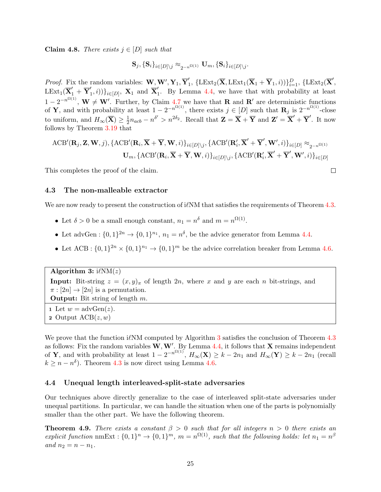**Claim 4.8.** There exists  $j \in [D]$  such that

$$
\mathbf{S}_j, \{\mathbf{S}_i\}_{i\in[D]\setminus j} \approx_{2^{-n^{\Omega(1)}}} \mathbf{U}_m, \{\mathbf{S}_i\}_{i\in[D]\setminus j}.
$$

*Proof.* Fix the random variables:  $W, W', Y_1, \overline{Y}'_1$  $\mathbf{1}_1, \{\text{LEX}(\overline{\mathbf{X}}, \text{LEX}(\overline{\mathbf{X}}_1 + \overline{\mathbf{Y}}_1, i))\}_{i=1}^D, \{\text{LEX}(\mathbf{X}', \overline{\mathbf{X}}')\}$  $\text{LEX}{}_{1}(\overline{\mathbf{X}}_{1}^{\prime} + \overline{\mathbf{Y}}_{1}^{\prime}$  $\{\boldsymbol{X}_1, i)\} \}_{i \in [D]}, \ \mathbf{X}_1 \ \text{ and } \ \mathbf{\overline{X}}_1$  $\int_1$ . By Lemma 4.[4,](#page-19-2) we have that with probability at least  $1-2^{-n^{\Omega(1)}}, \mathbf{W} \neq \mathbf{W}'$ . Further, by Claim [4](#page-24-0).7 we have that **R** and **R'** are deterministic functions of **Y**, and with probability at least  $1 - 2^{-n^{\Omega(1)}}$ , there exists  $j \in [D]$  such that  $\mathbf{R}_j$  is  $2^{-n^{\Omega(1)}}$ -close to uniform, and  $H_{\infty}(\mathbf{\overline{X}}) \geq \frac{1}{2}$  $\frac{1}{2}n_{acb} - n^{\delta'} > n^{2\delta_2}$ . Recall that  $\mathbf{Z} = \dot{\overline{\mathbf{X}}} + \overline{\mathbf{Y}}$  and  $\mathbf{Z}' = \dot{\overline{\mathbf{X}}} + \overline{\mathbf{Y}}'$ . It now follows by Theorem 3.[19](#page-18-4) that

$$
\begin{aligned} \text{ACB}'(\mathbf{R}_j, \mathbf{Z}, \mathbf{W}, j), \{\text{ACB}'(\mathbf{R}_i, \overline{\mathbf{X}} + \overline{\mathbf{Y}}, \mathbf{W}, i)\}_{i \in [D] \setminus j}, \{\text{ACB}'(\mathbf{R}_i', \overline{\mathbf{X}}' + \overline{\mathbf{Y}}', \mathbf{W}', i)\}_{i \in [D]} \approx_{2^{-n^{\Omega(1)}}} \\ & \mathbf{U}_m, \{\text{ACB}'(\mathbf{R}_i, \overline{\mathbf{X}} + \overline{\mathbf{Y}}, \mathbf{W}, i)\}_{i \in [D] \setminus j}, \{\text{ACB}'(\mathbf{R}_i', \overline{\mathbf{X}}' + \overline{\mathbf{Y}}', \mathbf{W}', i)\}_{i \in [D]} \end{aligned}
$$

 $\Box$ 

This completes the proof of the claim.

#### <span id="page-25-0"></span>4.3 The non-malleable extractor

We are now ready to present the construction of i $\ell$ NM that satisfies the requirements of Theorem 4.[3.](#page-19-0)

- Let  $\delta > 0$  be a small enough constant,  $n_1 = n^{\delta}$  and  $m = n^{\Omega(1)}$ .
- Let advGen :  $\{0,1\}^{2n} \to \{0,1\}^{n_1}$ ,  $n_1 = n^{\delta}$ , be the advice generator from Lemma [4.](#page-19-2)4.
- Let ACB :  $\{0,1\}^{2n} \times \{0,1\}^{n_1} \rightarrow \{0,1\}^m$  be the advice correlation breaker from Lemma 4.[6.](#page-23-2)

<span id="page-25-1"></span>Algorithm 3:  $i\ell N M(z)$ **Input:** Bit-string  $z = (x, y)_{\pi}$  of length 2n, where x and y are each n bit-strings, and  $\pi : [2n] \rightarrow [2n]$  is a permutation. Output: Bit string of length m. 1 Let  $w = \text{advGen}(z)$ . 2 Output  $ACB(z, w)$ 

We prove that the function  $i\ell N M$  computed by Algorithm [3](#page-25-1) satisfies the conclusion of Theorem [4](#page-19-0).3 as follows: Fix the random variables  $W, W'$ . By Lemma 4.[4,](#page-19-2) it follows that X remains independent of **Y**, and with probability at least  $1 - 2^{-n^{\Omega(1)}}$ ,  $H_{\infty}(\mathbf{X}) \geq k - 2n_1$  and  $H_{\infty}(\mathbf{Y}) \geq k - 2n_1$  (recall  $k \geq n - n^{\delta}$ . Theorem [4](#page-19-0).3 is now direct using Lemma 4.[6.](#page-23-2)

#### 4.4 Unequal length interleaved-split-state adversaries

Our techniques above directly generalize to the case of interleaved split-state adversaries under unequal partitions. In particular, we can handle the situation when one of the parts is polynomially smaller than the other part. We have the following theorem.

**Theorem 4.9.** There exists a constant  $\beta > 0$  such that for all integers  $n > 0$  there exists an explicit function nmExt :  $\{0,1\}^n \to \{0,1\}^m$ ,  $m = n^{\Omega(1)}$ , such that the following holds: let  $n_1 = n^{\beta}$ and  $n_2 = n - n_1$ .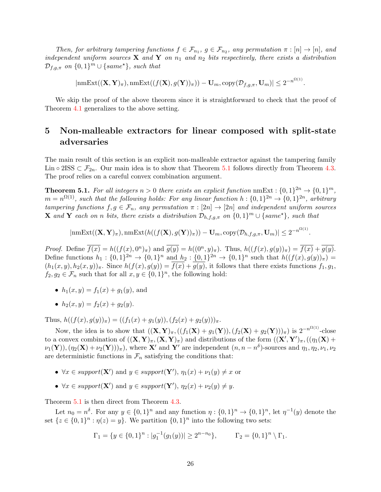Then, for arbitrary tampering functions  $f \in \mathcal{F}_{n_1}$ ,  $g \in \mathcal{F}_{n_2}$ , any permutation  $\pi : [n] \to [n]$ , and independent uniform sources **X** and **Y** on  $n_1$  and  $n_2$  bits respectively, there exists a distribution  $\mathcal{D}_{f,g,\pi}$  on  $\{0,1\}^m \cup \{same^{\star}\},\ such\ that$ 

 $|\text{nmExt}((\mathbf{X}, \mathbf{Y})_{\pi}), \text{nmExt}((f(\mathbf{X}), g(\mathbf{Y}))_{\pi})) - \mathbf{U}_m, \text{copy}(\mathcal{D}_{f,g,\pi}, \mathbf{U}_m)| \leq 2^{-n^{\Omega(1)}}.$ 

We skip the proof of the above theorem since it is straightforward to check that the proof of Theorem [4](#page-18-2).1 generalizes to the above setting.

# <span id="page-26-0"></span>5 Non-malleable extractors for linear composed with split-state adversaries

The main result of this section is an explicit non-malleable extractor against the tampering family Lin ∘ 2ISS  $\subset \mathcal{F}_{2n}$ . Our main idea is to show that Theorem [5](#page-26-1).1 follows directly from Theorem 4.[3.](#page-19-0) The proof relies on a careful convex combination argument.

<span id="page-26-1"></span>**Theorem 5.1.** For all integers  $n > 0$  there exists an explicit function nmExt :  $\{0, 1\}^{2n} \rightarrow \{0, 1\}^m$ ,  $m = n^{\Omega(1)}$ , such that the following holds: For any linear function  $h: \{0,1\}^{2n} \to \{0,1\}^{2n}$ , arbitrary tampering functions  $f, g \in \mathcal{F}_n$ , any permutation  $\pi : [2n] \to [2n]$  and independent uniform sources **X** and **Y** each on n bits, there exists a distribution  $\mathcal{D}_{h,f,g,\pi}$  on  $\{0,1\}^m \cup \{same^*\}$ , such that

$$
|\text{nmExt}((\mathbf{X}, \mathbf{Y})_{\pi}), \text{nmExt}(h((f(\mathbf{X}), g(\mathbf{Y}))_{\pi})) - \mathbf{U}_m, \text{copy}(\mathcal{D}_{h, f, g, \pi}, \mathbf{U}_m)| \leq 2^{-n^{\Omega(1)}}.
$$

*Proof.* Define  $\overline{f(x)} = h((f(x), 0^n)_\pi)$  and  $\overline{g(y)} = h((0^n, y)_\pi)$ . Thus,  $h((f(x), g(y))_\pi) = \overline{f(x)} + \overline{g(y)}$ . Define functions  $h_1: \{0,1\}^{2n} \to \{0,1\}^n$  and  $h_2: \{0,1\}^{2n} \to \{0,1\}^n$  such that  $h((f(x), g(y))_{\pi}) =$  $(h_1(x, y), h_2(x, y))_{\pi}$ . Since  $h(f(x), g(y)) = \overline{f(x)} + \overline{g(y)}$ , it follows that there exists functions  $f_1, g_1$ ,  $f_2, g_2 \in \mathcal{F}_n$  such that for all  $x, y \in \{0, 1\}^n$ , the following hold:

- $h_1(x, y) = f_1(x) + g_1(y)$ , and
- $h_2(x, y) = f_2(x) + g_2(y)$ .

Thus,  $h((f(x), g(y))_{\pi}) = ((f_1(x) + g_1(y)), (f_2(x) + g_2(y)))_{\pi}$ .

Now, the idea is to show that  $((\mathbf{X}, \mathbf{Y})_{\pi},((f_1(\mathbf{X}) + g_1(\mathbf{Y})),(f_2(\mathbf{X}) + g_2(\mathbf{Y})))_{\pi})$  is  $2^{-n^{\Omega(1)}}$ -close to a convex combination of  $((\mathbf{X}, \mathbf{Y})_{\pi}, (\mathbf{X}, \mathbf{Y})_{\pi})$  and distributions of the form  $((\mathbf{X}', \mathbf{Y}')_{\pi}, ((\eta_1(\mathbf{X}) + \eta_2 \mathbf{X})))_{\pi})$  $\nu_1(\mathbf{Y}),(\eta_2(\mathbf{X})+\nu_2(\mathbf{Y})))_\pi$ , where **X'** and **Y'** are independent  $(n, n - n^{\delta})$ -sources and  $\eta_1, \eta_2, \nu_1, \nu_2$ are deterministic functions in  $\mathcal{F}_n$  satisfying the conditions that:

- $\forall x \in support(\mathbf{X}')$  and  $y \in support(\mathbf{Y}'), \eta_1(x) + \nu_1(y) \neq x$  or
- $\forall x \in support(\mathbf{X}')$  and  $y \in support(\mathbf{Y}'), \eta_2(x) + \nu_2(y) \neq y$ .

Theorem [5](#page-26-1).1 is then direct from Theorem 4.[3.](#page-19-0)

Let  $n_0 = n^{\delta}$ . For any  $y \in \{0,1\}^n$  and any function  $\eta: \{0,1\}^n \to \{0,1\}^n$ , let  $\eta^{-1}(y)$  denote the set  $\{z \in \{0,1\}^n : \eta(z) = y\}$ . We partition  $\{0,1\}^n$  into the following two sets:

$$
\Gamma_1 = \{ y \in \{0,1\}^n : |g_1^{-1}(g_1(y))| \ge 2^{n-n_0} \}, \qquad \Gamma_2 = \{0,1\}^n \setminus \Gamma_1.
$$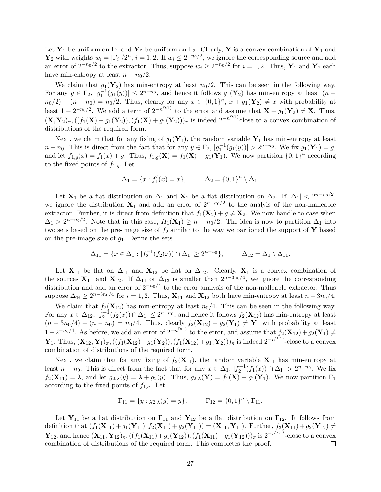Let  $Y_1$  be uniform on  $\Gamma_1$  and  $Y_2$  be uniform on  $\Gamma_2$ . Clearly, Y is a convex combination of  $Y_1$  and  $\mathbf{Y}_2$  with weights  $w_i = |\Gamma_i|/2^n$ ,  $i = 1, 2$ . If  $w_i \leq 2^{-n_0/2}$ , we ignore the corresponding source and add an error of  $2^{-n_0/2}$  to the extractor. Thus, suppose  $w_i \ge 2^{-n_0/2}$  for  $i = 1, 2$ . Thus,  $\mathbf{Y}_1$  and  $\mathbf{Y}_2$  each have min-entropy at least  $n - n_0/2$ .

We claim that  $g_1(\mathbf{Y}_2)$  has min-entropy at least  $n_0/2$ . This can be seen in the following way. For any  $y \in \Gamma_2$ ,  $|g_1^{-1}(g_1(y))| \leq 2^{n-n_0}$ , and hence it follows  $g_1(\mathbf{Y}_2)$  has min-entropy at least  $(n$  $n_0/2$  –  $(n - n_0) = n_0/2$ . Thus, clearly for any  $x \in \{0, 1\}^n$ ,  $x + g_1(\mathbf{Y}_2) \neq x$  with probability at least  $1 - 2^{-n_0/2}$ . We add a term of  $2^{-n^{\Omega(1)}}$  to the error and assume that  $\mathbf{X} + g_1(\mathbf{Y}_2) \neq \mathbf{X}$ . Thus,  $(\mathbf{X}, \mathbf{Y}_2)_\pi, ((f_1(\mathbf{X}) + g_1(\mathbf{Y}_2)), (f_1(\mathbf{X}) + g_1(\mathbf{Y}_2)))_\pi$  is indeed  $2^{-n^{\Omega(1)}}$ close to a convex combination of distributions of the required form.

Next, we claim that for any fixing of  $g_1(Y_1)$ , the random variable  $Y_1$  has min-entropy at least  $n - n_0$ . This is direct from the fact that for any  $y \in \Gamma_2$ ,  $|g_1^{-1}(g_1(y))| > 2^{n-n_0}$ . We fix  $g_1(\mathbf{Y}_1) = g$ , and let  $f_{1,g}(x) = f_1(x) + g$ . Thus,  $f_{1,g}(\mathbf{X}) = f_1(\mathbf{X}) + g_1(\mathbf{Y}_1)$ . We now partition  $\{0,1\}^n$  according to the fixed points of  $f_{1,q}$ . Let

$$
\Delta_1 = \{x : f_1'(x) = x\}, \qquad \Delta_2 = \{0, 1\}^n \setminus \Delta_1.
$$

Let  $\mathbf{X}_1$  be a flat distribution on  $\Delta_1$  and  $\mathbf{X}_2$  be a flat distribution on  $\Delta_2$ . If  $|\Delta_1| < 2^{n-n_0/2}$ , we ignore the distribution  $X_1$  and add an error of  $2^{n-n_0/2}$  to the analyis of the non-malleable extractor. Further, it is direct from definition that  $f_1(\mathbf{X}_2) + g \neq \mathbf{X}_2$ . We now handle to case when  $\Delta_1 > 2^{n-n_0/2}$ . Note that in this case,  $H_1(\mathbf{X}_1) \geq n - n_0/2$ . The idea is now to partition  $\Delta_1$  into two sets based on the pre-image size of  $f_2$  similar to the way we partioned the support of Y based on the pre-image size of  $g_1$ . Define the sets

$$
\Delta_{11} = \{ x \in \Delta_1 : |f_2^{-1}(f_2(x)) \cap \Delta_1| \ge 2^{n-n_0} \}, \qquad \Delta_{12} = \Delta_1 \setminus \Delta_{11}.
$$

Let  $X_{11}$  be flat on  $\Delta_{11}$  and  $X_{12}$  be flat on  $\Delta_{12}$ . Clearly,  $X_1$  is a convex combination of the sources  $\mathbf{X}_{11}$  and  $\mathbf{X}_{12}$ . If  $\Delta_{11}$  or  $\Delta_{12}$  is smaller than  $2^{n-3n_0/4}$ , we ignore the corresponding distribution and add an error of  $2^{-n_0/4}$  to the error analysis of the non-malleable extractor. Thus suppose  $\Delta_{1i} \ge 2^{n-3n_0/4}$  for  $i = 1, 2$ . Thus,  $\mathbf{X}_{11}$  and  $\mathbf{X}_{12}$  both have min-entropy at least  $n - 3n_0/4$ .

We claim that  $f_2(\mathbf{X}_{12})$  has min-entropy at least  $n_0/4$ . This can be seen in the following way. For any  $x \in \Delta_{12}$ ,  $|f_2^{-1}(f_2(x)) \cap \Delta_1| \leq 2^{n-n_0}$ , and hence it follows  $f_2(\mathbf{X}_{12})$  has min-entropy at least  $(n - 3n_0/4) - (n - n_0) = n_0/4$ . Thus, clearly  $f_2(\mathbf{X}_{12}) + g_2(\mathbf{Y}_1) \neq \mathbf{Y}_1$  with probability at least  $1-2^{-n_0/4}$ . As before, we add an error of  $2^{-n^{\Omega(1)}}$  to the error, and assume that  $f_2(\mathbf{X}_{12})+g_2(\mathbf{Y}_1)\neq 0$ **Y**<sub>1</sub>. Thus,  $(\mathbf{X}_{12}, \mathbf{Y}_1)_\pi$ ,  $((f_1(\mathbf{X}_{12}) + g_1(\mathbf{Y}_2)), (f_1(\mathbf{X}_{12}) + g_1(\mathbf{Y}_2)))_\pi$  is indeed  $2^{-n^{\Omega(1)}}$ -close to a convex combination of distributions of the required form.

Next, we claim that for any fixing of  $f_2(\mathbf{X}_{11})$ , the random variable  $\mathbf{X}_{11}$  has min-entropy at least  $n - n_0$ . This is direct from the fact that for any  $x \in \Delta_1$ ,  $|f_2^{-1}(f_1(x)) \cap \Delta_1| > 2^{n-n_0}$ . We fix  $f_2(\mathbf{X}_{11}) = \lambda$ , and let  $g_{2,\lambda}(y) = \lambda + g_2(y)$ . Thus,  $g_{2,\lambda}(\mathbf{Y}) = f_1(\mathbf{X}) + g_1(\mathbf{Y}_1)$ . We now partition  $\Gamma_1$ according to the fixed points of  $f_{1,g}$ . Let

$$
\Gamma_{11} = \{ y : g_{2,\lambda}(y) = y \}, \qquad \Gamma_{12} = \{0,1\}^n \setminus \Gamma_{11}.
$$

Let  $Y_{11}$  be a flat distribution on  $\Gamma_{11}$  and  $Y_{12}$  be a flat distribution on  $\Gamma_{12}$ . It follows from definition that  $(f_1(\mathbf{X}_{11}) + g_1(\mathbf{Y}_{11}), f_2(\mathbf{X}_{11}) + g_2(\mathbf{Y}_{11})) = (\mathbf{X}_{11}, \mathbf{Y}_{11})$ . Further,  $f_2(\mathbf{X}_{11}) + g_2(\mathbf{Y}_{12}) \neq$  $\mathbf{Y}_{12}$ , and hence  $(\mathbf{X}_{11}, \mathbf{Y}_{12})_\pi, ((f_1(\mathbf{X}_{11}) + g_1(\mathbf{Y}_{12})), (f_1(\mathbf{X}_{11}) + g_1(\mathbf{Y}_{12})))_\pi$  is  $2^{-n^{\Omega(1)}}$ -close to a convex combination of distributions of the required form. This completes the proof.  $\Box$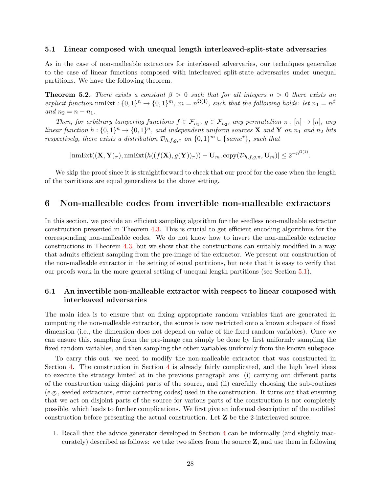#### <span id="page-28-1"></span>5.1 Linear composed with unequal length interleaved-split-state adversaries

As in the case of non-malleable extractors for interleaved advervaries, our techniques generalize to the case of linear functions composed with interleaved split-state adversaries under unequal partitions. We have the following theorem.

<span id="page-28-2"></span>**Theorem 5.2.** There exists a constant  $\beta > 0$  such that for all integers  $n > 0$  there exists an explicit function nmExt :  $\{0,1\}^n \to \{0,1\}^m$ ,  $m = n^{\Omega(1)}$ , such that the following holds: let  $n_1 = n^{\beta}$ and  $n_2 = n - n_1$ .

Then, for arbitrary tampering functions  $f \in \mathcal{F}_{n_1}$ ,  $g \in \mathcal{F}_{n_2}$ , any permutation  $\pi : [n] \to [n]$ , any linear function  $h: \{0,1\}^n \to \{0,1\}^n$ , and independent uniform sources **X** and **Y** on  $n_1$  and  $n_2$  bits respectively, there exists a distribution  $\mathcal{D}_{h,f,g,\pi}$  on  $\{0,1\}^m \cup \{same^{\star}\}\$ , such that

 $|\text{nmExt}((\mathbf{X}, \mathbf{Y})_{\pi}), \text{nmExt}(h((f(\mathbf{X}), g(\mathbf{Y}))_{\pi})) - \mathbf{U}_m, \text{copy}(\mathcal{D}_{h,f,g,\pi}, \mathbf{U}_m)| \leq 2^{-n^{\Omega(1)}}.$ 

We skip the proof since it is straightforward to check that our proof for the case when the length of the partitions are equal generalizes to the above setting.

### <span id="page-28-0"></span>6 Non-malleable codes from invertible non-malleable extractors

In this section, we provide an efficient sampling algorithm for the seedless non-malleable extractor construction presented in Theorem 4.[3.](#page-19-0) This is crucial to get efficient encoding algorithms for the corresponding non-malleable codes. We do not know how to invert the non-malleable extractor constructions in Theorem 4.[3,](#page-19-0) but we show that the constructions can suitably modified in a way that admits efficient sampling from the pre-image of the extractor. We present our construction of the non-malleable extractor in the setting of equal partitions, but note that it is easy to verify that our proofs work in the more general setting of unequal length partitions (see Section 5.[1\)](#page-28-1).

### 6.1 An invertible non-malleable extractor with respect to linear composed with interleaved adversaries

The main idea is to ensure that on fixing appropriate random variables that are generated in computing the non-malleable extractor, the source is now restricted onto a known subspace of fixed dimension (i.e., the dimension does not depend on value of the fixed random variables). Once we can ensure this, sampling from the pre-image can simply be done by first uniformly sampling the fixed random variables, and then sampling the other variables uniformly from the known subspace.

To carry this out, we need to modify the non-malleable extractor that was constructed in Section [4.](#page-18-1) The construction in Section [4](#page-18-1) is already fairly complicated, and the high level ideas to execute the strategy hinted at in the previous paragraph are: (i) carrying out different parts of the construction using disjoint parts of the source, and (ii) carefully choosing the sub-routines (e.g., seeded extractors, error correcting codes) used in the construction. It turns out that ensuring that we act on disjoint parts of the source for various parts of the construction is not completely possible, which leads to further complications. We first give an informal description of the modified construction before presenting the actual construction. Let Z be the 2-interleaved source.

1. Recall that the advice generator developed in Section [4](#page-18-1) can be informally (and slightly inaccurately) described as follows: we take two slices from the source  $Z$ , and use them in following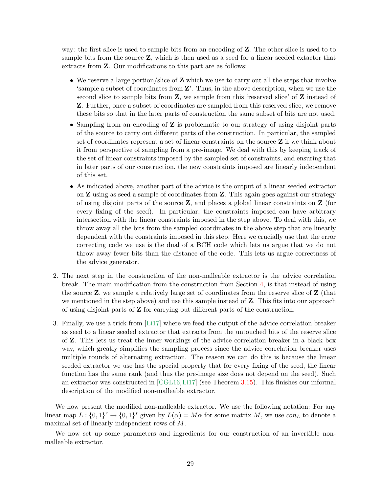way: the first slice is used to sample bits from an encoding of **Z**. The other slice is used to to sample bits from the source Z, which is then used as a seed for a linear seeded extactor that extracts from Z. Our modifications to this part are as follows:

- We reserve a large portion/slice of **Z** which we use to carry out all the steps that involve 'sample a subset of coordinates from Z'. Thus, in the above description, when we use the second slice to sample bits from Z, we sample from this 'reserved slice' of Z instead of Z. Further, once a subset of coordinates are sampled from this reserved slice, we remove these bits so that in the later parts of construction the same subset of bits are not used.
- Sampling from an encoding of **Z** is problematic to our strategy of using disjoint parts of the source to carry out different parts of the construction. In particular, the sampled set of coordinates represent a set of linear constraints on the source Z if we think about it from perspective of sampling from a pre-image. We deal with this by keeping track of the set of linear constraints imposed by the sampled set of constraints, and ensuring that in later parts of our construction, the new constraints imposed are linearly independent of this set.
- As indicated above, another part of the advice is the output of a linear seeded extractor on Z using as seed a sample of coordinates from Z. This again goes against our strategy of using disjoint parts of the source  $Z$ , and places a global linear constraints on  $Z$  (for every fixing of the seed). In particular, the constraints imposed can have arbitrary intersection with the linear constraints imposed in the step above. To deal with this, we throw away all the bits from the sampled coordinates in the above step that are linearly dependent with the constraints imposed in this step. Here we crucially use that the error correcting code we use is the dual of a BCH code which lets us argue that we do not throw away fewer bits than the distance of the code. This lets us argue correctness of the advice generator.
- 2. The next step in the construction of the non-malleable extractor is the advice correlation break. The main modification from the construction from Section [4,](#page-18-1) is that instead of using the source  $\mathbf{Z}$ , we sample a relatively large set of coordinates from the reserve slice of  $\mathbf{Z}$  (that we mentioned in the step above) and use this sample instead of **Z**. This fits into our approach of using disjoint parts of Z for carrying out different parts of the construction.
- 3. Finally, we use a trick from [\[Li17\]](#page-42-1) where we feed the output of the advice correlation breaker as seed to a linear seeded extractor that extracts from the untouched bits of the reserve slice of Z. This lets us treat the inner workings of the advice correlation breaker in a black box way, which greatly simplifies the sampling process since the advice correlation breaker uses multiple rounds of alternating extraction. The reason we can do this is because the linear seeded extractor we use has the special property that for every fixing of the seed, the linear function has the same rank (and thus the pre-image size does not depend on the seed). Such an extractor was constructed in [\[CGL16,](#page-40-4)[Li17\]](#page-42-1) (see Theorem 3.[15\)](#page-16-3). This finishes our informal description of the modified non-malleable extractor.

We now present the modified non-malleable extractor. We use the following notation: For any linear map  $L: \{0,1\}^r \to \{0,1\}^s$  given by  $L(\alpha) = M\alpha$  for some matrix M, we use  $con_L$  to denote a maximal set of linearly independent rows of M.

We now set up some parameters and ingredients for our construction of an invertible nonmalleable extractor.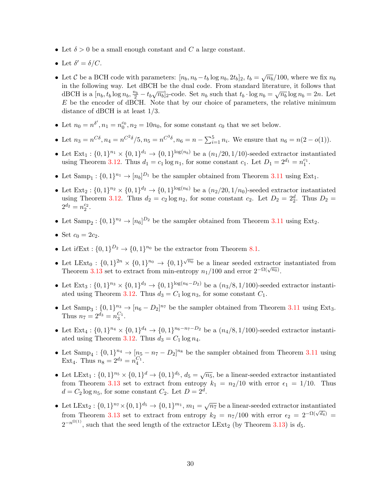- Let  $\delta > 0$  be a small enough constant and C a large constant.
- Let  $\delta' = \delta/C$ .
- Let C be a BCH code with parameters:  $[n_b, n_b t_b \log n_b, 2t_b]_2$ ,  $t_b = \sqrt{n_b}/100$ , where we fix  $n_b$ in the following way. Let dBCH be the dual code. From standard literature, it follows that dBCH is a  $[n_b, t_b \log n_b, \frac{n_b}{2} - t_b \sqrt{n_b}]_2$ -code. Set  $n_b$  such that  $t_b \cdot \log n_b = \sqrt{n_b} \log n_b = 2n$ . Let  $E$  be the encoder of dBCH. Note that by our choice of parameters, the relative minimum distance of dBCH is at least 1/3.
- Let  $n_0 = n^{\delta'}$ ,  $n_1 = n_0^{c_0}$ ,  $n_2 = 10n_0$ , for some constant  $c_0$  that we set below.
- Let  $n_3 = n^{C\delta}, n_4 = n^{C^2\delta}/5, n_5 = n^{C^3\delta}, n_6 = n \sum_{i=1}^5 n_i$ . We ensure that  $n_6 = n(2 o(1))$ .
- Let  $Ext_1: \{0,1\}^{n_1} \times \{0,1\}^{d_1} \to \{0,1\}^{\log(n_b)}$  be a  $(n_1/20,1/10)$ -seeded extractor instantiated using Theorem 3.[12.](#page-16-0) Thus  $d_1 = c_1 \log n_1$ , for some constant  $c_1$ . Let  $D_1 = 2^{d_1} = n_1^{c_1}$ .
- Let Samp<sub>1</sub>:  $\{0,1\}^{n_1} \rightarrow [n_b]^{D_1}$  be the sampler obtained from Theorem 3.[11](#page-16-1) using Ext<sub>1</sub>.
- Let  $\text{Ext}_2: \{0,1\}^{n_2} \times \{0,1\}^{d_2} \to \{0,1\}^{\log(n_6)}$  be a  $(n_2/20,1/n_0)$ -seeded extractor instantiated using Theorem 3.[12.](#page-16-0) Thus  $d_2 = c_2 \log n_2$ , for some constant  $c_2$ . Let  $D_2 = 2^d_2$ . Thus  $D_2 =$  $2^{d_2} = n_2^{c_2}.$
- Let Samp<sub>2</sub>:  $\{0,1\}^{n_2} \rightarrow [n_6]^{D_2}$  be the sampler obtained from Theorem 3.[11](#page-16-1) using Ext<sub>2</sub>.
- Set  $c_0 = 2c_2$ .
- Let  $i\ell$ Ext :  $\{0, 1\}^{D_2} \rightarrow \{0, 1\}^{n_0}$  be the extractor from Theorem 8.[1.](#page-35-1)
- Let  $\text{LEX}_0: \{0,1\}^{2n} \times \{0,1\}^{n_0} \to \{0,1\}^{\sqrt{n_0}}$  be a linear seeded extractor instantiated from Theorem 3.[13](#page-16-2) set to extract from min-entropy  $n_1/100$  and error  $2^{-\Omega(\sqrt{n_0})}$ .
- Let  $\text{Ext}_3: \{0,1\}^{n_3} \times \{0,1\}^{d_3} \to \{0,1\}^{\log(n_6-D_2)}$  be a  $(n_3/8,1/100)$ -seeded extractor instanti-ated using Theorem 3.[12.](#page-16-0) Thus  $d_3 = C_1 \log n_3$ , for some constant  $C_1$ .
- Let Samp<sub>3</sub>:  $\{0,1\}^{n_3} \rightarrow [n_6 D_2]^{n_7}$  be the sampler obtained from Theorem 3.[11](#page-16-1) using Ext<sub>3</sub>. Thus  $n_7 = 2^{d_3} = n_3^{C_1}$ .
- Let  $Ext_4: \{0,1\}^{n_4} \times \{0,1\}^{d_4} \rightarrow \{0,1\}^{n_6-n_7-D_2}$  be a  $(n_4/8, 1/100)$ -seeded extractor instanti-ated using Theorem 3.[12.](#page-16-0) Thus  $d_3 = C_1 \log n_4$ .
- Let Samp<sub>4</sub>:  $\{0,1\}^{n_4} \rightarrow [n_5 n_7 D_2]^{n_8}$  be the sampler obtained from Theorem 3.[11](#page-16-1) using Ext<sub>4</sub>. Thus  $n_8 = 2^{d_3} = n_4^{C_1}$ .
- Let LExt<sub>1</sub>:  $\{0,1\}^{n_5} \times \{0,1\}^d \to \{0,1\}^{d_5}$ ,  $d_5 = \sqrt{n_5}$ , be a linear-seeded extractor instantiated from Theorem 3.[13](#page-16-2) set to extract from entropy  $k_1 = n_2/10$  with error  $\epsilon_1 = 1/10$ . Thus  $d = C_2 \log n_5$ , for some constant  $C_2$ . Let  $D = 2^d$ .
- Let  $\text{LEX}_2: \{0,1\}^{n_7} \times \{0,1\}^{d_5} \to \{0,1\}^{m_1}$ ,  $m_1 = \sqrt{n_7}$  be a linear-seeded extractor instantiated from Theorem 3.[13](#page-16-2) set to extract from entropy  $k_2 = n_7/100$  with error  $\epsilon_2 = 2^{-\Omega(\sqrt{d_4})}$  $2^{-n^{\Omega(1)}}$ , such that the seed length of the extractor LExt<sub>2</sub> (by Theorem 3.[13\)](#page-16-2) is  $d_5$ .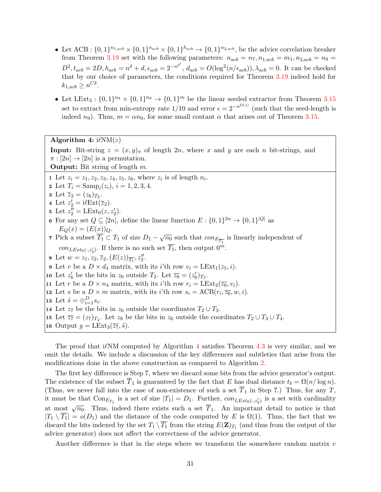- Let ACB :  $\{0,1\}^{n_{1,acb}} \times \{0,1\}^{n_{acb}} \times \{0,1\}^{h_{acb}} \rightarrow \{0,1\}^{n_{2,acb}}$ , be the advice correlation breaker from Theorem 3.[19](#page-18-4) set with the following parameters:  $n_{acb} = n_7, n_{1,acb} = m_1, n_{2,acb} = n_9 =$  $D^2$ ,  $t_{acb} = 2D$ ,  $h_{acb} = n^{\delta} + d$ ,  $\epsilon_{acb} = 2^{-n^{\delta'}}$ ,  $d_{acb} = O(\log^2(n/\epsilon_{acb}))$ ,  $\lambda_{acb} = 0$ . It can be checked that by our choice of parameters, the conditions required for Theorem 3.[19](#page-18-4) indeed hold for  $k_{1,acb} \geq n^{C\delta}$ .
- Let LExt<sub>3</sub>:  $\{0,1\}^{n_8} \times \{0,1\}^{n_9} \rightarrow \{0,1\}^m$  be the linear seeded extractor from Theorem 3.[15](#page-16-3) set to extract from min-entropy rate 1/10 and error  $\epsilon = 2^{-n^{\Omega(1)}}$  (such that the seed-length is indeed n<sub>9</sub>). Thus,  $m = \alpha n_9$ , for some small contant  $\alpha$  that arises out of Theorem 3.[15.](#page-16-3)

<span id="page-31-0"></span>Algorithm 4:  $i\ell NM(z)$ 

**Input:** Bit-string  $z = (x, y)_{\pi}$  of length 2n, where x and y are each n bit-strings, and  $\pi : [2n] \rightarrow [2n]$  is a permutation. **Output:** Bit string of length  $m$ .

1 Let  $z_i = z_1, z_2, z_3, z_4, z_5, z_6$ , where  $z_i$  is of length  $n_i$ . 2 Let  $T_i = \text{Samp}_i(z_i), i = 1, 2, 3, 4.$ **3** Let  $\bar{z}_2 = (z_6)_{T_2}$ . 4 Let  $z_2' = i\ell \text{Ext}(\overline{z}_2)$ . 5 Let  $z_2'' = \text{LEX}_0(z, z_2').$ 6 For any set  $Q \subseteq [2n]$ , define the linear function  $E: \{0,1\}^{2n} \to \{0,1\}^{|Q|}$  as  $E_Q(x) = (E(x))_Q.$ 7 Pick a subset  $\overline{T_1} \subset T_1$  of size  $D_1 - \sqrt{n_0}$  such that  $con_{E_{\overline{T_1}}}$  is linearly independent of  $con_{LExt_0(\cdot,z_2')}$ . If there is no such set  $\overline{T_1}$ , then output  $0^m$ . 8 Let  $w = z_1, z_2, \overline{z}_2, (E(z))_{\overline{T_1}}, z_2''$ . 9 Let v be a  $D \times d_4$  matrix, with its i'th row  $v_i = \text{LEX}_1(z_5, i)$ . 10 Let  $z'_6$  be the bits in  $z_6$  outside  $T_2$ . Let  $\overline{z_6} = (z'_6)_{T_3}$ . 11 Let r be a  $D \times n_4$  matrix, with its *i*'th row  $r_i = \text{LExt}_2(\overline{z_6}, v_i)$ . 12 Let s be a  $D \times m$  matrix, with its i'th row  $s_i = ACB(r_i, \overline{z_6}, w, i)$ . 13 Let  $\tilde{s} = \bigoplus_{i=1}^D s_i$ . 14 Let  $z_7$  be the bits in  $z_6$  outside the coordinates  $T_2 \cup T_3$ . 15 Let  $\overline{z_7} = (z_7)_{T_4}$ . Let  $z_8$  be the bits in  $z_6$  outside the coordinates  $T_2 \cup T_3 \cup T_4$ . 16 Output  $g = \text{LEX}_3(\overline{z_7}, \tilde{s}).$ 

The proof that  $i\ell N$ M computed by Algorithm [4](#page-19-0) satisfies Theorem 4.3 is very similar, and we omit the details. We include a discussion of the key differences and subtleties that arise from the modifications done in the above construction as compared to Algorithm [2.](#page-23-1)

The first key difference is Step 7, where we discard some bits from the advice generator's output. The existence of the subset  $\overline{T}_1$  is guaranteed by the fact that E has dual distance  $t_b = \Omega(n/\log n)$ . (Thus, we never fall into the case of non-existence of such a set  $\overline{T}_1$  in Step 7.) Thus, for any T, it must be that  $Con_{E_{T_1}}$  is a set of size  $|T_1| = D_1$ . Further,  $con_{LExt_0(\cdot,z'_2)}$  is a set with cardinality at most  $\sqrt{n_0}$ . Thus, indeed there exists such a set  $\overline{T}_1$ . An important detail to notice is that  $|T_1 \setminus \overline{T_1}| = o(D_1)$  and the distance of the code computed by E is  $\Omega(1)$ . Thus, the fact that we discard the bits indexed by the set  $T_1 \setminus \overline{T_1}$  from the string  $E(\mathbf{Z})_{T_1}$  (and thus from the output of the advice generator) does not affect the correctness of the advice generator.

Another difference is that in the steps where we transform the somewhere random matrix  $v$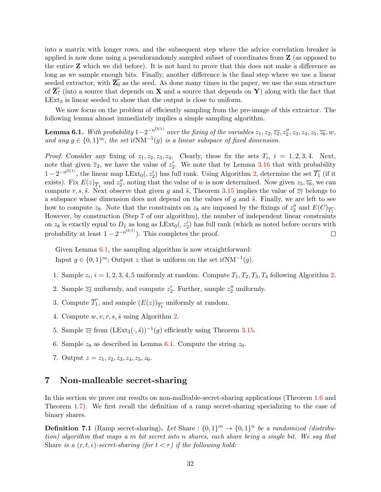into a matrix with longer rows, and the subsequent step where the advice correlation breaker is applied is now done using a pseudorandomly sampled subset of coordinates from Z (as opposed to the entire  $\mathbf Z$  which we did before). It is not hard to prove that this does not make a difference as long as we sample enough bits. Finally, another difference is the final step where we use a linear seeded extractor, with  $\overline{Z_6}$  as the seed. As done many times in the paper, we use the sum structure of  $\overline{Z}_7$  (into a source that depends on X and a source that depends on Y) along with the fact that  $LExt_3$  is linear seeded to show that the output is close to uniform.

We now focus on the problem of efficiently sampling from the pre-image of this extractor. The following lemma almost immediately implies a simple sampling algorithm.

<span id="page-32-1"></span>**Lemma 6.1.** With probability  $1-2^{-n^{\Omega(1)}}$  over the fixing of the variables  $z_1, z_2, \overline{z_2}, z_2'', z_3, z_4, z_5, \overline{z_6}, w$ , and any  $g \in \{0,1\}^m$ , the set i $\ell N M^{-1}(g)$  is a linear subspace of fixed dimension.

*Proof.* Consider any fixing of  $z_1, z_2, z_3, z_4$ . Clearly, these fix the sets  $T_i$ ,  $i = 1, 2, 3, 4$ . Next, note that given  $\overline{z}_2$ , we have the value of  $z'_2$ . We note that by Lemma 3.[16](#page-16-4) that with probability  $1-2^{-n^{\Omega(1)}},$  the linear map  $\text{LEX}_0(,z_2')$  has full rank. Using Algorithm [2,](#page-23-1) determine the set  $\overline{T_1}$  (if it exists). Fix  $E(z)_{\overline{T}_1}$  and  $z_2''$ , noting that the value of w is now determined. Now given  $z_5, \overline{z_6}$ , we can compute r, s,  $\tilde{s}$ . Next observe that given g and  $\tilde{s}$ , Theorem 3.[15](#page-16-3) implies the value of  $\overline{z_7}$  belongs to a subspace whose dimension does not depend on the values of  $g$  and  $\tilde{s}$ . Finally, we are left to see how to compute  $z_8$ . Note that the constraints on  $z_8$  are imposed by the fixings of  $z_2''$  and  $E(C)_{\overline{T_1}}$ . However, by construction (Step 7 of our algorithm), the number of independent linear constraints on  $z_8$  is exactly equal to  $D_1$  as long as  $\text{LEX}_0$ ,  $z_2'$ ) has full rank (which as noted before occurs with probability at least  $1 - 2^{-n^{\Omega(1)}}$ ). This completes the proof.  $\Box$ 

Given Lemma  $6.1$ , the sampling algorithm is now straightforward: Input  $g \in \{0,1\}^m$ ; Output z that is uniform on the set  $i\ell N M^{-1}(g)$ .

- 1. Sample  $z_i$ ,  $i = 1, 2, 3, 4, 5$  uniformly at random. Compute  $T_1, T_2, T_3, T_4$  following Algorithm [2.](#page-23-1)
- 2. Sample  $\overline{z_2}$  uniformly, and compute  $z_2'$ . Further, sample  $z_2''$  uniformly.
- 3. Compute  $T_1$ , and sample  $(E(z))_{\overline{T_1}}$  uniformly at random.
- 4. Compute  $w, v, r, s, \tilde{s}$  using Algorithm [2.](#page-23-1)
- 5. Sample  $\overline{z_7}$  from  $(\text{LEX}_3(\cdot, \tilde{s}))^{-1}(g)$  efficiently using Theorem 3.[15.](#page-16-3)
- 6. Sample  $z_8$  as described in Lemma 6.[1.](#page-32-1) Compute the string  $z_6$ .
- 7. Output  $z = z_1, z_2, z_3, z_4, z_5, z_6$ .

### <span id="page-32-0"></span>7 Non-malleable secret-sharing

In this section we prove our results on non-malleable-secret-sharing applications (Theorem [1](#page-5-0).6 and Theorem 1.[7\)](#page-6-0). We first recall the definition of a ramp secret-sharing specializing to the case of binary shares.

**Definition 7.1** (Ramp secret-sharing). Let Share :  $\{0,1\}^m \rightarrow \{0,1\}^n$  be a randomized (distribution) algorithm that maps a m bit secret into n shares, each share being a single bit. We say that Share is a  $(r, t, \epsilon)$ -secret-sharing (for  $t < r$ ) if the following hold: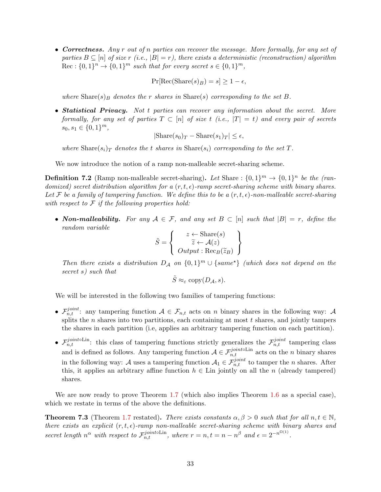• Correctness. Any r out of n parties can recover the message. More formally, for any set of parties  $B \subseteq [n]$  of size r (i.e.,  $|B| = r$ ), there exists a deterministic (reconstruction) algorithm  $\text{Rec}: \{0,1\}^n \to \{0,1\}^m$  such that for every secret  $s \in \{0,1\}^m$ ,

$$
Pr[Rec(Share(s)_{B}) = s] \ge 1 - \epsilon,
$$

where  $\text{Share}(s)_B$  denotes the r shares in  $\text{Share}(s)$  corresponding to the set B.

• Statistical Privacy. Not t parties can recover any information about the secret. More formally, for any set of parties  $T \subset [n]$  of size t (i.e.,  $|T| = t$ ) and every pair of secrets  $s_0, s_1 \in \{0, 1\}^m$ ,

$$
|\text{Share}(s_0)_T - \text{Share}(s_1)_T| \le \epsilon,
$$

where  $\text{Share}(s_i)_T$  denotes the t shares in  $\text{Share}(s_i)$  corresponding to the set T.

We now introduce the notion of a ramp non-malleable secret-sharing scheme.

**Definition 7.2** (Ramp non-malleable secret-sharing). Let Share :  $\{0,1\}^m \rightarrow \{0,1\}^n$  be the (randomized) secret distribution algorithm for a  $(r, t, \epsilon)$ -ramp secret-sharing scheme with binary shares. Let F be a family of tampering function. We define this to be a  $(r, t, \epsilon)$ -non-malleable secret-sharing with respect to  $\mathcal F$  if the following properties hold:

• Non-malleability. For any  $A \in \mathcal{F}$ , and any set  $B \subset [n]$  such that  $|B| = r$ , define the random variable

$$
\tilde{S} = \left\{ \begin{array}{c} z \leftarrow \text{Share}(s) \\ \tilde{z} \leftarrow \mathcal{A}(z) \\ Output : \text{Rec}_B(\tilde{z}_B) \end{array} \right\}
$$

Then there exists a distribution  $D_A$  on  $\{0,1\}^m \cup \{same^*\}$  (which does not depend on the secret s) such that

$$
\tilde{S} \approx_{\varepsilon} \text{copy}(D_{\mathcal{A}}, s).
$$

We will be interested in the following two families of tampering functions:

- $\mathcal{F}_{n,t}^{joint}$ : any tampering function  $\mathcal{A} \in \mathcal{F}_{n,t}$  acts on n binary shares in the following way:  $\mathcal{A}$ splits the  $n$  shares into two partitions, each containing at most  $t$  shares, and jointly tampers the shares in each partition (i.e, applies an arbitrary tampering function on each partition).
- $\mathcal{F}_{n,t}^{jointollin}$ : this class of tampering functions strictly generalizes the  $\mathcal{F}_{n,t}^{joint}$  tampering class and is defined as follows. Any tampering function  $A \in \mathcal{F}_{n,t}^{joint \circ \text{Lin}}$  acts on the n binary shares in the following way: A uses a tampering function  $A_1 \in \mathcal{F}_{n,t}^{joint}$  to tamper the n shares. After this, it applies an arbitrary affine function  $h \in \text{Lin}$  jointly on all the n (already tampered) shares.

We are now ready to prove Theorem [1](#page-5-0).7 (which also implies Theorem 1.6 as a special case), which we restate in terms of the above the definitions.

**Theorem 7.3** (Theorem [1.7](#page-6-0) restated). There exists constants  $\alpha, \beta > 0$  such that for all  $n, t \in \mathbb{N}$ , there exists an explicit  $(r, t, \epsilon)$ -ramp non-malleable secret-sharing scheme with binary shares and secret length  $n^{\alpha}$  with respect to  $\mathcal{F}_{n,t}^{joint \text{olim}}$ , where  $r = n, t = n - n^{\beta}$  and  $\epsilon = 2^{-n^{\Omega(1)}}$ .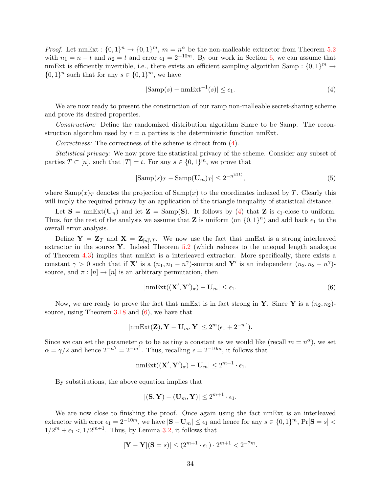*Proof.* Let  $\text{nmExt}: \{0,1\}^n \to \{0,1\}^m$ ,  $m = n^{\alpha}$  be the non-malleable extractor from Theorem [5](#page-28-2).2 with  $n_1 = n - t$  and  $n_2 = t$  and error  $\epsilon_1 = 2^{-10m}$ . By our work in Section [6,](#page-28-0) we can assume that nmExt is efficiently invertible, i.e., there exists an efficient sampling algorithm Samp :  $\{0,1\}^m \rightarrow$  $\{0,1\}^n$  such that for any  $s \in \{0,1\}^m$ , we have

<span id="page-34-0"></span>
$$
|\text{Samp}(s) - \text{nmExt}^{-1}(s)| \le \epsilon_1. \tag{4}
$$

We are now ready to present the construction of our ramp non-malleable secret-sharing scheme and prove its desired properties.

Construction: Define the randomized distribution algorithm Share to be Samp. The reconstruction algorithm used by  $r = n$  parties is the deterministic function nmExt.

Correctness: The correctness of the scheme is direct from [\(4\)](#page-34-0).

Statistical privacy: We now prove the statistical privacy of the scheme. Consider any subset of parties  $T \subset [n]$ , such that  $|T| = t$ . For any  $s \in \{0, 1\}^m$ , we prove that

$$
|\text{Samp}(s)_T - \text{Samp}(\mathbf{U}_m)_T| \le 2^{-n^{\Omega(1)}},\tag{5}
$$

where  $\text{Samp}(x)$  denotes the projection of  $\text{Samp}(x)$  to the coordinates indexed by T. Clearly this will imply the required privacy by an application of the triangle inequality of statistical distance.

Let  $S = \text{nmExt}(\mathbf{U}_n)$  and let  $\mathbf{Z} = \text{Samp}(S)$ . It follows by [\(4\)](#page-34-0) that  $\mathbf{Z}$  is  $\epsilon_1$ -close to uniform. Thus, for the rest of the analysis we assume that **Z** is uniform (on  $\{0,1\}^n$ ) and add back  $\epsilon_1$  to the overall error analysis.

Define  $Y = Z_T$  and  $X = Z_{[n] \setminus T}$ . We now use the fact that nmExt is a strong interleaved extractor in the source Y. Indeed Theorem  $5.2$  $5.2$  (which reduces to the unequal length analogue of Theorem 4.[3\)](#page-19-0) implies that nmExt is a interleaved extractor. More specifically, there exists a constant  $\gamma > 0$  such that if **X'** is a  $(n_1, n_1 - n^{\gamma})$ -source and **Y'** is an independent  $(n_2, n_2 - n^{\gamma})$ source, and  $\pi : [n] \to [n]$  is an arbitrary permutation, then

<span id="page-34-1"></span>
$$
|\text{nmExt}((\mathbf{X}', \mathbf{Y}')_{\pi}) - \mathbf{U}_{m}| \le \epsilon_{1}.
$$
\n(6)

Now, we are ready to prove the fact that nmExt is in fact strong in Y. Since Y is a  $(n_2, n_2)$ source, using Theorem 3.[18](#page-17-1) and [\(6\)](#page-34-1), we have that

$$
|\text{nmExt}(\mathbf{Z}), \mathbf{Y} - \mathbf{U}_m, \mathbf{Y}| \le 2^m (\epsilon_1 + 2^{-n^{\gamma}}).
$$

Since we can set the parameter  $\alpha$  to be as tiny a constant as we would like (recall  $m = n^{\alpha}$ ), we set  $\alpha = \gamma/2$  and hence  $2^{-n^{\gamma}} = 2^{-m^2}$ . Thus, recalling  $\epsilon = 2^{-10m}$ , it follows that

$$
|\text{nmExt}((\mathbf{X}', \mathbf{Y}')_{\pi}) - \mathbf{U}_{m}| \leq 2^{m+1} \cdot \epsilon_{1}.
$$

By substitutions, the above equation implies that

$$
|(\mathbf{S}, \mathbf{Y}) - (\mathbf{U}_m, \mathbf{Y})| \le 2^{m+1} \cdot \epsilon_1.
$$

We are now close to finishing the proof. Once again using the fact nmExt is an interleaved extractor with error  $\epsilon_1 = 2^{-10m}$ , we have  $|\mathbf{S}-\mathbf{U}_m| \leq \epsilon_1$  and hence for any  $s \in \{0,1\}^m$ ,  $Pr[\mathbf{S}=s] <$  $1/2^m + \epsilon_1 < 1/2^{m+1}$ . Thus, by Lemma 3.[2,](#page-14-1) it follows that

$$
|\mathbf{Y} - \mathbf{Y}|(\mathbf{S} = s)| \le (2^{m+1} \cdot \epsilon_1) \cdot 2^{m+1} < 2^{-7m}.
$$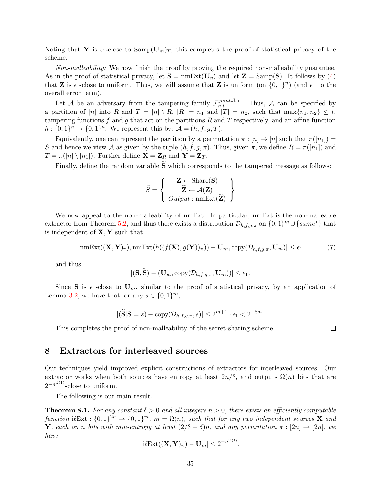Noting that Y is  $\epsilon_1$ -close to Samp $(\mathbf{U}_m)_T$ , this completes the proof of statistical privacy of the scheme.

Non-malleability: We now finish the proof by proving the required non-malleability guarantee. As in the proof of statistical privacy, let  $S = \text{nmExt}(\mathbf{U}_n)$  and let  $\mathbf{Z} = \text{Samp}(\mathbf{S})$ . It follows by [\(4\)](#page-34-0) that **Z** is  $\epsilon_1$ -close to uniform. Thus, we will assume that **Z** is uniform (on  $\{0,1\}^n$ ) (and  $\epsilon_1$  to the overall error term).

Let A be an adversary from the tampering family  $\mathcal{F}_{n,t}^{joint \text{ol}}$ . Thus, A can be specified by a partition of [n] into R and  $T = [n] \setminus R$ ,  $|R| = n_1$  and  $|T| = n_2$ , such that  $\max\{n_1, n_2\} \leq t$ , tampering functions  $f$  and  $g$  that act on the partitions  $R$  and  $T$  respectively, and an affine function  $h: \{0,1\}^n \to \{0,1\}^n$ . We represent this by:  $\mathcal{A} = (h, f, g, T)$ .

Equivalently, one can represent the partition by a permutation  $\pi : [n] \to [n]$  such that  $\pi([n_1]) =$ S and hence we view A as given by the tuple  $(h, f, g, \pi)$ . Thus, given  $\pi$ , we define  $R = \pi([n_1])$  and  $T = \pi([n] \setminus [n_1])$ . Further define  $\mathbf{X} = \mathbf{Z}_R$  and  $\mathbf{Y} = \mathbf{Z}_T$ .

Finally, define the random variable  $S$  which corresponds to the tampered message as follows:

$$
\tilde{S} = \left\{ \begin{array}{c} \mathbf{Z} \leftarrow \text{Share}(\mathbf{S}) \\ \widetilde{\mathbf{Z}} \leftarrow \mathcal{A}(\mathbf{Z}) \\ Output : \text{nmExt}(\widetilde{\mathbf{Z}}) \end{array} \right\}
$$

We now appeal to the non-malleability of nmExt. In particular, nmExt is the non-malleable extractor from Theorem 5.[2,](#page-28-2) and thus there exists a distribution  $\mathcal{D}_{h,f,g,\pi}$  on  $\{0,1\}^m \cup \{same^{\star}\}\$  that is independent of  $X, Y$  such that

$$
|\text{nmExt}((\mathbf{X}, \mathbf{Y})_{\pi}), \text{nmExt}(h((f(\mathbf{X}), g(\mathbf{Y}))_{\pi})) - \mathbf{U}_{m}, \text{copy}(\mathcal{D}_{h, f, g, \pi}, \mathbf{U}_{m})| \le \epsilon_{1}
$$
(7)

and thus

$$
|({\bf S},\widetilde{\bf S})-({\bf U}_m,\text{copy}(\mathcal{D}_{h,f,g,\pi},{\bf U}_m))|\leq \epsilon_1.
$$

Since S is  $\epsilon_1$ -close to  $\mathbf{U}_m$ , similar to the proof of statistical privacy, by an application of Lemma 3.[2,](#page-14-1) we have that for any  $s \in \{0,1\}^m$ ,

$$
|(\widetilde{S}|S=s) - \text{copy}(\mathcal{D}_{h,f,g,\pi},s)| \le 2^{m+1} \cdot \epsilon_1 < 2^{-8m}.
$$

This completes the proof of non-malleability of the secret-sharing scheme.

 $\Box$ 

#### <span id="page-35-0"></span>8 Extractors for interleaved sources

Our techniques yield improved explicit constructions of extractors for interleaved sources. Our extractor works when both sources have entropy at least  $2n/3$ , and outputs  $\Omega(n)$  bits that are  $2^{-n^{\Omega(1)}}$ -close to uniform.

The following is our main result.

<span id="page-35-1"></span>**Theorem 8.1.** For any constant  $\delta > 0$  and all integers  $n > 0$ , there exists an efficiently computable function i $\ell$ Ext :  $\{0, 1\}^{2n} \to \{0, 1\}^m$ ,  $m = \Omega(n)$ , such that for any two independent sources **X** and **Y**, each on n bits with min-entropy at least  $(2/3 + \delta)n$ , and any permutation  $\pi : [2n] \rightarrow [2n]$ , we have

$$
|i\ell \operatorname{Ext}((\mathbf{X}, \mathbf{Y})_{\pi}) - \mathbf{U}_{m}| \leq 2^{-n^{\Omega(1)}}.
$$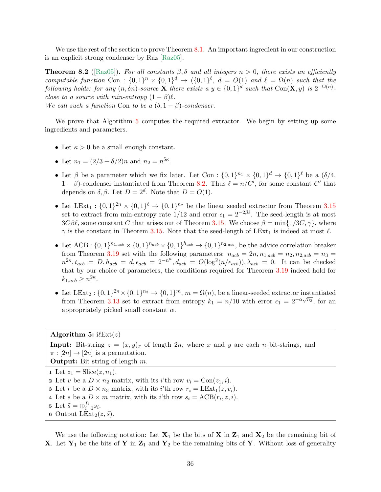We use the rest of the section to prove Theorem 8.[1.](#page-35-1) An important ingredient in our construction is an explicit strong condenser by Raz [\[Raz05\]](#page-42-8).

<span id="page-36-1"></span>**Theorem 8.2** ([\[Raz05\]](#page-42-8)). For all constants  $\beta$ ,  $\delta$  and all integers  $n > 0$ , there exists an efficiently computable function Con :  $\{0,1\}^n \times \{0,1\}^d \rightarrow (\{0,1\}^l, d = O(1)$  and  $\ell = \Omega(n)$  such that the following holds: for any  $(n, \delta n)$ -source **X** there exists a  $y \in \{0,1\}^d$  such that  $Con(\mathbf{X}, y)$  is  $2^{-\Omega(n)}$ close to a source with min-entropy  $(1 - \beta)\ell$ . We call such a function Con to be a  $(\delta, 1-\beta)$ -condenser.

We prove that Algorithm [5](#page-36-0) computes the required extractor. We begin by setting up some ingredients and parameters.

- Let  $\kappa > 0$  be a small enough constant.
- Let  $n_1 = (2/3 + \delta/2)n$  and  $n_2 = n^{5\kappa}$ .
- Let  $\beta$  be a parameter which we fix later. Let Con :  $\{0,1\}^{n_1} \times \{0,1\}^d \rightarrow \{0,1\}^l$  be a  $(\delta/4,$  $1 - \beta$ )-condenser instantiated from Theorem 8.[2.](#page-36-1) Thus  $\ell = n/C'$ , for some constant C' that depends on  $\delta, \beta$ . Let  $D = 2^d$ . Note that  $D = O(1)$ .
- Let  $\text{LEX}_1: \{0,1\}^{2n} \times \{0,1\}^{\ell} \to \{0,1\}^{n_2}$  be the linear seeded extractor from Theorem 3.[15](#page-16-3) set to extract from min-entropy rate 1/12 and error  $\epsilon_1 = 2^{-2\beta\ell}$ . The seed-length is at most  $3C\beta\ell$ , some constant C that arises out of Theorem 3.[15.](#page-16-3) We choose  $\beta = \min\{1/3C, \gamma\}$ , where  $\gamma$  is the constant in Theorem 3.[15.](#page-16-3) Note that the seed-length of LExt<sub>1</sub> is indeed at most  $\ell$ .
- Let ACB :  $\{0,1\}^{n_{1,acb}} \times \{0,1\}^{n_{acb}} \times \{0,1\}^{h_{acb}} \rightarrow \{0,1\}^{n_{2,acb}}$ , be the advice correlation breaker from Theorem 3.[19](#page-18-4) set with the following parameters:  $n_{acb} = 2n, n_{1,acb} = n_2, n_{2,acb} = n_3 =$  $n^{2\kappa}, t_{acb} = D, h_{acb} = d, \epsilon_{acb} = 2^{-n^{\kappa}}, d_{acb} = O(\log^2(n/\epsilon_{acb})), \lambda_{acb} = 0$ . It can be checked that by our choice of parameters, the conditions required for Theorem 3.[19](#page-18-4) indeed hold for  $k_{1,acb} \geq n^{2\kappa}.$
- Let  $\text{LEX}_2: \{0,1\}^{2n} \times \{0,1\}^{n_3} \to \{0,1\}^m$ ,  $m = \Omega(n)$ , be a linear-seeded extractor instantiated from Theorem 3.[13](#page-16-2) set to extract from entropy  $k_1 = n/10$  with error  $\epsilon_1 = 2^{-\alpha\sqrt{n_3}}$ , for an appropriately picked small constant  $\alpha$ .

<span id="page-36-0"></span>Algorithm 5:  $i\ell \text{Ext}(z)$ 

**Input:** Bit-string  $z = (x, y)_{\pi}$  of length 2n, where x and y are each n bit-strings, and  $\pi : [2n] \rightarrow [2n]$  is a permutation. Output: Bit string of length m. 1 Let  $z_1 = \text{Slice}(z, n_1)$ . 2 Let v be a  $D \times n_2$  matrix, with its i'th row  $v_i = \text{Con}(z_1, i)$ . **3** Let r be a  $D \times n_3$  matrix, with its i'th row  $r_i = \text{LEX}_1(z, v_i)$ . 4 Let s be a  $D \times m$  matrix, with its i'th row  $s_i = ACB(r_i, z, i)$ . 5 Let  $\tilde{s} = \bigoplus_{i=1}^D s_i$ . 6 Output LExt<sub>2</sub> $(z, \tilde{s})$ .

We use the following notation: Let  $X_1$  be the bits of X in  $Z_1$  and  $X_2$  be the remaining bit of **X**. Let  $Y_1$  be the bits of Y in  $Z_1$  and  $Y_2$  be the remaining bits of Y. Without loss of generality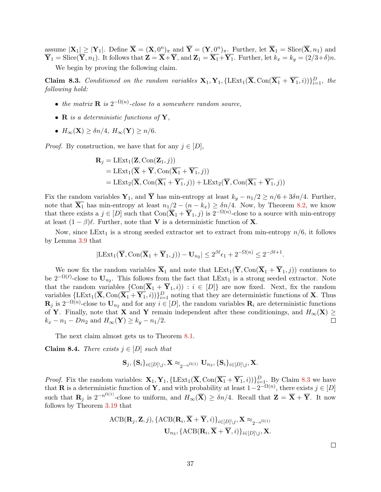assume  $|\mathbf{X}_1| \geq |\mathbf{Y}_1|$ . Define  $\overline{\mathbf{X}} = (\mathbf{X}, 0^n)_\pi$  and  $\overline{\mathbf{Y}} = (\mathbf{Y}, 0^n)_\pi$ . Further, let  $\overline{\mathbf{X}}_1 = \text{Slice}(\overline{\mathbf{X}}, n_1)$  and  $\overline{Y}_1 = \text{Slice}(\overline{Y}, n_1)$ . It follows that  $\mathbf{Z} = \overline{X}_1 + \overline{Y}_1$ , and  $\mathbf{Z}_1 = \overline{X}_1 + \overline{Y}_1$ . Further, let  $k_x = k_y = (2/3 + \delta)n$ .

We begin by proving the following claim.

<span id="page-37-0"></span>**Claim 8.3.** Conditioned on the random variables  $X_1, Y_1, \{\text{LEX}_1(\overline{X}, \text{Con}(\overline{X}_1 + \overline{Y}_1, i))\}_{i=1}^D$ , the following hold:

- the matrix **R** is  $2^{-\Omega(n)}$ -close to a somewhere random source,
- R is a deterministic functions of  $Y$ ,
- $H_{\infty}(\mathbf{X}) \geq \delta n/4$ ,  $H_{\infty}(\mathbf{Y}) \geq n/6$ .

*Proof.* By construction, we have that for any  $j \in [D]$ ,

$$
\mathbf{R}_{j} = \text{LEX}_{1}(\mathbf{Z}, \text{Con}(\mathbf{Z}_{1}, j))
$$
  
=  $\text{LEX}_{1}(\overline{\mathbf{X}} + \overline{\mathbf{Y}}, \text{Con}(\overline{\mathbf{X}_{1}} + \overline{\mathbf{Y}_{1}}, j))$   
=  $\text{LEX}_{2}(\overline{\mathbf{X}}, \text{Con}(\overline{\mathbf{X}_{1}} + \overline{\mathbf{Y}_{1}}, j)) + \text{LEX}_{2}(\overline{\mathbf{Y}}, \text{Con}(\overline{\mathbf{X}_{1}} + \overline{\mathbf{Y}_{1}}, j))$ 

Fix the random variables  $Y_1$ , and  $\overline{Y}$  has min-entropy at least  $k_y - n_1/2 \ge n/6 + 3\delta n/4$ . Further, note that  $\overline{X_1}$  has min-entropy at least  $n_1/2 - (n - k_x) \ge \delta n/4$ . Now, by Theorem 8.[2,](#page-36-1) we know that there exists a  $j \in [D]$  such that  $Con(\overline{\mathbf{X}}_1 + \overline{\mathbf{Y}}_1, j)$  is  $2^{-\Omega(n)}$ -close to a source with min-entropy at least  $(1 - \beta)\ell$ . Further, note that **V** is a deterministic function of **X**.

Now, since LExt<sub>1</sub> is a strong seeded extractor set to extract from min-entropy  $n/6$ , it follows by Lemma [3](#page-15-1).9 that

$$
|\text{LEX}_1(\overline{\mathbf{Y}}, \text{Con}(\overline{\mathbf{X}}_1 + \overline{\mathbf{Y}}_1, j)) - \mathbf{U}_{n_2}| \le 2^{\beta \ell} \epsilon_1 + 2^{-\Omega(n)} \le 2^{-\beta \ell + 1}.
$$

We now fix the random variables  $\overline{\mathbf{X}}_1$  and note that  $\text{LEX}_1(\overline{\mathbf{Y}}, \text{Con}(\overline{\mathbf{X}}_1 + \overline{\mathbf{Y}}_1, j))$  continues to be  $2^{-\Omega(\ell)}$ -close to  $\mathbf{U}_{n_2}$ . This follows from the fact that LExt<sub>1</sub> is a strong seeded extractor. Note that the random variables  $\{Con(\overline{\mathbf{X}}_1 + \overline{\mathbf{Y}}_1, i) : i \in [D]\}$  are now fixed. Next, fix the random variables  $\{\text{LEX}_1(\overline{\mathbf{X}},\text{Con}(\overline{\mathbf{X}_1}+\overline{\mathbf{Y}_1},i))\}_{i=1}^D$  noting that they are deterministic functions of **X**. Thus  $\mathbf{R}_j$  is  $2^{-\Omega(n)}$ -close to  $\mathbf{U}_{n_2}$  and for any  $i \in [D]$ , the random variables  $\mathbf{R}_i$  are deterministic functions of Y. Finally, note that X and Y remain independent after these conditionings, and  $H_{\infty}(\mathbf{X}) \geq$  $k_x - n_1 - Dn_2$  and  $H_{\infty}(\mathbf{Y}) \ge k_y - n_1/2$ .  $\Box$ 

The next claim almost gets us to Theorem 8.[1.](#page-35-1)

<span id="page-37-1"></span>**Claim 8.4.** There exists  $j \in [D]$  such that

$$
\mathbf{S}_j, \{\mathbf{S}_i\}_{i\in[D]\setminus{j}}, \mathbf{X} \approx_{2^{-n^{\Omega(1)}}} \mathbf{U}_{n_3}, \{\mathbf{S}_i\}_{i\in[D]\setminus{j}}, \mathbf{X}.
$$

*Proof.* Fix the random variables:  $\mathbf{X}_1, \mathbf{Y}_1, \{\text{LEX}_1(\overline{\mathbf{X}}, \text{Con}(\overline{\mathbf{X}_1} + \overline{\mathbf{Y}_1}, i))\}_{i=1}^D$ . By Claim [8](#page-37-0).3 we have that **R** is a deterministic function of **Y**, and with probability at least  $1-2^{-\Omega(n)}$ , there exists  $j \in [D]$ such that  $\mathbf{R}_j$  is  $2^{-n^{\Omega(1)}}$ -close to uniform, and  $H_{\infty}(\mathbf{\overline{X}}) \geq \delta n/4$ . Recall that  $\mathbf{Z} = \mathbf{\overline{X}} + \mathbf{\overline{Y}}$ . It now follows by Theorem 3.[19](#page-18-4) that

$$
\text{ACB}(\mathbf{R}_j, \mathbf{Z}, j), \{\text{ACB}(\mathbf{R}_i, \mathbf{X} + \mathbf{Y}, i)\}_{i \in [D] \setminus j}, \mathbf{X} \approx_{2^{-n^{\Omega(1)}}}
$$
  

$$
\mathbf{U}_{n_3}, \{\text{ACB}(\mathbf{R}_i, \mathbf{X} + \mathbf{\overline{Y}}, i)\}_{i \in [D] \setminus j}, \mathbf{X}.
$$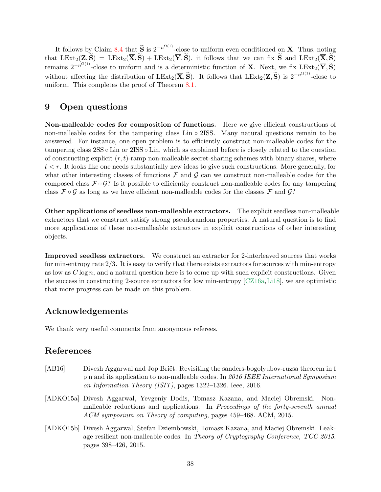It follows by Claim [8](#page-37-1).4 that  $\widetilde{S}$  is  $2^{-n^{\Omega(1)}}$ -close to uniform even conditioned on **X**. Thus, noting that  $\text{LExt}_2(\mathbf{Z}, \widetilde{\mathbf{S}}) = \text{LExt}_2(\overline{\mathbf{X}}, \widetilde{\mathbf{S}}) + \text{LExt}_2(\overline{\mathbf{Y}}, \widetilde{\mathbf{S}})$ , it follows that we can fix  $\widetilde{\mathbf{S}}$  and  $\text{LExt}_2(\overline{\mathbf{X}}, \widetilde{\mathbf{S}})$ remains  $2^{-n^{\Omega(1)}}$ -close to uniform and is a deterministic function of **X**. Next, we fix  $\text{LEX}_2(\overline{Y}, \widetilde{S})$ without affecting the distribution of LExt<sub>2</sub>( $\overline{\mathbf{X}}, \widetilde{\mathbf{S}}$ ). It follows that LExt<sub>2</sub>( $\mathbf{Z}, \widetilde{\mathbf{S}}$ ) is  $2^{-n^{\Omega(1)}}$ -close to uniform. This completes the proof of Theorem 8.[1.](#page-35-1)

## <span id="page-38-3"></span>9 Open questions

Non-malleable codes for composition of functions. Here we give efficient constructions of non-malleable codes for the tampering class Lin ◦ 2ISS. Many natural questions remain to be answered. For instance, one open problem is to efficiently construct non-malleable codes for the tampering class 2SS ◦ Lin or 2ISS ◦ Lin, which as explained before is closely related to the question of constructing explicit  $(r, t)$ -ramp non-malleable secret-sharing schemes with binary shares, where  $t < r$ . It looks like one needs substantially new ideas to give such constructions. More generally, for what other interesting classes of functions  $\mathcal F$  and  $\mathcal G$  can we construct non-malleable codes for the composed class  $\mathcal{F} \circ \mathcal{G}$ ? Is it possible to efficiently construct non-malleable codes for any tampering class  $\mathcal{F} \circ \mathcal{G}$  as long as we have efficient non-malleable codes for the classes  $\mathcal{F}$  and  $\mathcal{G}$ ?

Other applications of seedless non-malleable extractors. The explicit seedless non-malleable extractors that we construct satisfy strong pseudorandom properties. A natural question is to find more applications of these non-malleable extractors in explicit constructions of other interesting objects.

Improved seedless extractors. We construct an extractor for 2-interleaved sources that works for min-entropy rate 2/3. It is easy to verify that there exists extractors for sources with min-entropy as low as  $C \log n$ , and a natural question here is to come up with such explicit constructions. Given the success in constructing 2-source extractors for low min-entropy [\[CZ16a,](#page-40-15)[Li18\]](#page-42-2), we are optimistic that more progress can be made on this problem.

# Acknowledgements

We thank very useful comments from anonymous referees.

# References

- <span id="page-38-0"></span>[AB16] Divesh Aggarwal and Jop Briët. Revisiting the sanders-bogolyubov-ruzsa theorem in f p n and its application to non-malleable codes. In 2016 IEEE International Symposium on Information Theory (ISIT), pages 1322–1326. Ieee, 2016.
- <span id="page-38-1"></span>[ADKO15a] Divesh Aggarwal, Yevgeniy Dodis, Tomasz Kazana, and Maciej Obremski. Nonmalleable reductions and applications. In *Proceedings of the forty-seventh annual* ACM symposium on Theory of computing, pages 459–468. ACM, 2015.
- <span id="page-38-2"></span>[ADKO15b] Divesh Aggarwal, Stefan Dziembowski, Tomasz Kazana, and Maciej Obremski. Leakage resilient non-malleable codes. In Theory of Cryptography Conference, TCC 2015, pages 398–426, 2015.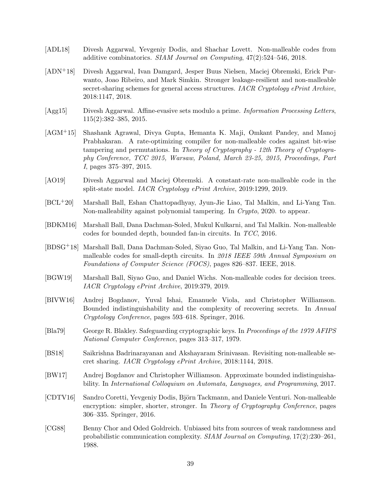- <span id="page-39-1"></span>[ADL18] Divesh Aggarwal, Yevgeniy Dodis, and Shachar Lovett. Non-malleable codes from additive combinatorics. SIAM Journal on Computing, 47(2):524–546, 2018.
- <span id="page-39-12"></span>[ADN+18] Divesh Aggarwal, Ivan Damgard, Jesper Buus Nielsen, Maciej Obremski, Erick Purwanto, Joao Ribeiro, and Mark Simkin. Stronger leakage-resilient and non-malleable secret-sharing schemes for general access structures. IACR Cryptology ePrint Archive, 2018:1147, 2018.
- <span id="page-39-2"></span>[Agg15] Divesh Aggarwal. Affine-evasive sets modulo a prime. Information Processing Letters, 115(2):382–385, 2015.
- <span id="page-39-4"></span>[AGM+15] Shashank Agrawal, Divya Gupta, Hemanta K. Maji, Omkant Pandey, and Manoj Prabhakaran. A rate-optimizing compiler for non-malleable codes against bit-wise tampering and permutations. In Theory of Cryptography - 12th Theory of Cryptography Conference, TCC 2015, Warsaw, Poland, March 23-25, 2015, Proceedings, Part I, pages 375–397, 2015.
- <span id="page-39-3"></span>[AO19] Divesh Aggarwal and Maciej Obremski. A constant-rate non-malleable code in the split-state model. IACR Cryptology ePrint Archive, 2019:1299, 2019.
- <span id="page-39-13"></span>[BCL+20] Marshall Ball, Eshan Chattopadhyay, Jyun-Jie Liao, Tal Malkin, and Li-Yang Tan. Non-malleability against polynomial tampering. In Crypto, 2020. to appear.
- <span id="page-39-5"></span>[BDKM16] Marshall Ball, Dana Dachman-Soled, Mukul Kulkarni, and Tal Malkin. Non-malleable codes for bounded depth, bounded fan-in circuits. In TCC, 2016.
- <span id="page-39-6"></span>[BDSG+18] Marshall Ball, Dana Dachman-Soled, Siyao Guo, Tal Malkin, and Li-Yang Tan. Nonmalleable codes for small-depth circuits. In 2018 IEEE 59th Annual Symposium on Foundations of Computer Science (FOCS), pages 826–837. IEEE, 2018.
- <span id="page-39-7"></span>[BGW19] Marshall Ball, Siyao Guo, and Daniel Wichs. Non-malleable codes for decision trees. IACR Cryptology ePrint Archive, 2019:379, 2019.
- <span id="page-39-9"></span>[BIVW16] Andrej Bogdanov, Yuval Ishai, Emanuele Viola, and Christopher Williamson. Bounded indistinguishability and the complexity of recovering secrets. In Annual Cryptology Conference, pages 593–618. Springer, 2016.
- <span id="page-39-8"></span>[Bla79] George R. Blakley. Safeguarding cryptographic keys. In Proceedings of the 1979 AFIPS National Computer Conference, pages 313–317, 1979.
- <span id="page-39-11"></span>[BS18] Saikrishna Badrinarayanan and Akshayaram Srinivasan. Revisiting non-malleable secret sharing. IACR Cryptology ePrint Archive, 2018:1144, 2018.
- <span id="page-39-10"></span>[BW17] Andrej Bogdanov and Christopher Williamson. Approximate bounded indistinguishability. In International Colloquium on Automata, Languages, and Programming, 2017.
- <span id="page-39-0"></span>[CDTV16] Sandro Coretti, Yevgeniy Dodis, Björn Tackmann, and Daniele Venturi. Non-malleable encryption: simpler, shorter, stronger. In Theory of Cryptography Conference, pages 306–335. Springer, 2016.
- <span id="page-39-14"></span>[CG88] Benny Chor and Oded Goldreich. Unbiased bits from sources of weak randomness and probabilistic communication complexity. SIAM Journal on Computing, 17(2):230–261, 1988.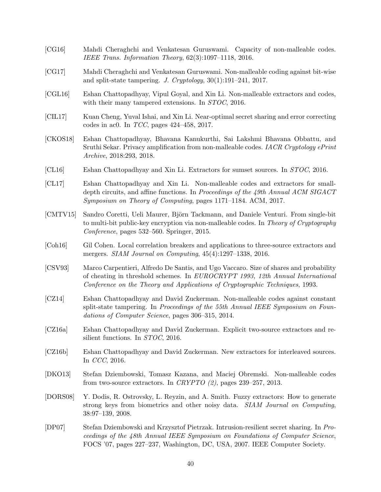- <span id="page-40-7"></span>[CG16] Mahdi Cheraghchi and Venkatesan Guruswami. Capacity of non-malleable codes. IEEE Trans. Information Theory, 62(3):1097–1118, 2016.
- <span id="page-40-2"></span>[CG17] Mahdi Cheraghchi and Venkatesan Guruswami. Non-malleable coding against bit-wise and split-state tampering. J. Cryptology,  $30(1):191-241$ ,  $2017$ .
- <span id="page-40-4"></span>[CGL16] Eshan Chattopadhyay, Vipul Goyal, and Xin Li. Non-malleable extractors and codes, with their many tampered extensions. In *STOC*, 2016.
- <span id="page-40-8"></span>[CIL17] Kuan Cheng, Yuval Ishai, and Xin Li. Near-optimal secret sharing and error correcting codes in ac0. In  $TCC$ , pages 424-458, 2017.
- <span id="page-40-1"></span>[CKOS18] Eshan Chattopadhyay, Bhavana Kanukurthi, Sai Lakshmi Bhavana Obbattu, and Sruthi Sekar. Privacy amplification from non-malleable codes. IACR Cryptology ePrint Archive, 2018:293, 2018.
- <span id="page-40-11"></span>[CL16] Eshan Chattopadhyay and Xin Li. Extractors for sumset sources. In STOC, 2016.
- <span id="page-40-6"></span>[CL17] Eshan Chattopadhyay and Xin Li. Non-malleable codes and extractors for smalldepth circuits, and affine functions. In Proceedings of the 49th Annual ACM SIGACT Symposium on Theory of Computing, pages 1171–1184. ACM, 2017.
- <span id="page-40-0"></span>[CMTV15] Sandro Coretti, Ueli Maurer, Björn Tackmann, and Daniele Venturi. From single-bit to multi-bit public-key encryption via non-malleable codes. In Theory of Cryptography Conference, pages 532–560. Springer, 2015.
- <span id="page-40-13"></span>[Coh16] Gil Cohen. Local correlation breakers and applications to three-source extractors and mergers. *SIAM Journal on Computing*,  $45(4):1297-1338$ , 2016.
- <span id="page-40-9"></span>[CSV93] Marco Carpentieri, Alfredo De Santis, and Ugo Vaccaro. Size of shares and probability of cheating in threshold schemes. In EUROCRYPT 1993, 12th Annual International Conference on the Theory and Applications of Cryptographic Techniques, 1993.
- <span id="page-40-3"></span>[CZ14] Eshan Chattopadhyay and David Zuckerman. Non-malleable codes against constant split-state tampering. In Proceedings of the 55th Annual IEEE Symposium on Foundations of Computer Science, pages 306–315, 2014.
- <span id="page-40-15"></span>[CZ16a] Eshan Chattopadhyay and David Zuckerman. Explicit two-source extractors and resilient functions. In STOC, 2016.
- <span id="page-40-10"></span>[CZ16b] Eshan Chattopadhyay and David Zuckerman. New extractors for interleaved sources. In CCC, 2016.
- <span id="page-40-5"></span>[DKO13] Stefan Dziembowski, Tomasz Kazana, and Maciej Obremski. Non-malleable codes from two-source extractors. In CRYPTO  $(2)$ , pages 239–257, 2013.
- <span id="page-40-14"></span>[DORS08] Y. Dodis, R. Ostrovsky, L. Reyzin, and A. Smith. Fuzzy extractors: How to generate strong keys from biometrics and other noisy data. SIAM Journal on Computing, 38:97–139, 2008.
- <span id="page-40-12"></span>[DP07] Stefan Dziembowski and Krzysztof Pietrzak. Intrusion-resilient secret sharing. In Proceedings of the 48th Annual IEEE Symposium on Foundations of Computer Science, FOCS '07, pages 227–237, Washington, DC, USA, 2007. IEEE Computer Society.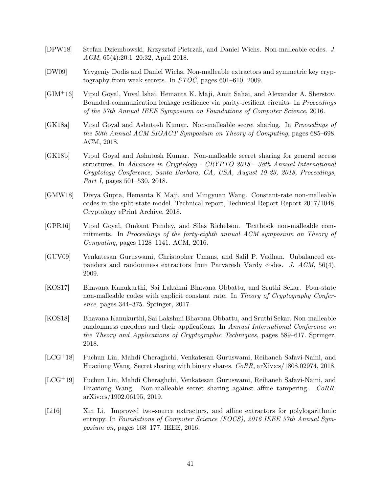- <span id="page-41-0"></span>[DPW18] Stefan Dziembowski, Krzysztof Pietrzak, and Daniel Wichs. Non-malleable codes. J. ACM, 65(4):20:1–20:32, April 2018.
- <span id="page-41-10"></span>[DW09] Yevgeniy Dodis and Daniel Wichs. Non-malleable extractors and symmetric key cryptography from weak secrets. In STOC, pages 601–610, 2009.
- <span id="page-41-8"></span>[GIM+16] Vipul Goyal, Yuval Ishai, Hemanta K. Maji, Amit Sahai, and Alexander A. Sherstov. Bounded-communication leakage resilience via parity-resilient circuits. In Proceedings of the 57th Annual IEEE Symposium on Foundations of Computer Science, 2016.
- <span id="page-41-2"></span>[GK18a] Vipul Goyal and Ashutosh Kumar. Non-malleable secret sharing. In Proceedings of the 50th Annual ACM SIGACT Symposium on Theory of Computing, pages 685–698. ACM, 2018.
- <span id="page-41-7"></span>[GK18b] Vipul Goyal and Ashutosh Kumar. Non-malleable secret sharing for general access structures. In Advances in Cryptology - CRYPTO 2018 - 38th Annual International Cryptology Conference, Santa Barbara, CA, USA, August 19-23, 2018, Proceedings, Part I, pages 501–530, 2018.
- <span id="page-41-5"></span>[GMW18] Divya Gupta, Hemanta K Maji, and Mingyuan Wang. Constant-rate non-malleable codes in the split-state model. Technical report, Technical Report Report 2017/1048, Cryptology ePrint Archive, 2018.
- <span id="page-41-1"></span>[GPR16] Vipul Goyal, Omkant Pandey, and Silas Richelson. Textbook non-malleable commitments. In Proceedings of the forty-eighth annual ACM symposium on Theory of Computing, pages 1128–1141. ACM, 2016.
- <span id="page-41-11"></span>[GUV09] Venkatesan Guruswami, Christopher Umans, and Salil P. Vadhan. Unbalanced expanders and randomness extractors from Parvaresh–Vardy codes. J. ACM, 56(4), 2009.
- <span id="page-41-3"></span>[KOS17] Bhavana Kanukurthi, Sai Lakshmi Bhavana Obbattu, and Sruthi Sekar. Four-state non-malleable codes with explicit constant rate. In Theory of Cryptography Conference, pages 344–375. Springer, 2017.
- <span id="page-41-4"></span>[KOS18] Bhavana Kanukurthi, Sai Lakshmi Bhavana Obbattu, and Sruthi Sekar. Non-malleable randomness encoders and their applications. In Annual International Conference on the Theory and Applications of Cryptographic Techniques, pages 589–617. Springer, 2018.
- <span id="page-41-6"></span>[LCG+18] Fuchun Lin, Mahdi Cheraghchi, Venkatesan Guruswami, Reihaneh Safavi-Naini, and Huaxiong Wang. Secret sharing with binary shares. CoRR, arXiv:cs/1808.02974, 2018.
- <span id="page-41-9"></span>[LCG+19] Fuchun Lin, Mahdi Cheraghchi, Venkatesan Guruswami, Reihaneh Safavi-Naini, and Huaxiong Wang. Non-malleable secret sharing against affine tampering. CoRR, arXiv:cs/1902.06195, 2019.
- <span id="page-41-12"></span>[Li16] Xin Li. Improved two-source extractors, and affine extractors for polylogarithmic entropy. In Foundations of Computer Science (FOCS), 2016 IEEE 57th Annual Symposium on, pages 168–177. IEEE, 2016.